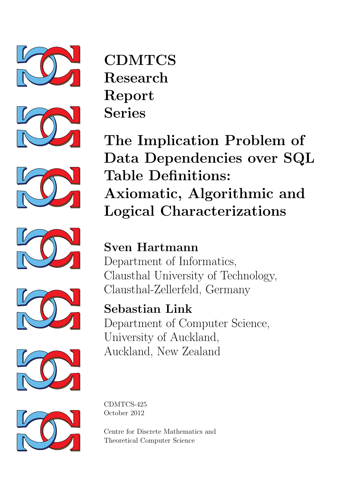













**The Implication Problem of Data Dependencies over SQL Table Definitions: Axiomatic, Algorithmic and Logical Characterizations**

**Sven Hartmann** Department of Informatics, Clausthal University of Technology, Clausthal-Zellerfeld, Germany

**Sebastian Link** Department of Computer Science, University of Auckland, Auckland, New Zealand



CDMTCS-425 October 2012

Centre for Discrete Mathematics and Theoretical Computer Science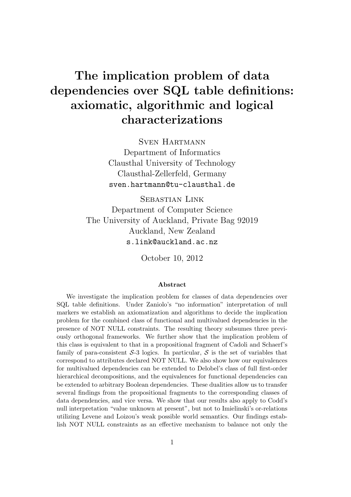# **The implication problem of data dependencies over SQL table definitions: axiomatic, algorithmic and logical characterizations**

Sven Hartmann Department of Informatics Clausthal University of Technology Clausthal-Zellerfeld, Germany sven.hartmann@tu-clausthal.de

Sebastian Link Department of Computer Science The University of Auckland, Private Bag 92019 Auckland, New Zealand s.link@auckland.ac.nz

October 10, 2012

#### **Abstract**

We investigate the implication problem for classes of data dependencies over SQL table definitions. Under Zaniolo's "no information" interpretation of null markers we establish an axiomatization and algorithms to decide the implication problem for the combined class of functional and multivalued dependencies in the presence of NOT NULL constraints. The resulting theory subsumes three previously orthogonal frameworks. We further show that the implication problem of this class is equivalent to that in a propositional fragment of Cadoli and Schaerf's family of para-consistent  $S$ -3 logics. In particular,  $S$  is the set of variables that correspond to attributes declared NOT NULL. We also show how our equivalences for multivalued dependencies can be extended to Delobel's class of full first-order hierarchical decompositions, and the equivalences for functional dependencies can be extended to arbitrary Boolean dependencies. These dualities allow us to transfer several findings from the propositional fragments to the corresponding classes of data dependencies, and vice versa. We show that our results also apply to Codd's null interpretation "value unknown at present", but not to Imielinski's or-relations utilizing Levene and Loizou's weak possible world semantics. Our findings establish NOT NULL constraints as an effective mechanism to balance not only the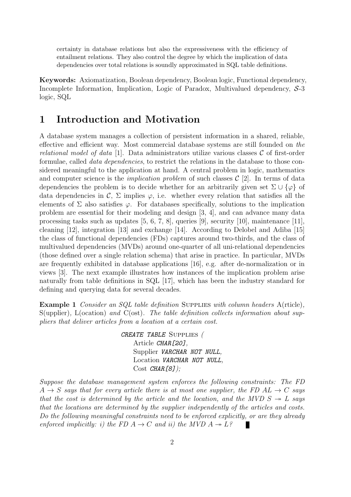certainty in database relations but also the expressiveness with the efficiency of entailment relations. They also control the degree by which the implication of data dependencies over total relations is soundly approximated in SQL table definitions.

**Keywords:** Axiomatization, Boolean dependency, Boolean logic, Functional dependency, Incomplete Information, Implication, Logic of Paradox, Multivalued dependency, *S*-3 logic, SQL

## **1 Introduction and Motivation**

A database system manages a collection of persistent information in a shared, reliable, effective and efficient way. Most commercial database systems are still founded on *the relational model of data* [1]. Data administrators utilize various classes  $\mathcal{C}$  of first-order formulae, called *data dependencies*, to restrict the relations in the database to those considered meaningful to the application at hand. A central problem in logic, mathematics and computer science is the *implication problem* of such classes  $\mathcal{C}$  [2]. In terms of data dependencies the problem is to decide whether for an arbitrarily given set Σ *∪ {φ}* of data dependencies in  $\mathcal{C}, \Sigma$  implies  $\varphi$ , i.e. whether every relation that satisfies all the elements of  $\Sigma$  also satisfies  $\varphi$ . For databases specifically, solutions to the implication problem are essential for their modeling and design [3, 4], and can advance many data processing tasks such as updates [5, 6, 7, 8], queries [9], security [10], maintenance [11], cleaning [12], integration [13] and exchange [14]. According to Delobel and Adiba [15] the class of functional dependencies (FDs) captures around two-thirds, and the class of multivalued dependencies (MVDs) around one-quarter of all uni-relational dependencies (those defined over a single relation schema) that arise in practice. In particular, MVDs are frequently exhibited in database applications [16], e.g. after de-normalization or in views [3]. The next example illustrates how instances of the implication problem arise naturally from table definitions in SQL [17], which has been the industry standard for defining and querying data for several decades.

**Example 1** *Consider an SQL table definition* SUPPLIES *with column headers* A(rticle), S(upplier)*,* L(ocation) *and* C(ost)*. The table definition collects information about suppliers that deliver articles from a location at a certain cost.*

> *CREATE TABLE* Supplies *(* Article *CHAR[20],* Supplier *VARCHAR NOT NULL,* Location *VARCHAR NOT NULL,* Cost *CHAR[8]);*

*Suppose the database management system enforces the following constraints: The FD*  $A \rightarrow S$  *says that for every article there is at most one supplier, the FD*  $A L \rightarrow C$  *says that the cost is determined by the article and the location, and the MVD*  $S \rightarrow L$  *says that the locations are determined by the supplier independently of the articles and costs. Do the following meaningful constraints need to be enforced explicitly, or are they already enforced implicitly: i) the FD*  $A \rightarrow C$  *and ii) the MVD*  $A \rightarrow L$ ?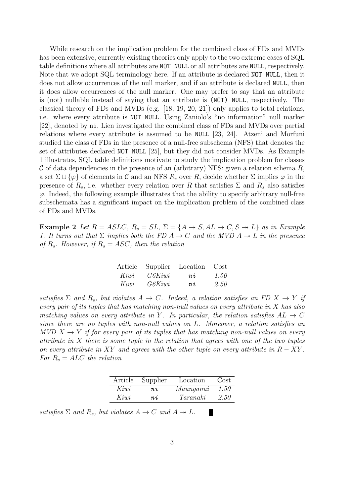While research on the implication problem for the combined class of FDs and MVDs has been extensive, currently existing theories only apply to the two extreme cases of SQL table definitions where all attributes are NOT NULL or all attributes are NULL, respectively. Note that we adopt SQL terminology here. If an attribute is declared NOT NULL, then it does not allow occurrences of the null marker, and if an attribute is declared NULL, then it does allow occurrences of the null marker. One may prefer to say that an attribute is (not) nullable instead of saying that an attribute is (NOT) NULL, respectively. The classical theory of FDs and MVDs (e.g. [18, 19, 20, 21]) only applies to total relations, i.e. where every attribute is NOT NULL. Using Zaniolo's "no information" null marker [22], denoted by ni, Lien investigated the combined class of FDs and MVDs over partial relations where every attribute is assumed to be NULL [23, 24]. Atzeni and Morfuni studied the class of FDs in the presence of a null-free subschema (NFS) that denotes the set of attributes declared NOT NULL [25], but they did not consider MVDs. As Example 1 illustrates, SQL table definitions motivate to study the implication problem for classes *C* of data dependencies in the presence of an (arbitrary) NFS: given a relation schema *R*, a set  $\Sigma \cup {\varphi}$  of elements in *C* and an NFS  $R_s$  over  $R$ , decide whether  $\Sigma$  implies  $\varphi$  in the presence of  $R_s$ , i.e. whether every relation over  $R$  that satisfies  $\Sigma$  and  $R_s$  also satisfies  $\varphi$ . Indeed, the following example illustrates that the ability to specify arbitrary null-free subschemata has a significant impact on the implication problem of the combined class of FDs and MVDs.

**Example 2** *Let*  $R = ASLC$ *,*  $R_s = SL$ *,*  $\Sigma = \{A \rightarrow S, AL \rightarrow C, S \rightarrow L\}$  *as in Example 1. It turns out that*  $\Sigma$  *implies both the FD*  $A \rightarrow C$  *and the MVD*  $A \rightarrow L$  *in the presence of*  $R_s$ *. However, if*  $R_s = ASC$ *, then the relation* 

| Article | Supplier      | Location | Cost |
|---------|---------------|----------|------|
| Kiwi    | <i>G6Kiwi</i> | $n\,i$   | 1.50 |
| Kiwi    | <i>G6Kiwi</i> | $n\,i$   | 2.50 |

*satisfies*  $\Sigma$  *and*  $R_s$ *, but violates*  $A \rightarrow C$ *. Indeed, a relation satisfies an FD*  $X \rightarrow Y$  *if every pair of its tuples that has matching non-null values on every attribute in X has also matching values on every attribute in Y*. In particular, the relation satisfies  $AL \rightarrow C$ *since there are no tuples with non-null values on L. Moreover, a relation satisfies an*  $MVD X \rightarrow Y$  *if for every pair of its tuples that has matching non-null values on every attribute in X there is some tuple in the relation that agrees with one of the two tuples on every attribute in XY and agrees with the other tuple on every attribute in R − XY . For*  $R_s = ALC$  *the relation* 

| Article | Supplier | Location  | Cost |
|---------|----------|-----------|------|
| Kiwi    | n.i      | Maunganui | 1.50 |
| Kiwi    | n.i      | Taranaki  | 2.50 |

×

*satisfies*  $\Sigma$  *and*  $R_s$ *, but violates*  $A \rightarrow C$  *and*  $A \rightarrow L$ *.*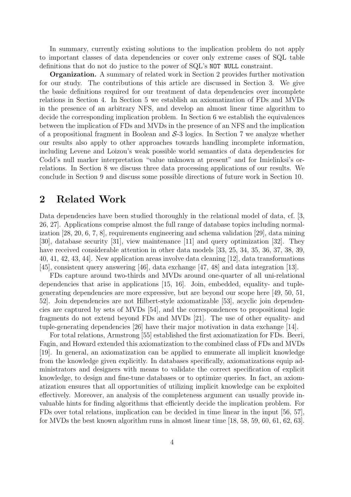In summary, currently existing solutions to the implication problem do not apply to important classes of data dependencies or cover only extreme cases of SQL table definitions that do not do justice to the power of SQL's NOT NULL constraint.

**Organization.** A summary of related work in Section 2 provides further motivation for our study. The contributions of this article are discussed in Section 3. We give the basic definitions required for our treatment of data dependencies over incomplete relations in Section 4. In Section 5 we establish an axiomatization of FDs and MVDs in the presence of an arbitrary NFS, and develop an almost linear time algorithm to decide the corresponding implication problem. In Section 6 we establish the equivalences between the implication of FDs and MVDs in the presence of an NFS and the implication of a propositional fragment in Boolean and *S*-3 logics. In Section 7 we analyze whether our results also apply to other approaches towards handling incomplete information, including Levene and Loizou's weak possible world semantics of data dependencies for Codd's null marker interpretation "value unknown at present" and for Imielinksi's orrelations. In Section 8 we discuss three data processing applications of our results. We conclude in Section 9 and discuss some possible directions of future work in Section 10.

## **2 Related Work**

Data dependencies have been studied thoroughly in the relational model of data, cf. [3, 26, 27]. Applications comprise almost the full range of database topics including normalization [28, 20, 6, 7, 8], requirements engineering and schema validation [29], data mining [30], database security [31], view maintenance [11] and query optimization [32]. They have received considerable attention in other data models [33, 25, 34, 35, 36, 37, 38, 39, 40, 41, 42, 43, 44]. New application areas involve data cleaning [12], data transformations [45], consistent query answering [46], data exchange [47, 48] and data integration [13].

FDs capture around two-thirds and MVDs around one-quarter of all uni-relational dependencies that arise in applications [15, 16]. Join, embedded, equality- and tuplegenerating dependencies are more expressive, but are beyond our scope here [49, 50, 51, 52]. Join dependencies are not Hilbert-style axiomatizable [53], acyclic join dependencies are captured by sets of MVDs [54], and the correspondences to propositional logic fragments do not extend beyond FDs and MVDs [21]. The use of other equality- and tuple-generating dependencies [26] have their major motivation in data exchange [14].

For total relations, Armstrong [55] established the first axiomatization for FDs. Beeri, Fagin, and Howard extended this axiomatization to the combined class of FDs and MVDs [19]. In general, an axiomatization can be applied to enumerate all implicit knowledge from the knowledge given explicitly. In databases specifically, axiomatizations equip administrators and designers with means to validate the correct specification of explicit knowledge, to design and fine-tune databases or to optimize queries. In fact, an axiomatization ensures that all opportunities of utilizing implicit knowledge can be exploited effectively. Moreover, an analysis of the completeness argument can usually provide invaluable hints for finding algorithms that efficiently decide the implication problem. For FDs over total relations, implication can be decided in time linear in the input [56, 57], for MVDs the best known algorithm runs in almost linear time [18, 58, 59, 60, 61, 62, 63].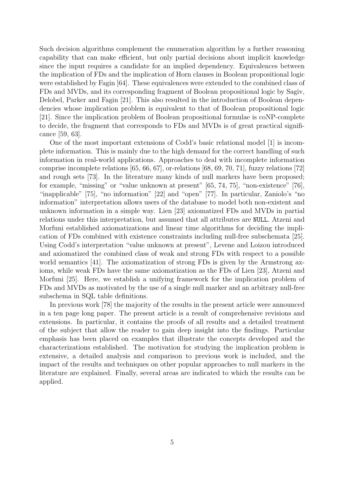Such decision algorithms complement the enumeration algorithm by a further reasoning capability that can make efficient, but only partial decisions about implicit knowledge since the input requires a candidate for an implied dependency. Equivalences between the implication of FDs and the implication of Horn clauses in Boolean propositional logic were established by Fagin [64]. These equivalences were extended to the combined class of FDs and MVDs, and its corresponding fragment of Boolean propositional logic by Sagiv, Delobel, Parker and Fagin [21]. This also resulted in the introduction of Boolean dependencies whose implication problem is equivalent to that of Boolean propositional logic [21]. Since the implication problem of Boolean propositional formulae is coNP-complete to decide, the fragment that corresponds to FDs and MVDs is of great practical significance [59, 63].

One of the most important extensions of Codd's basic relational model [1] is incomplete information. This is mainly due to the high demand for the correct handling of such information in real-world applications. Approaches to deal with incomplete information comprise incomplete relations [65, 66, 67], or-relations [68, 69, 70, 71], fuzzy relations [72] and rough sets [73]. In the literature many kinds of null markers have been proposed; for example, "missing" or "value unknown at present" [65, 74, 75], "non-existence" [76], "inapplicable" [75], "no information" [22] and "open" [77]. In particular, Zaniolo's "no information" interpretation allows users of the database to model both non-existent and unknown information in a simple way. Lien [23] axiomatized FDs and MVDs in partial relations under this interpretation, but assumed that all attributes are NULL. Atzeni and Morfuni established axiomatizations and linear time algorithms for deciding the implication of FDs combined with existence constraints including null-free subschemata [25]. Using Codd's interpretation "value unknown at present", Levene and Loizou introduced and axiomatized the combined class of weak and strong FDs with respect to a possible world semantics [41]. The axiomatization of strong FDs is given by the Armstrong axioms, while weak FDs have the same axiomatization as the FDs of Lien [23], Atzeni and Morfuni [25]. Here, we establish a unifying framework for the implication problem of FDs and MVDs as motivated by the use of a single null marker and an arbitrary null-free subschema in SQL table definitions.

In previous work [78] the majority of the results in the present article were announced in a ten page long paper. The present article is a result of comprehensive revisions and extensions. In particular, it contains the proofs of all results and a detailed treatment of the subject that allow the reader to gain deep insight into the findings. Particular emphasis has been placed on examples that illustrate the concepts developed and the characterizations established. The motivation for studying the implication problem is extensive, a detailed analysis and comparison to previous work is included, and the impact of the results and techniques on other popular approaches to null markers in the literature are explained. Finally, several areas are indicated to which the results can be applied.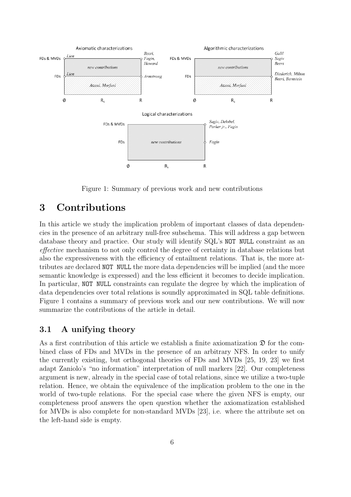

Figure 1: Summary of previous work and new contributions

## **3 Contributions**

In this article we study the implication problem of important classes of data dependencies in the presence of an arbitrary null-free subschema. This will address a gap between database theory and practice. Our study will identify SQL's NOT NULL constraint as an *effective* mechanism to not only control the degree of certainty in database relations but also the expressiveness with the efficiency of entailment relations. That is, the more attributes are declared NOT NULL the more data dependencies will be implied (and the more semantic knowledge is expressed) and the less efficient it becomes to decide implication. In particular, NOT NULL constraints can regulate the degree by which the implication of data dependencies over total relations is soundly approximated in SQL table definitions. Figure 1 contains a summary of previous work and our new contributions. We will now summarize the contributions of the article in detail.

### **3.1 A unifying theory**

As a first contribution of this article we establish a finite axiomatization  $\mathfrak D$  for the combined class of FDs and MVDs in the presence of an arbitrary NFS. In order to unify the currently existing, but orthogonal theories of FDs and MVDs [25, 19, 23] we first adapt Zaniolo's "no information" interpretation of null markers [22]. Our completeness argument is new, already in the special case of total relations, since we utilize a two-tuple relation. Hence, we obtain the equivalence of the implication problem to the one in the world of two-tuple relations. For the special case where the given NFS is empty, our completeness proof answers the open question whether the axiomatization established for MVDs is also complete for non-standard MVDs [23], i.e. where the attribute set on the left-hand side is empty.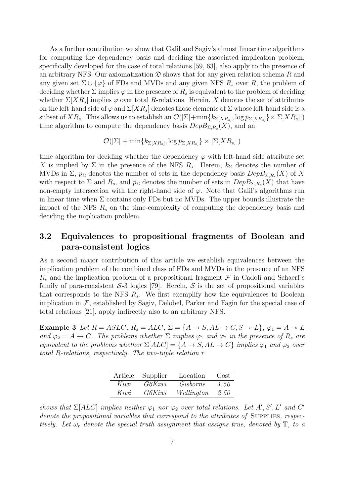As a further contribution we show that Galil and Sagiv's almost linear time algorithms for computing the dependency basis and deciding the associated implication problem, specifically developed for the case of total relations [59, 63], also apply to the presence of an arbitrary NFS. Our axiomatization  $\mathfrak D$  shows that for any given relation schema R and any given set  $\Sigma \cup {\varphi}$  of FDs and MVDs and any given NFS  $R_s$  over  $R$ , the problem of deciding whether  $\Sigma$  implies  $\varphi$  in the presence of  $R_s$  is equivalent to the problem of deciding whether  $\Sigma[XR_s]$  implies  $\varphi$  over total *R*-relations. Herein, X denotes the set of attributes on the left-hand side of  $\varphi$  and  $\Sigma[XR_s]$  denotes those elements of  $\Sigma$  whose left-hand side is a  $\sup$  subset of  $XR_s$ . This allows us to establish an  $\mathcal{O}(|\Sigma| + \min\{k_{\Sigma[XR_s]}, \log p_{\Sigma[XR_s]}\}\times |\Sigma[XR_s]|)$ time algorithm to compute the dependency basis  $DepB_{\Sigma,R_s}(X)$ , and an

$$
\mathcal{O}(|\Sigma| + \min\{k_{\Sigma[XR_s]}, \log \bar{p}_{\Sigma[XR_s]}\} \times |\Sigma[XR_s]|)
$$

time algorithm for deciding whether the dependency  $\varphi$  with left-hand side attribute set *X* is implied by  $\Sigma$  in the presence of the NFS  $R_s$ . Herein,  $k_{\Sigma}$  denotes the number of MVDs in  $\Sigma$ ,  $p_{\Sigma}$  denotes the number of sets in the dependency basis  $DepB_{\Sigma,R_s}(X)$  of X with respect to  $\Sigma$  and  $R_s$ , and  $\bar{p}_{\Sigma}$  denotes the number of sets in  $DepB_{\Sigma,R_s}(X)$  that have non-empty intersection with the right-hand side of  $\varphi$ . Note that Galil's algorithms run in linear time when  $\Sigma$  contains only FDs but no MVDs. The upper bounds illustrate the impact of the NFS *R<sup>s</sup>* on the time-complexity of computing the dependency basis and deciding the implication problem.

## **3.2 Equivalences to propositional fragments of Boolean and para-consistent logics**

As a second major contribution of this article we establish equivalences between the implication problem of the combined class of FDs and MVDs in the presence of an NFS  $R_s$  and the implication problem of a propositional fragment  $\mathcal F$  in Cadoli and Schaerf's family of para-consistent  $S$ -3 logics [79]. Herein,  $S$  is the set of propositional variables that corresponds to the NFS  $R_s$ . We first exemplify how the equivalences to Boolean implication in  $\mathcal F$ , established by Sagiv, Delobel, Parker and Fagin for the special case of total relations [21], apply indirectly also to an arbitrary NFS.

**Example 3** *Let*  $R = ASLC$ *,*  $R_s = ALC$ *,*  $\Sigma = \{A \rightarrow S, AL \rightarrow C, S \rightarrow L\}$ *,*  $\varphi_1 = A \rightarrow L$ *and*  $\varphi_2 = A \rightarrow C$ *. The problems whether*  $\Sigma$  *implies*  $\varphi_1$  *and*  $\varphi_2$  *in the presence of*  $R_s$  *are equivalent to the problems whether*  $\Sigma[ALC] = \{A \rightarrow S, AL \rightarrow C\}$  *implies*  $\varphi_1$  *and*  $\varphi_2$  *over total R-relations, respectively. The two-tuple relation r*

| Article | Supplier      | Location   | Cost |
|---------|---------------|------------|------|
| Kiwi    | <i>G6Kiwi</i> | Gisborne   | 1.50 |
| Kiwi    | <i>G6Kiwi</i> | Wellington | 2.50 |

*shows that*  $\Sigma[ALC]$  *implies neither*  $\varphi_1$  *nor*  $\varphi_2$  *over total relations. Let*  $A'$ ,  $S'$ ,  $L'$  *and*  $C'$ denote the propositional variables that correspond to the attributes of SUPPLIES, respec*tively. Let ω<sup>r</sup> denote the special truth assignment that assigns true, denoted by* T*, to a*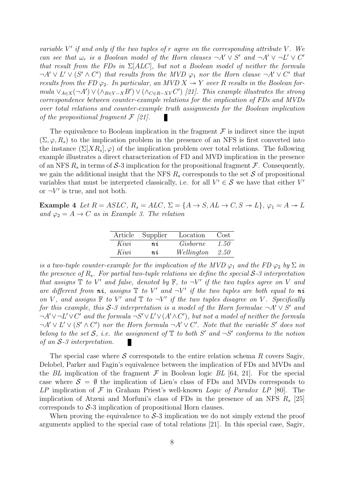*variable V ′ if and only if the two tuples of r agree on the corresponding attribute V . We* can see that  $\omega_r$  is a Boolean model of the Horn clauses  $\neg A' \vee S'$  and  $\neg A' \vee \neg L' \vee C'$ *that result from the FDs in* Σ[*ALC*]*, but not a Boolean model of neither the formula*  $\neg A' \vee L' \vee (S' \wedge C')$  that results from the MVD  $\varphi_1$  nor the Horn clause  $\neg A' \vee C'$  that *results from the FD*  $\varphi_2$ . In particular, an MVD  $X \rightarrow Y$  over R results in the Boolean formula  $\vee_{A\in X}(\neg A')\vee(\wedge_{B\in Y-X}B')\vee(\wedge_{C\in R-XY}C')$  [21]. This example illustrates the strong *correspondence between counter-example relations for the implication of FDs and MVDs over total relations and counter-example truth assignments for the Boolean implication of the propositional fragment F [21].* Ш

The equivalence to Boolean implication in the fragment  $\mathcal F$  is indirect since the input  $(\Sigma, \varphi, R_s)$  to the implication problem in the presence of an NFS is first converted into the instance  $(\Sigma [XR_s], \varphi)$  of the implication problem over total relations. The following example illustrates a direct characterization of FD and MVD implication in the presence of an NFS  $R_s$  in terms of  $S$ -3 implication for the propositional fragment  $\mathcal F$ . Consequently, we gain the additional insight that the NFS  $R_s$  corresponds to the set  $S$  of propositional variables that must be interpreted classically, i.e. for all  $V' \in S$  we have that either  $V'$ or  $\neg V'$  is true, and not both.

**Example 4** *Let*  $R = ASLC$ *,*  $R_s = ALC$ *,*  $\Sigma = \{A \rightarrow S, AL \rightarrow C, S \rightarrow L\}$ *,*  $\varphi_1 = A \rightarrow L$ *and*  $\varphi_2 = A \rightarrow C$  *as in Example 3. The relation* 

| Article | Supplier | Location   | Cost |
|---------|----------|------------|------|
| Kiwi    | n.i      | Gisborne   | 1.50 |
| Kiwi    | n.i      | Wellington | 2.50 |

*is a two-tuple counter-example for the implication of the MVD*  $\varphi_1$  *and the FD*  $\varphi_2$  *by*  $\Sigma$  *in the presence of*  $R_s$ *. For partial two-tuple relations we define the special*  $S$ -3 interpretation *that assigns*  $\mathbb{T}$  *to*  $V'$  *and false, denoted by*  $\mathbb{F}$ *, to*  $\neg V'$  *if the two tuples agree on*  $V$  *and* are different from  $n_i$ , assigns  $\mathbb{T}$  to  $V'$  and  $\neg V'$  if the two tuples are both equal to  $n_i$ *on*  $V$ , and assigns  $\mathbb F$  *to*  $V'$  and  $\mathbb T$  *to*  $\neg V'$  *if the two tuples disagree on*  $V$ *. Specifically for this example, this*  $S$ -3 *interpretation is a model of the Horn formulae*  $\neg A' \vee S'$  *and*  $\neg A' \vee \neg L' \vee C'$  and the formula  $\neg S' \vee L' \vee (A' \wedge C')$ , but not a model of neither the formula  $\neg A' \vee L' \vee (S' \wedge C')$  nor the Horn formula  $\neg A' \vee C'$ . Note that the variable S' does not *belong to the set*  $S$ *, i.e. the assignment of*  $\mathbb T$  *to both*  $S'$  *and*  $\neg S'$  *conforms to the notion of an S-3 interpretation.* 

The special case where *S* corresponds to the entire relation schema *R* covers Sagiv, Delobel, Parker and Fagin's equivalence between the implication of FDs and MVDs and the *BL* implication of the fragment  $\mathcal F$  in Boolean logic *BL* [64, 21]. For the special case where  $S = \emptyset$  the implication of Lien's class of FDs and MVDs corresponds to *LP* implication of *F* in Graham Priest's well-known *Logic of Paradox LP* [80]. The implication of Atzeni and Morfuni's class of FDs in the presence of an NFS *R<sup>s</sup>* [25] corresponds to *S*-3 implication of propositional Horn clauses.

When proving the equivalence to  $S_3$  implication we do not simply extend the proof arguments applied to the special case of total relations [21]. In this special case, Sagiv,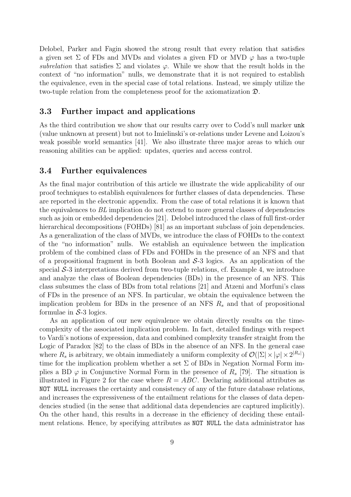Delobel, Parker and Fagin showed the strong result that every relation that satisfies a given set  $\Sigma$  of FDs and MVDs and violates a given FD or MVD  $\varphi$  has a two-tuple *subrelation* that satisfies  $\Sigma$  and violates  $\varphi$ . While we show that the result holds in the context of "no information" nulls, we demonstrate that it is not required to establish the equivalence, even in the special case of total relations. Instead, we simply utilize the two-tuple relation from the completeness proof for the axiomatization D.

#### **3.3 Further impact and applications**

As the third contribution we show that our results carry over to Codd's null marker unk (value unknown at present) but not to Imielinski's or-relations under Levene and Loizou's weak possible world semantics [41]. We also illustrate three major areas to which our reasoning abilities can be applied: updates, queries and access control.

#### **3.4 Further equivalences**

As the final major contribution of this article we illustrate the wide applicability of our proof techniques to establish equivalences for further classes of data dependencies. These are reported in the electronic appendix. From the case of total relations it is known that the equivalences to *BL* implication do not extend to more general classes of dependencies such as join or embedded dependencies [21]. Delobel introduced the class of full first-order hierarchical decompositions (FOHDs) [81] as an important subclass of join dependencies. As a generalization of the class of MVDs, we introduce the class of FOHDs to the context of the "no information" nulls. We establish an equivalence between the implication problem of the combined class of FDs and FOHDs in the presence of an NFS and that of a propositional fragment in both Boolean and *S*-3 logics. As an application of the special *S*-3 interpretations derived from two-tuple relations, cf. Example 4, we introduce and analyze the class of Boolean dependencies (BDs) in the presence of an NFS. This class subsumes the class of BDs from total relations [21] and Atzeni and Morfuni's class of FDs in the presence of an NFS. In particular, we obtain the equivalence between the implication problem for BDs in the presence of an NFS *R<sup>s</sup>* and that of propositional formulae in *S*-3 logics.

As an application of our new equivalence we obtain directly results on the timecomplexity of the associated implication problem. In fact, detailed findings with respect to Vardi's notions of expression, data and combined complexity transfer straight from the Logic of Paradox [82] to the class of BDs in the absence of an NFS. In the general case where  $R_s$  is arbitrary, we obtain immediately a uniform complexity of  $\mathcal{O}(|\Sigma| \times |\varphi| \times 2^{|R_s|})$ time for the implication problem whether a set  $\Sigma$  of BDs in Negation Normal Form implies a BD  $\varphi$  in Conjunctive Normal Form in the presence of  $R_s$  [79]. The situation is illustrated in Figure 2 for the case where *R* = *ABC*. Declaring additional attributes as NOT NULL increases the certainty and consistency of any of the future database relations, and increases the expressiveness of the entailment relations for the classes of data dependencies studied (in the sense that additional data dependencies are captured implicitly). On the other hand, this results in a decrease in the efficiency of deciding these entailment relations. Hence, by specifying attributes as NOT NULL the data administrator has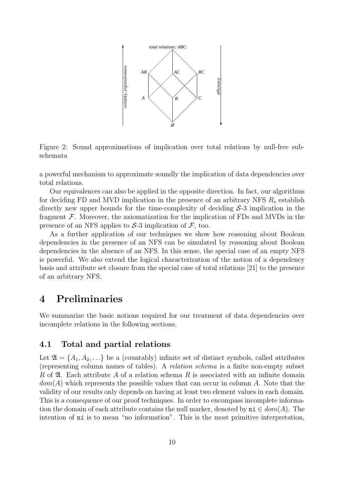

Figure 2: Sound approximations of implication over total relations by null-free subschemata

a powerful mechanism to approximate soundly the implication of data dependencies over total relations.

Our equivalences can also be applied in the opposite direction. In fact, our algorithms for deciding FD and MVD implication in the presence of an arbitrary NFS *R<sup>s</sup>* establish directly new upper bounds for the time-complexity of deciding *S*-3 implication in the fragment  $\mathcal F$ . Moreover, the axiomatization for the implication of FDs and MVDs in the presence of an NFS applies to  $S$ -3 implication of  $\mathcal F$ , too.

As a further application of our techniques we show how reasoning about Boolean dependencies in the presence of an NFS can be simulated by reasoning about Boolean dependencies in the absence of an NFS. In this sense, the special case of an empty NFS is powerful. We also extend the logical characterization of the notion of a dependency basis and attribute set closure from the special case of total relations [21] to the presence of an arbitrary NFS.

## **4 Preliminaries**

We summarize the basic notions required for our treatment of data dependencies over incomplete relations in the following sections.

#### **4.1 Total and partial relations**

Let  $\mathfrak{A} = \{A_1, A_2, \ldots\}$  be a (countably) infinite set of distinct symbols, called attributes (representing column names of tables). A *relation schema* is a finite non-empty subset *R* of **2.** Each attribute *A* of a relation schema *R* is associated with an infinite domain *dom*(*A*) which represents the possible values that can occur in column *A*. Note that the validity of our results only depends on having at least two element values in each domain. This is a consequence of our proof techniques. In order to encompass incomplete information the domain of each attribute contains the null marker, denoted by  $n \in dom(A)$ . The intention of ni is to mean "no information". This is the most primitive interpretation,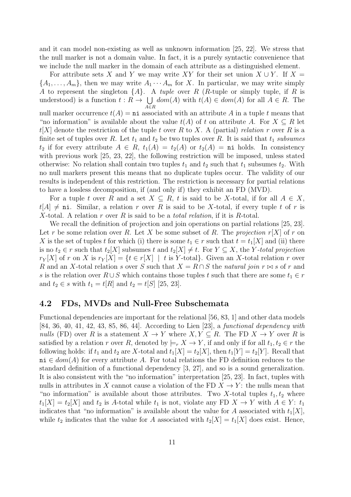and it can model non-existing as well as unknown information [25, 22]. We stress that the null marker is not a domain value. In fact, it is a purely syntactic convenience that we include the null marker in the domain of each attribute as a distinguished element.

For attribute sets *X* and *Y* we may write *XY* for their set union  $X \cup Y$ . If  $X =$  ${A_1, \ldots, A_m}$ , then we may write  $A_1 \cdots A_m$  for *X*. In particular, we may write simply *A* to represent the singleton *{A}*. A *tuple* over *R* (*R*-tuple or simply tuple, if *R* is understood) is a function  $t : R \to \bigcup dom(A)$  with  $t(A) \in dom(A)$  for all  $A \in R$ . The *A∈R* null marker occurrence  $t(A) = \text{ni}$  associated with an attribute A in a tuple t means that "no information" is available about the value  $t(A)$  of  $t$  on attribute  $A$ . For  $X \subseteq R$  let

 $t[X]$  denote the restriction of the tuple *t* over *R* to *X*. A (partial) *relation r* over *R* is a finite set of tuples over *R*. Let  $t_1$  and  $t_2$  be two tuples over *R*. It is said that  $t_1$  *subsumes t*<sub>2</sub> if for every attribute  $A \in R$ ,  $t_1(A) = t_2(A)$  or  $t_2(A) = \textbf{ni}$  holds. In consistency with previous work [25, 23, 22], the following restriction will be imposed, unless stated otherwise: No relation shall contain two tuples  $t_1$  and  $t_2$  such that  $t_1$  subsumes  $t_2$ . With no null markers present this means that no duplicate tuples occur. The validity of our results is independent of this restriction. The restriction is necessary for partial relations to have a lossless decomposition, if (and only if) they exhibit an FD (MVD).

For a tuple *t* over *R* and a set  $X \subseteq R$ , *t* is said to be *X*-total, if for all  $A \in X$ ,  $t[A] \neq \text{ni}$ . Similar, a relation *r* over *R* is said to be X-total, if every tuple *t* of *r* is *X*-total. A relation *r* over *R* is said to be a *total relation*, if it is *R*-total.

We recall the definition of projection and join operations on partial relations [25, 23]. Let r be some relation over R. Let X be some subset of R. The *projection*  $r[X]$  of r on *X* is the set of tuples *t* for which (i) there is some  $t_1 \in r$  such that  $t = t_1[X]$  and (ii) there is no  $t_2 \in r$  such that  $t_2[X]$  subsumes  $t$  and  $t_2[X] \neq t$ . For  $Y \subseteq X$ , the *Y*-total projection  $r_Y[X]$  of *r* on *X* is  $r_Y[X] = \{t \in r[X] \mid t \text{ is } Y\text{-total}\}$ . Given an *X*-total relation *r* over *R* and an *X*-total relation *s* over *S* such that  $X = R \cap S$  the *natural join*  $r \bowtie s$  of  $r$  and *s* is the relation over  $R \cup S$  which contains those tuples *t* such that there are some  $t_1 \in r$ and  $t_2 \in s$  with  $t_1 = t[R]$  and  $t_2 = t[S]$  [25, 23].

#### **4.2 FDs, MVDs and Null-Free Subschemata**

Functional dependencies are important for the relational [56, 83, 1] and other data models [84, 36, 40, 41, 42, 43, 85, 86, 44]. According to Lien [23], a *functional dependency with nulls* (FD) over *R* is a statement  $X \to Y$  where  $X, Y \subseteq R$ . The FD  $X \to Y$  over *R* is satisfied by a relation *r* over *R*, denoted by  $\models r X \rightarrow Y$ , if and only if for all  $t_1, t_2 \in r$  the following holds: if  $t_1$  and  $t_2$  are X-total and  $t_1[X] = t_2[X]$ , then  $t_1[Y] = t_2[Y]$ . Recall that ni *∈ dom*(*A*) for every attribute *A*. For total relations the FD definition reduces to the standard definition of a functional dependency [3, 27], and so is a sound generalization. It is also consistent with the "no information" interpretation [25, 23]. In fact, tuples with nulls in attributes in X cannot cause a violation of the FD  $X \to Y$ : the nulls mean that "no information" is available about those attributes. Two X-total tuples  $t_1, t_2$  where  $t_1[X] = t_2[X]$  and  $t_2$  is *A*-total while  $t_1$  is not, violate any FD  $X \to Y$  with  $A \in Y$ :  $t_1$ indicates that "no information" is available about the value for *A* associated with  $t_1[X]$ , while  $t_2$  indicates that the value for *A* associated with  $t_2[X] = t_1[X]$  does exist. Hence,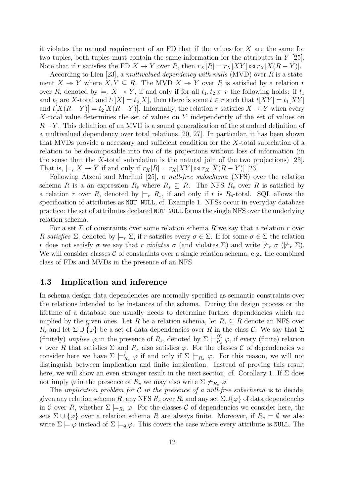it violates the natural requirement of an FD that if the values for *X* are the same for two tuples, both tuples must contain the same information for the attributes in *Y* [25]. Note that if *r* satisfies the FD  $X \to Y$  over  $R$ , then  $r_X[R] = r_X[XY] \bowtie r_X[X(R - Y)]$ .

According to Lien [23], a *multivalued dependency with nulls* (MVD) over *R* is a statement  $X \rightarrow Y$  where  $X, Y \subseteq R$ . The MVD  $X \rightarrow Y$  over R is satisfied by a relation r over *R*, denoted by  $\models r X \rightarrow Y$ , if and only if for all  $t_1, t_2 \in r$  the following holds: if  $t_1$ and  $t_2$  are *X*-total and  $t_1[X] = t_2[X]$ , then there is some  $t \in r$  such that  $t[XY] = t_1[XY]$ and  $t[X(R - Y)] = t_2[X(R - Y)]$ . Informally, the relation *r* satisfies  $X \rightarrow Y$  when every *X*-total value determines the set of values on *Y* independently of the set of values on *R* − *Y*. This definition of an MVD is a sound generalization of the standard definition of a multivalued dependency over total relations [20, 27]. In particular, it has been shown that MVDs provide a necessary and sufficient condition for the *X*-total subrelation of a relation to be decomposable into two of its projections without loss of information (in the sense that the *X*-total subrelation is the natural join of the two projections) [23]. That is,  $\models r X \rightarrow Y$  if and only if  $r_X[R] = r_X[XY] \bowtie r_X[X(R - Y)]$  [23].

Following Atzeni and Morfuni [25], a *null-free subschema* (NFS) over the relation schema *R* is a an expression  $R_s$  where  $R_s \subseteq R$ . The NFS  $R_s$  over *R* is satisfied by a relation *r* over *R*, denoted by  $\models r R_s$ , if and only if *r* is  $R_s$ -total. SQL allows the specification of attributes as NOT NULL, cf. Example 1. NFSs occur in everyday database practice: the set of attributes declared NOT NULL forms the single NFS over the underlying relation schema.

For a set  $\Sigma$  of constraints over some relation schema R we say that a relation r over *R satisfies*  $\Sigma$ , denoted by  $\models$ *r*,  $\Sigma$ , if *r* satisfies every  $\sigma \in \Sigma$ . If for some  $\sigma \in \Sigma$  the relation *r* does not satisfy  $\sigma$  we say that *r violates*  $\sigma$  (and violates  $\Sigma$ ) and write  $\not\models_r \sigma$  ( $\not\models_r \Sigma$ ). We will consider classes  $C$  of constraints over a single relation schema, e.g. the combined class of FDs and MVDs in the presence of an NFS.

#### **4.3 Implication and inference**

In schema design data dependencies are normally specified as semantic constraints over the relations intended to be instances of the schema. During the design process or the lifetime of a database one usually needs to determine further dependencies which are implied by the given ones. Let *R* be a relation schema, let  $R_s \subseteq R$  denote an NFS over *R*, and let  $\Sigma \cup {\varphi}$  be a set of data dependencies over *R* in the class *C*. We say that  $\Sigma$ (finitely) *implies*  $\varphi$  in the presence of  $R_s$ , denoted by  $\Sigma \models_{R_s}^{(f)}$  $R_s^{(U)}$   $\varphi$ , if every (finite) relation *r* over *R* that satisfies  $\Sigma$  and  $R_s$  also satisfies  $\varphi$ . For the classes *C* of dependencies we consider here we have  $\Sigma \models^f_i$  $R_s$   $\varphi$  if and only if  $\Sigma$   $\models_{R_s} \varphi$ . For this reason, we will not distinguish between implication and finite implication. Instead of proving this result here, we will show an even stronger result in the next section, cf. Corollary 1. If  $\Sigma$  does not imply  $\varphi$  in the presence of  $R_s$  we may also write  $\Sigma \not\models_{R_s} \varphi$ .

The *implication problem for*  $C$  *in the presence of a null-free subschema* is to decide, given any relation schema *R*, any NFS  $R_s$  over  $R$ , and any set  $\Sigma \cup {\varphi}$  of data dependencies in *C* over *R*, whether  $\Sigma \models_{R_s} \varphi$ . For the classes *C* of dependencies we consider here, the sets  $\Sigma \cup {\varphi}$  over a relation schema *R* are always finite. Moreover, if  $R_s = \emptyset$  we also write  $\Sigma \models \varphi$  instead of  $\Sigma \models_{\emptyset} \varphi$ . This covers the case where every attribute is NULL. The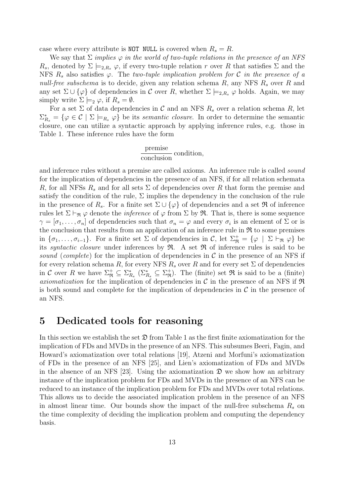case where every attribute is NOT NULL is covered when  $R_s = R$ .

We say that  $\Sigma$  *implies*  $\varphi$  *in the world of two-tuple relations in the presence of an NFS R*<sub>s</sub>, denoted by  $\Sigma \models_{2,R_s} \varphi$ , if every two-tuple relation *r* over *R* that satisfies  $\Sigma$  and the NFS  $R_s$  also satisfies  $\varphi$ . The *two-tuple implication problem for*  $\mathcal C$  *in the presence of a null-free subschema* is to decide, given any relation schema *R*, any NFS *R<sup>s</sup>* over *R* and any set  $\Sigma \cup \{\varphi\}$  of dependencies in *C* over *R*, whether  $\Sigma \models_{2,R_s} \varphi$  holds. Again, we may simply write  $\Sigma \models_2 \varphi$ , if  $R_s = \emptyset$ .

For a set  $\Sigma$  of data dependencies in  $\mathcal C$  and an NFS  $R_s$  over a relation schema  $R$ , let  $\Sigma_{R_s}^* = \{ \varphi \in \mathcal{C} \mid \Sigma \models_{R_s} \varphi \}$  be its *semantic closure*. In order to determine the semantic closure, one can utilize a syntactic approach by applying inference rules, e.g. those in Table 1. These inference rules have the form

### premise conclusion condition*,*

and inference rules without a premise are called axioms. An inference rule is called *sound* for the implication of dependencies in the presence of an NFS, if for all relation schemata *R*, for all NFSs  $R_s$  and for all sets  $\Sigma$  of dependencies over *R* that form the premise and satisfy the condition of the rule,  $\Sigma$  implies the dependency in the conclusion of the rule in the presence of  $R_s$ . For a finite set  $\Sigma \cup {\varphi}$  of dependencies and a set  $\Re$  of inference rules let  $\Sigma \vdash_{\mathfrak{R}} \varphi$  denote the *inference* of  $\varphi$  from  $\Sigma$  by  $\mathfrak{R}$ . That is, there is some sequence  $\gamma = [\sigma_1, \ldots, \sigma_n]$  of dependencies such that  $\sigma_n = \varphi$  and every  $\sigma_i$  is an element of  $\Sigma$  or is the conclusion that results from an application of an inference rule in  $\Re$  to some premises in  ${\sigma_1, \ldots, \sigma_{i-1}}$ . For a finite set  $\Sigma$  of dependencies in  $\mathcal{C}$ , let  $\Sigma^+_{\mathfrak{R}} = {\varphi \mid \Sigma \vdash_{\mathfrak{R}} \varphi}$  be its *syntactic closure* under inferences by R. A set R of inference rules is said to be *sound* (*complete*) for the implication of dependencies in  $C$  in the presence of an NFS if for every relation schema *R*, for every NFS  $R_s$  over  $R$  and for every set  $\Sigma$  of dependencies in *C* over *R* we have  $\Sigma^+_{\mathfrak{R}} \subseteq \Sigma^*_{R_s}$   $(\Sigma^*_{R_s} \subseteq \Sigma^+_{\mathfrak{R}})$  $\mathcal{R}_{\Re}^+$ ). The (finite) set  $\Re$  is said to be a (finite) *axiomatization* for the implication of dependencies in  $\mathcal{C}$  in the presence of an NFS if  $\mathfrak{R}$ is both sound and complete for the implication of dependencies in *C* in the presence of an NFS.

## **5 Dedicated tools for reasoning**

In this section we establish the set  $\mathfrak D$  from Table 1 as the first finite axiomatization for the implication of FDs and MVDs in the presence of an NFS. This subsumes Beeri, Fagin, and Howard's axiomatization over total relations [19], Atzeni and Morfuni's axiomatization of FDs in the presence of an NFS [25], and Lien's axiomatization of FDs and MVDs in the absence of an NFS [23]. Using the axiomatization  $\mathfrak{D}$  we show how an arbitrary instance of the implication problem for FDs and MVDs in the presence of an NFS can be reduced to an instance of the implication problem for FDs and MVDs over total relations. This allows us to decide the associated implication problem in the presence of an NFS in almost linear time. Our bounds show the impact of the null-free subschema *R<sup>s</sup>* on the time complexity of deciding the implication problem and computing the dependency basis.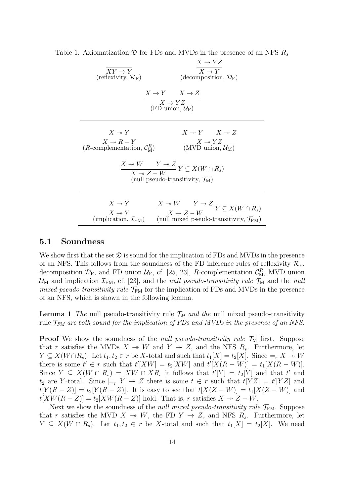Table 1: Axiomatization D for FDs and MVDs in the presence of an NFS *R<sup>s</sup>*

| $X \to YZ$<br>$XY \to Y$<br>$X \to Y$<br>(reflexivity, $\mathcal{R}_{\rm F}$ )<br>(decomposition, $\mathcal{D}_F$ )                                                                                                                                     |  |  |  |  |  |
|---------------------------------------------------------------------------------------------------------------------------------------------------------------------------------------------------------------------------------------------------------|--|--|--|--|--|
| $X \to Y \qquad X \to Z$<br>$\overline{X \rightarrow YZ}$<br>$(FD$ union, $\mathcal{U}_F$ )                                                                                                                                                             |  |  |  |  |  |
| $X \rightarrow Y$<br>$X \twoheadrightarrow Y \qquad X \twoheadrightarrow Z$<br>$\overline{X \twoheadrightarrow R - Y}$<br>$X \rightarrow YZ$<br>( <i>R</i> -complementation, $\mathcal{C}_{\mathbf{M}}^R$ )<br>(MVD union, $\mathcal{U}_{\mathrm{M}}$ ) |  |  |  |  |  |
| $\frac{X \twoheadrightarrow W \qquad Y \twoheadrightarrow Z}{X \twoheadrightarrow Z - W} Y \subseteq X(W \cap R_s)$<br>(null pseudo-transitivity, $\mathcal{T}_{M}$ )                                                                                   |  |  |  |  |  |
| $X \to Y$<br>$\frac{X \twoheadrightarrow W \qquad Y \to Z}{X \to Z - W} Y \subseteq X(W \cap R_s)$<br>$X \rightarrow Y$<br>(implication, $\mathcal{I}_{FM}$ )<br>(null mixed pseudo-transitivity, $\mathcal{T}_{FM}$ )                                  |  |  |  |  |  |

#### **5.1 Soundness**

We show first that the set  $\mathfrak D$  is sound for the implication of FDs and MVDs in the presence of an NFS. This follows from the soundness of the FD inference rules of reflexivity  $\mathcal{R}_{\text{F}}$ , decomposition  $\mathcal{D}_F$ , and FD union  $\mathcal{U}_F$ , cf. [25, 23], *R*-complementation  $\mathcal{C}_M^R$ , MVD union  $U_M$  and implication  $\mathcal{I}_{FM}$ , cf. [23], and the *null pseudo-transitivity rule*  $\mathcal{T}_M$  and the *null mixed pseudo-transitivity rule*  $\mathcal{T}_{\text{FM}}$  for the implication of FDs and MVDs in the presence of an NFS, which is shown in the following lemma.

**Lemma 1** *The* null pseudo-transitivity rule  $\mathcal{T}_M$  *and the* null mixed pseudo-transitivity rule  $\mathcal{T}_{FM}$  are both sound for the implication of FDs and MVDs in the presence of an NFS.

**Proof** We show the soundness of the *null pseudo-transitivity rule*  $\mathcal{T}_{M}$  first. Suppose that *r* satisfies the MVDs  $X \rightarrow W$  and  $Y \rightarrow Z$ , and the NFS  $R_s$ . Furthermore, let  $Y \subseteq X(W \cap R_s)$ . Let  $t_1, t_2 \in r$  be *X*-total and such that  $t_1[X] = t_2[X]$ . Since  $\models_r X \twoheadrightarrow W$ there is some  $t' \in r$  such that  $t'[XW] = t_2[XW]$  and  $t'[X(R - W)] = t_1[X(R - W)]$ . Since  $Y \subseteq X(W \cap R_s) = XW \cap XR_s$  it follows that  $t'[Y] = t_2[Y]$  and that  $t'$  and *t*<sub>2</sub> are *Y*-total. Since  $\models$ *r Y*  $\rightarrow$  *Z* there is some  $t \in$  *r* such that  $t[YZ] = t'[YZ]$  and  $t[Y(R - Z)] = t_2[Y(R - Z)]$ . It is easy to see that  $t[X(Z - W)] = t_1[X(Z - W)]$  and  $t[ XW(R - Z) ] = t_2[ XW(R - Z) ]$  hold. That is, *r* satisfies  $X \rightarrow Z - W$ .

Next we show the soundness of the *null mixed pseudo-transitivity rule*  $\mathcal{T}_{FM}$ . Suppose that *r* satisfies the MVD  $X \rightarrow W$ , the FD  $Y \rightarrow Z$ , and NFS  $R_s$ . Furthermore, let *Y* ⊆ *X*(*W* ∩ *R*<sub>*s*</sub>). Let *t*<sub>1</sub>, *t*<sub>2</sub> ∈ *r* be *X*-total and such that  $t_1[X] = t_2[X]$ . We need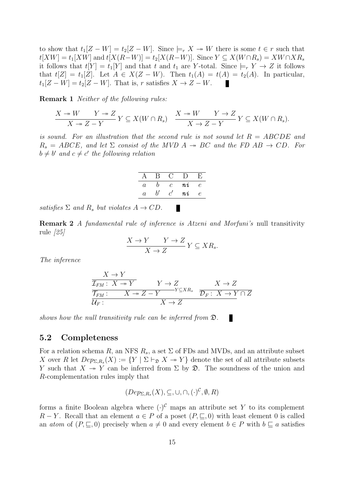to show that  $t_1[Z - W] = t_2[Z - W]$ . Since  $\models_r X \twoheadrightarrow W$  there is some  $t \in r$  such that  $t[ XW ] = t_1[ XW ]$  and  $t[ X(R-W )] = t_2[ X(R-W )]$ . Since  $Y \subseteq X(W \cap R_s) = XW \cap XR_s$ it follows that  $t[Y] = t_1[Y]$  and that *t* and  $t_1$  are *Y*-total. Since  $\models r Y \rightarrow Z$  it follows that  $t[Z] = t_1[Z]$ . Let  $A \in X(Z - W)$ . Then  $t_1(A) = t(A) = t_2(A)$ . In particular,  $t_1[Z - W] = t_2[Z - W]$ . That is, *r* satisfies  $X \to Z - W$ .

**Remark 1** *Neither of the following rules:*

$$
\frac{X \twoheadrightarrow W \qquad Y \twoheadrightarrow Z}{X \twoheadrightarrow Z - Y} Y \subseteq X(W \cap R_s) \quad \frac{X \twoheadrightarrow W \qquad Y \to Z}{X \to Z - Y} Y \subseteq X(W \cap R_s).
$$

*is sound. For an illustration that the second rule is not sound let R* = *ABCDE and*  $R_s = ABCE$ , and let  $\Sigma$  consist of the MVD  $A \rightarrow BC$  and the FD  $AB \rightarrow CD$ . For  $b \neq b'$  and  $c \neq c'$  the following relation

| $\boldsymbol{a}$ | D  | С | пi | е |
|------------------|----|---|----|---|
| $\boldsymbol{a}$ | O. |   | пî | е |

*satisfies*  $\Sigma$  *and*  $R_s$  *but violates*  $A \rightarrow CD$ *.* п

**Remark 2** *A fundamental rule of inference is Atzeni and Morfuni's* null transitivity rule *[25]*

$$
\frac{X \to Y \qquad Y \to Z}{X \to Z} Y \subseteq X R_s.
$$

*The inference*

$$
\frac{X \to Y}{\frac{\mathcal{T}_{FM}: X \to Y}{\mathcal{T}_{FM}: X \to Z - Y} Y \to Z} \times X \to Z
$$
\n
$$
\frac{\mathcal{T}_{FM}: X \to Z - Y}{\mathcal{T}_{F}: X \to Z - Y} \times X \to Z
$$
\n
$$
X \to Z
$$

*shows how the null transitivity rule can be inferred from* D*.*

#### **5.2 Completeness**

For a relation schema R, an NFS  $R_s$ , a set  $\Sigma$  of FDs and MVDs, and an attribute subset *X* over *R* let  $Dep_{\Sigma,R_s}(X) := \{ Y \mid \Sigma \vdash_{\mathfrak{D}} X \rightarrow Y \}$  denote the set of all attribute subsets *Y* such that  $X \rightarrow Y$  can be inferred from  $\Sigma$  by  $\mathfrak{D}$ . The soundness of the union and *R*-complementation rules imply that

$$
(Dep_{\Sigma,R_s}(X), \subseteq, \cup, \cap, (\cdot)^{\mathcal{C}}, \emptyset, R)
$$

forms a finite Boolean algebra where  $(\cdot)^{\mathcal{C}}$  maps an attribute set Y to its complement *R* − *Y*. Recall that an element  $a \in P$  of a poset  $(P, \subseteq, 0)$  with least element 0 is called an *atom* of  $(P, \subseteq, 0)$  precisely when  $a \neq 0$  and every element  $b \in P$  with  $b \subseteq a$  satisfies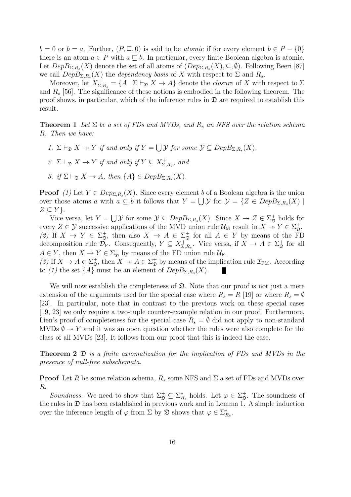$b = 0$  or  $b = a$ . Further,  $(P, \subseteq, 0)$  is said to be *atomic* if for every element  $b \in P - \{0\}$ there is an atom  $a \in P$  with  $a \subseteq b$ . In particular, every finite Boolean algebra is atomic. Let  $DepB_{\Sigma,R_s}(X)$  denote the set of all atoms of  $(Dep_{\Sigma,R_s}(X), \subseteq, \emptyset)$ . Following Beeri [87] we call  $DepB_{\Sigma,R_s}(X)$  the *dependency basis* of X with respect to  $\Sigma$  and  $R_s$ .

Moreover, let  $X_{\Sigma,R_s}^+ = \{A \mid \Sigma \vdash_{\mathfrak{D}} X \to A\}$  denote the *closure* of X with respect to  $\Sigma$ and *R<sup>s</sup>* [56]. The significance of these notions is embodied in the following theorem. The proof shows, in particular, which of the inference rules in  $\mathfrak D$  are required to establish this result.

**Theorem 1** *Let*  $\Sigma$  *be a set of FDs and MVDs, and*  $R_s$  *an NFS over the relation schema R. Then we have:*

- *1.*  $\Sigma \vdash_{\mathfrak{D}} X \rightarrow Y$  *if and only if*  $Y = \bigcup \mathcal{Y}$  *for some*  $\mathcal{Y} \subseteq \mathit{DepB}_{\Sigma,R_s}(X)$ *,*
- 2.  $\Sigma \vdash_{\mathfrak{D}} X \rightarrow Y$  *if and only if*  $Y \subseteq X_{\Sigma}^+$  $_{\Sigma,R_s}^+$ *, and*
- *3. if*  $\Sigma \vdash_{\mathfrak{D}} X \to A$ *, then*  $\{A\} \in DepB_{\Sigma, R_s}(X)$ *.*

**Proof** (1) Let  $Y \in Dep_{\Sigma,R_s}(X)$ . Since every element *b* of a Boolean algebra is the union over those atoms *a* with  $a \subseteq b$  it follows that  $Y = \bigcup \mathcal{Y}$  for  $\mathcal{Y} = \{Z \in DepB_{\Sigma,R_s}(X) \mid \mathcal{Y} = \{Z \in DepB_{\Sigma,R_s}(X) \mid \mathcal{Y} = \{Z \in DepB_{\Sigma,R_s}(X) \mid \mathcal{Y} = \{Z \in DepB_{\Sigma,R_s}(X) \mid \mathcal{Y} = \{Z \in DepB_{\Sigma,R_s}(X) \mid \mathcal{Y} = \{Z \in DepB_{\Sigma,R_s}(X) \mid \mathcal{Y} = \{$ *Z ⊆ Y }*.

Vice versa, let  $Y = \bigcup \mathcal{Y}$  for some  $\mathcal{Y} \subseteq \text{DepB}_{\Sigma,R_s}(X)$ . Since  $X \to Z \in \Sigma_{\mathfrak{D}}^+$  holds for every  $Z \in \mathcal{Y}$  successive applications of the MVD union rule  $\mathcal{U}_{M}$  result in  $X \to Y \in \Sigma_{\mathfrak{D}}^{+}$ . (2) If  $X \to Y \in \Sigma^+_{\mathfrak{D}}$ , then also  $X \to A \in \Sigma^+_{\mathfrak{D}}$  for all  $A \in Y$  by means of the FD decomposition rule  $\mathcal{D}_F$ . Consequently,  $Y \subseteq X_{\Sigma}^+$  $\sum_{\Sigma,R_s}$ . Vice versa, if  $X \to A \in \Sigma_{\mathfrak{D}}^+$  for all  $A \in Y$ , then  $X \to Y \in \Sigma_{\mathfrak{D}}^{+}$  by means of the FD union rule  $\mathcal{U}_{F}$ .

(3) If  $X \to A \in \Sigma_{\mathfrak{D}}^+$ , then  $X \to A \in \Sigma_{\mathfrak{D}}^+$  by means of the implication rule  $\mathcal{I}_{\text{FM}}$ . According to (1) the set  $\{A\}$  must be an element of  $DepB_{\Sigma,R_s}(X)$ .

We will now establish the completeness of  $\mathfrak{D}$ . Note that our proof is not just a mere extension of the arguments used for the special case where  $R_s = R$  [19] or where  $R_s = \emptyset$ [23]. In particular, note that in contrast to the previous work on these special cases [19, 23] we only require a two-tuple counter-example relation in our proof. Furthermore, Lien's proof of completeness for the special case  $R_s = \emptyset$  did not apply to non-standard MVDs  $\emptyset \rightarrow Y$  and it was an open question whether the rules were also complete for the class of all MVDs [23]. It follows from our proof that this is indeed the case.

**Theorem 2** D *is a finite axiomatization for the implication of FDs and MVDs in the presence of null-free subschemata.*

**Proof** Let *R* be some relation schema,  $R_s$  some NFS and  $\Sigma$  a set of FDs and MVDs over *R*.

*Soundness.* We need to show that  $\Sigma_{\mathfrak{D}}^+ \subseteq \Sigma_{R_s}^*$  holds. Let  $\varphi \in \Sigma_{\mathfrak{D}}^+$ . The soundness of the rules in  $\mathfrak D$  has been established in previous work and in Lemma 1. A simple induction over the inference length of  $\varphi$  from  $\Sigma$  by  $\mathfrak{D}$  shows that  $\varphi \in \Sigma_{R_s}^*$ .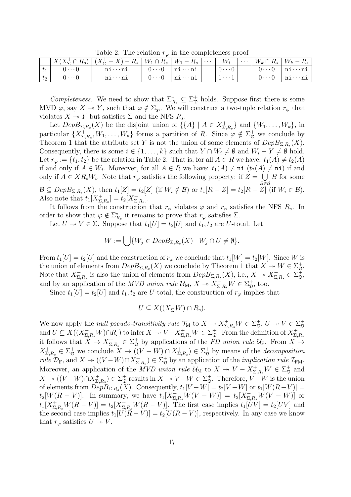|       |              | $\mid X(X_{\Sigma}^{+} \cap R_{s}) \mid (X_{\Sigma}^{+} - X) - R_{s} \mid W_{1} \cap R_{s} \mid W_{1} - R_{s} \mid \cdots \mid W_{i} \mid \cdots \mid W_{k} \cap R_{s} \mid W_{k} - R_{s}$ |                                                                                               |              |                                                                                      |  |
|-------|--------------|--------------------------------------------------------------------------------------------------------------------------------------------------------------------------------------------|-----------------------------------------------------------------------------------------------|--------------|--------------------------------------------------------------------------------------|--|
| $t_1$ | $0 \cdots 0$ | $\mathtt{ni} \cdots \mathtt{ni}$ $\mid$ $0 \cdots 0$ $\mid$ $\mathtt{ni} \cdots \mathtt{ni}$ $\mid$                                                                                        |                                                                                               |              | $\begin{array}{ c c c c c } \hline 0 & \cdots 0 & \hline \end{array}$ ni $\cdots$ ni |  |
| $t_2$ | $0 \cdots 0$ | $\mathtt{ni}\cdots\mathtt{ni}$                                                                                                                                                             | $\begin{array}{ c c c c c } \hline 0 & \cdots 0 & \texttt{ni} \cdots \texttt{ni} \end{array}$ | $1 \cdots 1$ | $\vert 0 \cdots 0 \vert$ ni $\cdots$ ni                                              |  |

Table 2: The relation  $r_\varphi$  in the completeness proof

*Completeness.* We need to show that  $\Sigma^*_{R_s} \subseteq \Sigma^+_{\mathfrak{D}}$  holds. Suppose first there is some MVD  $\varphi$ , say  $X \to Y$ , such that  $\varphi \notin \Sigma_{\mathfrak{D}}^+$ . We will construct a two-tuple relation  $r_{\varphi}$  that violates  $X \to Y$  but satisfies  $\Sigma$  and the NFS  $R_s$ .

Let  $DepB_{\Sigma,R_s}(X)$  be the disjoint union of  $\{\{A\} \mid A \in X_\Sigma^+\}$  $\{\sum_{s}^{+}\}_{s}$  and  $\{W_{1}, \ldots, W_{k}\},$  in particular  $\{X_{\Sigma}^{+}\}$  $\Sigma_{R_s}^+$ ,  $W_1, \ldots, W_k$  forms a partition of *R*. Since  $\varphi \notin \Sigma_{\mathfrak{D}}^+$  we conclude by Theorem 1 that the attribute set *Y* is not the union of some elements of  $DepB_{\Sigma,R_s}(X)$ . Consequently, there is some  $i \in \{1, \ldots, k\}$  such that  $Y \cap W_i \neq \emptyset$  and  $W_i - Y \neq \emptyset$  hold. Let  $r_{\varphi} := \{t_1, t_2\}$  be the relation in Table 2. That is, for all  $A \in R$  we have:  $t_1(A) \neq t_2(A)$ if and only if  $A \in W_i$ . Moreover, for all  $A \in R$  we have:  $t_1(A) \neq \text{ni } (t_2(A) \neq \text{ni})$  if and only if  $A \in XR_sW_i$ . Note that  $r_\varphi$  satisfies the following property: if  $Z = \bigcup B$  for some *B∈B*  $\mathcal{B} \subseteq \text{DepB}_{\Sigma,R_s}(X)$ , then  $t_1[Z] = t_2[Z]$  (if  $W_i \notin \mathcal{B}$ ) or  $t_1[R - Z] = t_2[R - Z]$  (if  $W_i \in \mathcal{B}$ ).

Also note that  $t_1[X^+_{\Sigma}]$  $[\Sigma, R_s] = t_2[X_{\Sigma_s}^+]$  $\left[\frac{+}{\Sigma,R_s}\right]$ .

It follows from the construction that  $r_{\varphi}$  violates  $\varphi$  and  $r_{\varphi}$  satisfies the NFS  $R_s$ . In order to show that  $\varphi \notin \Sigma_{R_s}^*$  it remains to prove that  $r_{\varphi}$  satisfies  $\Sigma$ .

Let  $U \rightarrow V \in \Sigma$ . Suppose that  $t_1[U] = t_2[U]$  and  $t_1, t_2$  are *U*-total. Let

$$
W := \bigcup \{ W_j \in DepB_{\Sigma,R_s}(X) \mid W_j \cap U \neq \emptyset \}.
$$

From  $t_1[U] = t_2[U]$  and the construction of  $r_\varphi$  we conclude that  $t_1[W] = t_2[W]$ . Since *W* is the union of elements from  $DepB_{\Sigma,R_s}(X)$  we conclude by Theorem 1 that  $X \to W \in \Sigma_{\mathfrak{D}}^+$ . Note that  $X^+_{\Sigma}$  $\Sigma_{R_s}^+$  is also the union of elements from  $DepB_{\Sigma,R_s}(X)$ , i.e.,  $X \to X_{\Sigma}^+$  $\sum_{\Sigma,R_s}^+ \in \Sigma_{\mathfrak{D}}^+$ and by an application of the *MVD union rule*  $\mathcal{U}_M$ ,  $X \to X_{\Sigma,R_s}^+ W \in \Sigma_{\mathfrak{D}}^+$ , too.

Since  $t_1[U] = t_2[U]$  and  $t_1, t_2$  are *U*-total, the construction of  $r_\varphi$  implies that

$$
U \subseteq X((X_{\Sigma}^+ W) \cap R_s).
$$

We now apply the *null pseudo-transitivity rule*  $\mathcal{T}_{M}$  to  $X \to X_{\Sigma,R_s}^+ W \in \Sigma_{\mathfrak{D}}^+$ ,  $U \to V \in \Sigma_{\mathfrak{D}}^+$  $\mathfrak{D}$ and  $U \subseteq X((X_{\Sigma,R_s}^+W) \cap R_s)$  to infer  $X \to V - X_{\Sigma,R_s}^+W \in \Sigma_{\mathfrak{D}}^+$ . From the definition of  $X_{\Sigma}^+$ Σ*,Rs* it follows that  $X \to X_{\Sigma}^+$  $\Sigma_{R_s}^+ \in \Sigma_{\mathfrak{D}}^+$  by applications of the *FD union rule*  $\mathcal{U}_{\mathbf{F}}$ . From  $X \to$  $X^+_{\Sigma}$  $\Sigma_{R_s}^+$   $\in \Sigma_{\mathfrak{D}}^+$  we conclude  $X \to ((V - W) \cap X_{\Sigma_s}^+)$  $(\sum_{\Sigma,R_s}^+) \in \Sigma_{\mathfrak{D}}^+$  by means of the *decomposition rule*  $\mathcal{D}_F$ , and  $X \rightarrow ((V - W) \cap X_{\Sigma}^+$  $(\Sigma, R_s) \in \Sigma^+$  by an application of the *implication rule*  $\mathcal{I}_{\text{FM}}$ . Moreover, an application of the *MVD union rule*  $\mathcal{U}_{M}$  to  $X \to V - X_{\Sigma,R_s}^+ W \in \Sigma_{\mathfrak{D}}^+$  and  $X \rightarrow ((V-W) \cap X_{\Sigma}^+)$  $\Sigma$ <sub>*E*</sub><sub>*R*</sub></sub> $\subseteq$   $\Sigma$ <sup> $+$ </sup><sub>β</sub><sup> $\subseteq$ </sup> results in *X* → *V* −*W*  $\in$   $\Sigma$ <sup> $+$ </sup><sub>β</sub><sup> $\subseteq$ </sup>. Therefore, *V* − *W* is the union of elements from  $DepB_{\Sigma,R_s}(X)$ . Consequently,  $t_1[V-W] = t_2[V-W]$  or  $t_1[W(R-V)] =$  $t_2[W(R - V)]$ . In summary, we have  $t_1[X_{\Sigma,R_s}^+ W(V - W)] = t_2[X_{\Sigma,R_s}^+ W(V - W)]$  or  $t_1[X_{\Sigma,R_s}^+W(R-V)] = t_2[X_{\Sigma,R_s}^+W(R-V)].$  The first case implies  $t_1[UV] = t_2[UV]$  and the second case implies  $t_1[U(\tilde{R} - V)] = t_2[U(R - V)]$ , respectively. In any case we know that  $r_{\varphi}$  satisfies  $U \rightarrow V$ .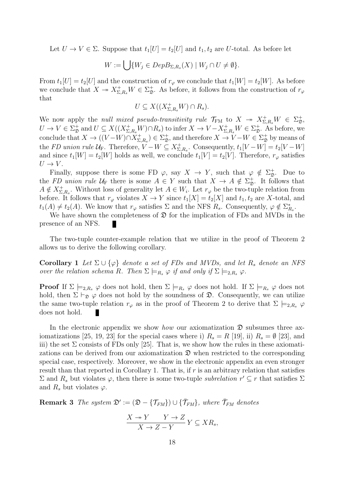Let  $U \to V \in \Sigma$ . Suppose that  $t_1[U] = t_2[U]$  and  $t_1, t_2$  are *U*-total. As before let

$$
W := \bigcup \{ W_j \in DepB_{\Sigma,R_s}(X) \mid W_j \cap U \neq \emptyset \}.
$$

From  $t_1[U] = t_2[U]$  and the construction of  $r_\varphi$  we conclude that  $t_1[W] = t_2[W]$ . As before we conclude that  $X \to X_{\Sigma,R_s}^+ W \in \Sigma_{\mathfrak{D}}^+$ . As before, it follows from the construction of  $r_\varphi$ that

$$
U \subseteq X((X_{\Sigma,R_s}^+W) \cap R_s).
$$

We now apply the *null mixed pseudo-transitivity rule*  $\mathcal{T}_{FM}$  to  $X \rightarrow X_{\Sigma,R_s}^+ W \in \Sigma_{\mathfrak{D}}^+$ ,  $U \to V \in \Sigma_{\mathfrak{D}}^{+}$  and  $U \subseteq X((X_{\Sigma,R_s}^+ W) \cap R_s)$  to infer  $X \to V - X_{\Sigma,R_s}^+ W \in \Sigma_{\mathfrak{D}}^+$ . As before, we conclude that  $X \to ((V-W) \cap X_{\Sigma}^+$  $(\Sigma, R_s) \in \Sigma^+_{\mathfrak{D}},$  and therefore  $X \to V - W \in \Sigma^+_{\mathfrak{D}}$  by means of the *FD union rule*  $\mathcal{U}_{\mathrm{F}}$ . Therefore,  $V - W \subseteq X_{\Sigma}^+$  $\sum_{i=1}^{N} E_i$ . Consequently,  $t_1[V-W] = t_2[V-W]$ and since  $t_1[W] = t_2[W]$  holds as well, we conclude  $t_1[V] = t_2[V]$ . Therefore,  $r_\varphi$  satisfies  $U \rightarrow V$ .

Finally, suppose there is some FD  $\varphi$ , say  $X \to Y$ , such that  $\varphi \notin \Sigma_{\mathfrak{D}}^{+}$ . Due to the *FD union rule*  $U_F$  there is some  $A \in Y$  such that  $X \to A \notin \Sigma_{\mathfrak{D}}^+$ . It follows that  $A \notin X_{\Sigma}^+$  $\sum_{i=1}^{n} E_i R_i$ . Without loss of generality let  $A \in W_i$ . Let  $r_\varphi$  be the two-tuple relation from before. It follows that  $r_{\varphi}$  violates  $X \to Y$  since  $t_1[X] = t_2[X]$  and  $t_1, t_2$  are X-total, and  $t_1(A) \neq t_2(A)$ . We know that  $r_{\varphi}$  satisfies  $\Sigma$  and the NFS  $R_s$ . Consequently,  $\varphi \notin \Sigma_{R_s}^*$ .

We have shown the completeness of  $\mathfrak D$  for the implication of FDs and MVDs in the presence of an NFS. П

The two-tuple counter-example relation that we utilize in the proof of Theorem 2 allows us to derive the following corollary.

**Corollary 1** *Let*  $\Sigma \cup \{\varphi\}$  *denote a set of FDs and MVDs, and let*  $R_s$  *denote an NFS over the relation schema R.* Then  $\Sigma \models_{R_s} \varphi$  *if and only if*  $\Sigma \models_{2,R_s} \varphi$ *.* 

**Proof** If  $\Sigma$   $\models_{2,R_s} \varphi$  does not hold, then  $\Sigma \models_{R_s} \varphi$  does not hold. If  $\Sigma \models_{R_s} \varphi$  does not hold, then  $\Sigma \vdash_{\mathfrak{D}} \varphi$  does not hold by the soundness of  $\mathfrak{D}$ . Consequently, we can utilize the same two-tuple relation  $r_{\varphi}$  as in the proof of Theorem 2 to derive that  $\Sigma \models_{2,R_s} \varphi$ does not hold.

In the electronic appendix we show *how* our axiomatization  $\mathfrak{D}$  subsumes three axiomatizations [25, 19, 23] for the special cases where i)  $R_s = R$  [19], ii)  $R_s = \emptyset$  [23], and iii) the set  $\Sigma$  consists of FDs only [25]. That is, we show how the rules in these axiomatizations can be derived from our axiomatization  $\mathfrak D$  when restricted to the corresponding special case, respectively. Moreover, we show in the electronic appendix an even stronger result than that reported in Corollary 1. That is, if *r* is an arbitrary relation that satisfies  $Σ$  and  $R<sub>s</sub>$  but violates  $φ$ , then there is some two-tuple *subrelation*  $r' ⊆ r$  that satisfies Σ and  $R_s$  but violates  $\varphi$ .

**Remark 3** *The system*  $\mathfrak{D}' := (\mathfrak{D} - {\{\mathcal{T}_{FM}\}}) \cup {\{\bar{\mathcal{T}}_{FM}\}}$ *, where*  $\bar{\mathcal{T}}_{FM}$  *denotes* 

$$
\frac{X \twoheadrightarrow Y \qquad Y \to Z}{X \to Z - Y} Y \subseteq X R_s,
$$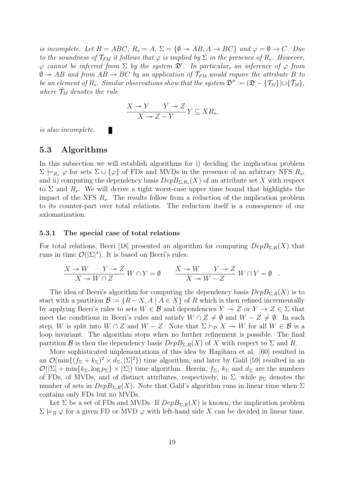*is incomplete. Let*  $R = ABC$ *,*  $R_s = A$ ,  $\Sigma = {\emptyset \rightarrow AB, A \rightarrow BC}$  and  $\varphi = \emptyset \rightarrow C$ *. Due to the soundness of*  $\mathcal{T}_{FM}$  *it follows that*  $\varphi$  *is implied by*  $\Sigma$  *in the presence of*  $R_s$ *. However, φ cannot be inferred from* Σ *by the system* D*′ . In particular, an inference of φ from*  $\ddot{\theta} \rightarrow AB$  and from  $AB \rightarrow BC$  by an application of  $\overline{\mathcal{T}}_{FM}$  would require the attribute B to *be an element of*  $R_s$ *. Similar observations show that the system*  $\mathfrak{D}'' := (\mathfrak{D} - \{\mathcal{T}_M\}) \cup \{\mathcal{T}_M\}$ , *where*  $\mathcal{T}_M$  *denotes the rule* 

$$
\frac{X \twoheadrightarrow Y \qquad Y \twoheadrightarrow Z}{X \twoheadrightarrow Z - Y} Y \subseteq X R_s,
$$

*is also incomplete.*

#### **5.3 Algorithms**

In this subsection we will establish algorithms for i) deciding the implication problem  $\Sigma \models_{R_s} \varphi$  for sets  $\Sigma \cup {\varphi}$  of FDs and MVDs in the presence of an arbitrary NFS  $R_s$ , and ii) computing the dependency basis  $DepB_{\Sigma,R_s}(X)$  of an attribute set X with respect to  $\Sigma$  and  $R_s$ . We will derive a tight worst-case upper time bound that highlights the impact of the NFS *Rs*. The results follow from a reduction of the implication problem to its counter-part over total relations. The reduction itself is a consequence of our axiomatization.

#### **5.3.1 The special case of total relations**

П

For total relations, Beeri [18] presented an algorithm for computing  $DepB_{\Sigma,R}(X)$  that runs in time  $\mathcal{O}(|\Sigma|^4)$ . It is based on Beeri's rules:

$$
\frac{X \twoheadrightarrow W \qquad Y \twoheadrightarrow Z}{X \twoheadrightarrow W \cap Z} W \cap Y = \emptyset \qquad \frac{X \twoheadrightarrow W \qquad Y \twoheadrightarrow Z}{X \twoheadrightarrow W - Z} W \cap Y = \emptyset .
$$

The idea of Beeri's algorithm for computing the dependency basis  $DepB_{\Sigma,R}(X)$  is to start with a partition  $\mathcal{B} := \{R - X, A \mid A \in X\}$  of R which is then refined incrementally by applying Beeri's rules to sets  $W \in \mathcal{B}$  and dependencies  $Y \to Z$  or  $Y \to Z \in \Sigma$  that meet the conditions in Beeri's rules and satisfy  $W \cap Z \neq \emptyset$  and  $W - Z \neq \emptyset$ . In each step, *W* is split into  $W \cap Z$  and  $W - Z$ . Note that  $\Sigma \vdash_{\mathcal{D}} X \twoheadrightarrow W$  for all  $W \in \mathcal{B}$  is a loop invariant. The algorithm stops when no further refinement is possible. The final partition *B* is then the dependency basis  $DepB_{\Sigma,R}(X)$  of X with respect to  $\Sigma$  and R.

More sophisticated implementations of this idea by Hagihara et al. [60] resulted in an  $\mathcal{O}(\min\{(f_{\Sigma}+k_{\Sigma})^2\times d_{\Sigma},|\Sigma|^2\})$  time algorithm, and later by Galil [59] resulted in an  $\mathcal{O}(|\Sigma| + \min\{k_{\Sigma}, \log p_{\Sigma}\} \times |\Sigma|)$  time algorithm. Herein,  $f_{\Sigma}$ ,  $k_{\Sigma}$  and  $d_{\Sigma}$  are the numbers of FDs, of MVDs, and of distinct attributes, respectively, in  $\Sigma$ , while  $p_{\Sigma}$  denotes the number of sets in  $DepB_{\Sigma,R}(X)$ . Note that Galil's algorithm runs in linear time when  $\Sigma$ contains only FDs but no MVDs.

Let  $\Sigma$  be a set of FDs and MVDs. If  $DepB_{\Sigma,R}(X)$  is known, the implication problem  $\Sigma \models_R \varphi$  for a given FD or MVD  $\varphi$  with left-hand side X can be decided in linear time.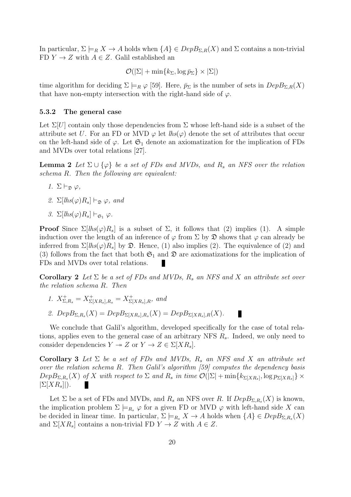In particular,  $\Sigma \models_R X \to A$  holds when  $\{A\} \in DepB_{\Sigma,R}(X)$  and  $\Sigma$  contains a non-trivial FD  $Y \to Z$  with  $A \in Z$ . Galil established an

$$
\mathcal{O}(|\Sigma| + \min\{k_{\Sigma}, \log \bar{p}_{\Sigma}\} \times |\Sigma|)
$$

time algorithm for deciding  $\Sigma \models_R \varphi$  [59]. Here,  $\bar{p}_{\Sigma}$  is the number of sets in  $DepB_{\Sigma,R}(X)$ that have non-empty intersection with the right-hand side of  $\varphi$ .

#### **5.3.2 The general case**

Let  $\Sigma[U]$  contain only those dependencies from  $\Sigma$  whose left-hand side is a subset of the attribute set *U*. For an FD or MVD  $\varphi$  let  $\text{lks}(\varphi)$  denote the set of attributes that occur on the left-hand side of  $\varphi$ . Let  $\mathfrak{S}_1$  denote an axiomatization for the implication of FDs and MVDs over total relations [27].

**Lemma 2** *Let*  $\Sigma \cup {\varphi}$  *be a set of FDs and MVDs, and*  $R_s$  *an NFS over the relation schema R. Then the following are equivalent:*

- 1.  $\Sigma \vdash_{\mathfrak{D}} \varphi$ ,
- *2.* Σ[ $lhs(φ)R_s$ ]  $\vdash_5 φ$ , and
- *3.*  $\Sigma[lhs(\varphi)R_s]$   $\vdash_{\mathfrak{S}_1} \varphi$ .

**Proof** Since  $\Sigma[lhs(\varphi)R_s]$  is a subset of  $\Sigma$ , it follows that (2) implies (1). A simple induction over the length of an inference of  $\varphi$  from  $\Sigma$  by  $\mathfrak D$  shows that  $\varphi$  can already be inferred from  $\Sigma[ks(\varphi)R_s]$  by  $\mathfrak{D}$ . Hence, (1) also implies (2). The equivalence of (2) and (3) follows from the fact that both  $\mathfrak{S}_1$  and  $\mathfrak{D}$  are axiomatizations for the implication of FDs and MVDs over total relations. П

**Corollary 2** Let  $\Sigma$  be a set of FDs and MVDs,  $R_s$  an NFS and X an attribute set over *the relation schema R. Then*

\n- 1. 
$$
X_{\Sigma,R_s}^+ = X_{\Sigma[XR_s],R_s}^+ = X_{\Sigma[XR_s],R}^+
$$
, and
\n- 2.  $DepB_{\Sigma,R_s}(X) = DepB_{\Sigma[XR_s],R_s}(X) = DepB_{\Sigma[XR_s],R}(X).$
\n

We conclude that Galil's algorithm, developed specifically for the case of total relations, applies even to the general case of an arbitrary NFS *Rs*. Indeed, we only need to consider dependencies  $Y \to Z$  or  $Y \to Z \in \Sigma[XR_s].$ 

**Corollary 3** Let  $\Sigma$  be a set of FDs and MVDs,  $R_s$  an NFS and X an attribute set *over the relation schema R. Then Galil's algorithm [59] computes the dependency basis*  $DepB_{\Sigma,R_s}(X)$  of X with respect to  $\Sigma$  and  $R_s$  in time  $\mathcal{O}(|\Sigma| + \min\{k_{\Sigma[XR_s]}, \log p_{\Sigma[XR_s]}\}\times$  $|\Sigma[XR_s]|$ ). П

Let  $\Sigma$  be a set of FDs and MVDs, and  $R_s$  an NFS over *R*. If  $DepB_{\Sigma,R_s}(X)$  is known, the implication problem  $\Sigma \models_{R_s} \varphi$  for a given FD or MVD  $\varphi$  with left-hand side X can be decided in linear time. In particular,  $\Sigma \models_{R_s} X \to A$  holds when  $\{A\} \in DepB_{\Sigma,R_s}(X)$ and  $\Sigma[XR_s]$  contains a non-trivial FD  $Y \to Z$  with  $A \in Z$ .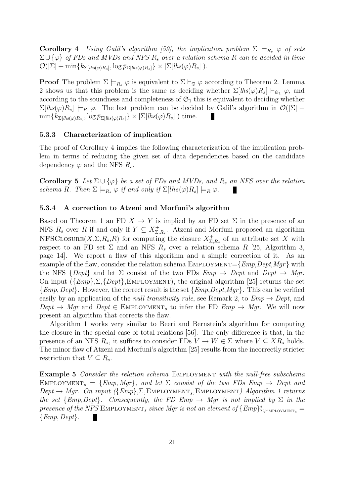**Corollary 4** *Using Galil's algorithm [59], the implication problem*  $\Sigma \models_{R_s} \varphi$  *of sets*  $\Sigma \cup {\varphi}$  *of FDs and MVDs and NFS*  $R_s$  *over a relation schema*  $R$  *can be decided in time*  $\mathcal{O}(|\Sigma| + \min\{k_{\Sigma[llbs(\varphi)R_s]},\log\bar{p}_{\Sigma[llbs(\varphi)R_s]}\} \times |\Sigma[llts(\varphi)R_s]|).$ 

**Proof** The problem  $\Sigma \models_{R_s} \varphi$  is equivalent to  $\Sigma \vdash_{\mathfrak{D}} \varphi$  according to Theorem 2. Lemma 2 shows us that this problem is the same as deciding whether  $\Sigma[lhs(\varphi)R_s] \vdash_{\mathfrak{S}_1} \varphi$ , and according to the soundness and completeness of  $\mathfrak{S}_1$  this is equivalent to deciding whether  $\Sigma[ks(\varphi)R_s] \models_R \varphi$ . The last problem can be decided by Galil's algorithm in  $\mathcal{O}(|\Sigma| +$  $\min\{k_{\Sigma[llbs(\varphi)R_s]}, \log \bar{p}_{\Sigma[llbs(\varphi)R_s]}\} \times |\Sigma[llbs(\varphi)R_s]|)$  time. L

#### **5.3.3 Characterization of implication**

The proof of Corollary 4 implies the following characterization of the implication problem in terms of reducing the given set of data dependencies based on the candidate dependency  $\varphi$  and the NFS  $R_s$ .

**Corollary 5** *Let*  $\Sigma \cup {\varphi}$  *be a set of FDs and MVDs, and*  $R_s$  *an NFS over the relation schema R. Then*  $\Sigma \models_{R_s} \varphi$  *if and only if*  $\Sigma[ln(s(\varphi)R_s] \models_R \varphi$ *.* ×

#### **5.3.4 A correction to Atzeni and Morfuni's algorithm**

Based on Theorem 1 an FD  $X \to Y$  is implied by an FD set  $\Sigma$  in the presence of an NFS  $R_s$  over  $R$  if and only if  $Y \subseteq X_{\Sigma}^+$ Σ*,Rs* . Atzeni and Morfuni proposed an algorithm  $NFSCLOSURE(X, \Sigma, R_s, R)$  for computing the closure  $X_{\Sigma}^+$  $\Sigma, R_s$  of an attribute set X with respect to an FD set  $\Sigma$  and an NFS  $R_s$  over a relation schema  $R$  [25, Algorithm 3, page 14]. We report a flaw of this algorithm and a simple correction of it. As an example of the flaw, consider the relation schema EMPLOYMENT= ${Emp, Dept, Mqr}$  with the NFS  ${Depth}$  and let  $\Sigma$  consist of the two FDs  $Emp \rightarrow Dept$  and  $Depth \rightarrow Mgr$ . On input (*{Emp}*,Σ,*{Dept}*,Employment), the original algorithm [25] returns the set *{Emp, Dept}*. However, the correct result is the set *{Emp*,*Dept*,*Mgr}*. This can be verified easily by an application of the *null transitivity rule*, see Remark 2, to  $Emp \rightarrow Dept$ , and  $Depth \rightarrow Mgr$  and  $Depth \in EMPLOYMENT_s$  to infer the FD *Emp*  $\rightarrow Mgr$ . We will now present an algorithm that corrects the flaw.

Algorithm 1 works very similar to Beeri and Bernstein's algorithm for computing the closure in the special case of total relations [56]. The only difference is that, in the presence of an NFS  $R_s$ , it suffices to consider FDs  $V \to W \in \Sigma$  where  $V \subseteq XR_s$  holds. The minor flaw of Atzeni and Morfuni's algorithm [25] results from the incorrectly stricter restriction that  $V \subseteq R_s$ .

**Example 5** *Consider the relation schema* Employment *with the null-free subschema* EMPLOYMENT<sub>s</sub> = {*Emp*, *Mgr*}, and let  $\Sigma$  consist of the two FDs Emp  $\rightarrow$  Dept and *Dept → Mgr. On input ({Emp},*Σ*,*Employment*s,*Employment*) Algorithm 1 returns the set*  ${Emp, Dept}.$  *Consequently, the FD Emp*  $\rightarrow$  *Mgr is not implied by*  $\Sigma$  *in the presence of the NFS* EMPLOYMENT<sub>s</sub> since Mgr is not an element of  ${Emp}_{\Sigma,\text{EMPLOVMENT}_s}$  = *{Emp, Dept}.*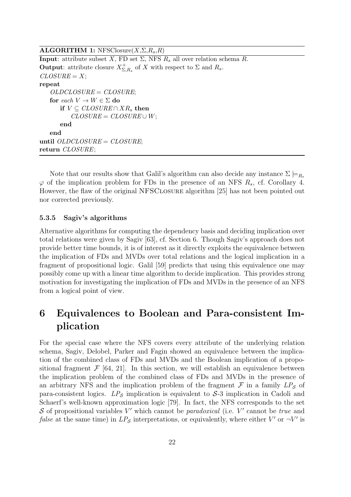#### **ALGORITHM 1:** NFSClosure $(X, \Sigma, R_s, R)$ **Input**: attribute subset *X*, FD set Σ, NFS *R<sup>s</sup>* all over relation schema *R*. **Output**: attribute closure  $X_{\Sigma}^{+}$  $\sum_{\Sigma,R_s}^{\dagger}$  of X with respect to  $\Sigma$  and  $R_s$ .  $CLOSURE = X$ ; **repeat** *OLDCLOSURE* = *CLOSURE*; **for** *each*  $V \to W \in \Sigma$  **do if**  $V ⊆ CLOSURE ∩ XR<sub>s</sub>$  **then**  $CLOSURE = CLOSURE \cup W;$ **end end until** *OLDCLOSURE* = *CLOSURE*; **return** *CLOSURE*;

Note that our results show that Galil's algorithm can also decide any instance  $\Sigma \models_{R_s}$  $\varphi$  of the implication problem for FDs in the presence of an NFS  $R_s$ , cf. Corollary 4. However, the flaw of the original NFSCLOSURE algorithm [25] has not been pointed out nor corrected previously.

#### **5.3.5 Sagiv's algorithms**

Alternative algorithms for computing the dependency basis and deciding implication over total relations were given by Sagiv [63], cf. Section 6. Though Sagiv's approach does not provide better time bounds, it is of interest as it directly exploits the equivalence between the implication of FDs and MVDs over total relations and the logical implication in a fragment of propositional logic. Galil [59] predicts that using this equivalence one may possibly come up with a linear time algorithm to decide implication. This provides strong motivation for investigating the implication of FDs and MVDs in the presence of an NFS from a logical point of view.

## **6 Equivalences to Boolean and Para-consistent Implication**

For the special case where the NFS covers every attribute of the underlying relation schema, Sagiv, Delobel, Parker and Fagin showed an equivalence between the implication of the combined class of FDs and MVDs and the Boolean implication of a propositional fragment  $\mathcal F$  [64, 21]. In this section, we will establish an equivalence between the implication problem of the combined class of FDs and MVDs in the presence of an arbitrary NFS and the implication problem of the fragment  $\mathcal F$  in a family  $LP_{\mathcal S}$  of para-consistent logics.  $LP_{\mathcal{S}}$  implication is equivalent to  $\mathcal{S}-3$  implication in Cadoli and Schaerf's well-known approximation logic [79]. In fact, the NFS corresponds to the set *S* of propositional variables *V ′* which cannot be *paradoxical* (i.e. *V ′* cannot be *true* and *false* at the same time) in  $LP_{\mathcal{S}}$  interpretations, or equivalently, where either  $V'$  or  $\neg V'$  is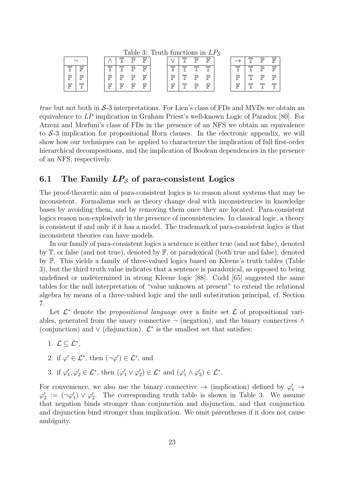Table 3: Truth functions in  $LP_s$ 

|                   |            |             |    |             |             | $\frac{1}{2}$ |             |    |   |             |             |    |    |             |
|-------------------|------------|-------------|----|-------------|-------------|---------------|-------------|----|---|-------------|-------------|----|----|-------------|
|                   |            |             | m  | ℡           | $\mathbb F$ |               |             | m  | ₪ | F           |             | ᇭ  | ₪  | $\mathbb F$ |
| m                 | R          | m           | m  | ℡           | $\mathbb F$ |               | m<br>щ      | тт | m | m<br>Ш      | m           | m  | ₪  | F           |
| ℡                 | πD         | πD          | ΠD | TD          | $\mathbb F$ |               | ₪<br>н      | тт | ₪ | TD          | πD          | 'n | ΠD | TD          |
| $\mathbb F$<br>и. | $\sqrt{ }$ | $\mathbb F$ |    | $\mathbb F$ | $\mathbb F$ |               | $\mathbb F$ | т  | ₪ | $\mathbb F$ | $\mathbb F$ | m  | m  | m           |

*true* but not both in *S*-3 interpretations. For Lien's class of FDs and MVDs we obtain an equivalence to *LP* implication in Graham Priest's well-known Logic of Paradox [80]. For Atzeni and Morfuni's class of FDs in the presence of an NFS we obtain an equivalence to *S*-3 implication for propositional Horn clauses. In the electronic appendix, we will show how our techniques can be applied to characterize the implication of full first-order hierarchical decompositions, and the implication of Boolean dependencies in the presence of an NFS, respectively.

## **6.1 The Family** *LP<sup>S</sup>* **of para-consistent Logics**

The proof-theoretic aim of para-consistent logics is to reason about systems that may be inconsistent. Formalisms such as theory change deal with inconsistencies in knowledge bases by avoiding them, and by removing them once they are located. Para-consistent logics reason non-explosively in the presence of inconsistencies. In classical logic, a theory is consistent if and only if it has a model. The trademark of para-consistent logics is that inconsistent theories can have models.

In our family of para-consistent logics a sentence is either true (and not false), denoted by T, or false (and not true), denoted by F, or paradoxical (both true and false), denoted by P. This yields a family of three-valued logics based on Kleene's truth tables (Table 3), but the third truth value indicates that a sentence is paradoxical, as opposed to being undefined or undetermined in strong Kleene logic [88]. Codd [65] suggested the same tables for the null interpretation of "value unknown at present" to extend the relational algebra by means of a three-valued logic and the null substitution principal, cf. Section 7.

Let  $\mathcal{L}^*$  denote the *propositional language* over a finite set  $\mathcal{L}$  of propositional variables, generated from the unary connective *¬* (negation), and the binary connectives *∧* (conjunction) and *∨* (disjunction). *L ∗* is the smallest set that satisfies:

- 1.  $\mathcal{L} \subseteq \mathcal{L}^*$ ,
- 2. if  $\varphi' \in \mathcal{L}^*$ , then  $(\neg \varphi') \in \mathcal{L}^*$ , and
- 3. if  $\varphi'_1, \varphi'_2 \in \mathcal{L}^*$ , then  $(\varphi'_1 \vee \varphi'_2) \in \mathcal{L}^*$  and  $(\varphi'_1 \wedge \varphi'_2) \in \mathcal{L}^*$ .

For convenience, we also use the binary connective  $\rightarrow$  (implication) defined by  $\varphi'_1 \rightarrow$  $\varphi'_{2} := (\neg \varphi'_{1}) \vee \varphi'_{2}$ . The corresponding truth table is shown in Table 3. We assume that negation binds stronger than conjunction and disjunction, and that conjunction and disjunction bind stronger than implication. We omit parentheses if it does not cause ambiguity.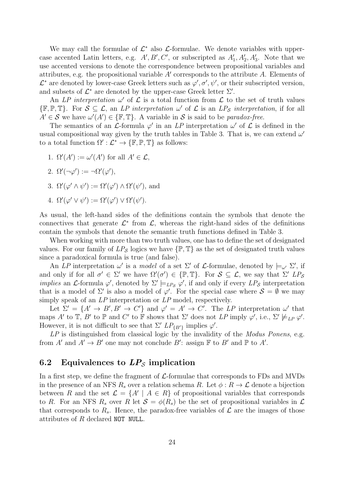We may call the formulae of  $\mathcal{L}^*$  also  $\mathcal{L}$ -formulae. We denote variables with uppercase accented Latin letters, e.g.  $A', B', C'$ , or subscripted as  $A'_{1}, A'_{2}, A'_{3}$ . Note that we use accented versions to denote the correspondence between propositional variables and attributes, e.g. the propositional variable *A′* corresponds to the attribute *A*. Elements of  $\mathcal{L}^*$  are denoted by lower-case Greek letters such as  $\varphi', \sigma', \psi'$ , or their subscripted version, and subsets of  $\mathcal{L}^*$  are denoted by the upper-case Greek letter  $\Sigma'$ .

An *LP interpretation*  $\omega'$  of  $\mathcal L$  is a total function from  $\mathcal L$  to the set of truth values  $\{\mathbb{F}, \mathbb{P}, \mathbb{T}\}$ . For  $S \subseteq \mathcal{L}$ , an *LP interpretation*  $\omega'$  of  $\mathcal{L}$  is an *LP<sub>S</sub> interpretation*, if for all  $A' \in \mathcal{S}$  we have  $\omega'(A') \in \{\mathbb{F}, \mathbb{T}\}$ . A variable in  $\mathcal{S}$  is said to be *paradox-free*.

The semantics of an *L*-formula  $\varphi'$  in an *LP* interpretation  $\omega'$  of  $\mathcal L$  is defined in the usual compositional way given by the truth tables in Table 3. That is, we can extend  $\omega'$ to a total function  $\Omega' : \mathcal{L}^* \to \{\mathbb{F}, \mathbb{P}, \mathbb{T}\}\$ as follows:

1. 
$$
\Omega'(A') := \omega'(A')
$$
 for all  $A' \in \mathcal{L}$ ,

2. 
$$
\Omega'(\neg\varphi') := \neg \Omega'(\varphi'),
$$

3.  $\Omega'(\varphi' \wedge \psi') := \Omega'(\varphi') \wedge \Omega'(\psi'),$  and

4. 
$$
\Omega'(\varphi' \vee \psi') := \Omega'(\varphi') \vee \Omega'(\psi').
$$

As usual, the left-hand sides of the definitions contain the symbols that denote the connectives that generate  $\mathcal{L}^*$  from  $\mathcal{L}$ , whereas the right-hand sides of the definitions contain the symbols that denote the semantic truth functions defined in Table 3.

When working with more than two truth values, one has to define the set of designated values. For our family of  $LP_{\mathcal{S}}$  logics we have  $\{\mathbb{P},\mathbb{T}\}\$  as the set of designated truth values since a paradoxical formula is true (and false).

An *LP* interpretation  $\omega'$  is a *model* of a set  $\Sigma'$  of *L*-formulae, denoted by  $\models_{\omega'} \Sigma'$ , if and only if for all  $\sigma' \in \Sigma'$  we have  $\Omega'(\sigma') \in \{\mathbb{P}, \mathbb{T}\}$ . For  $S \subseteq \mathcal{L}$ , we say that  $\Sigma' L P_{\mathcal{S}}$ *implies* an *L*-formula  $\varphi'$ , denoted by  $\Sigma' \models_{LP_{\mathcal{S}}} \varphi'$ , if and only if every  $LP_{\mathcal{S}}$  interpretation that is a model of  $\Sigma'$  is also a model of  $\varphi'$ . For the special case where  $S = \emptyset$  we may simply speak of an *LP* interpretation or *LP* model, respectively.

Let  $\Sigma' = \{A' \to B', B' \to C'\}$  and  $\varphi' = A' \to C'$ . The LP interpretation  $\omega'$  that maps *A'* to  $\mathbb{T}$ , *B'* to  $\mathbb{P}$  and *C'* to  $\mathbb{F}$  shows that  $\Sigma'$  does not *LP* imply  $\varphi'$ , i.e.,  $\Sigma' \not\models_{LP} \varphi'$ . However, it is not difficult to see that  $\Sigma' L P_{\{B'\}}$  implies  $\varphi'$ .

*LP* is distinguished from classical logic by the invalidity of the *Modus Ponens*, e.g. from  $A'$  and  $A' \to B'$  one may not conclude  $B'$ : assign  $\mathbb F$  to  $B'$  and  $\mathbb P$  to  $A'$ .

#### **6.2 Equivalences to** *LP<sup>S</sup>* **implication**

In a first step, we define the fragment of *L*-formulae that corresponds to FDs and MVDs in the presence of an NFS  $R_s$  over a relation schema R. Let  $\phi: R \to \mathcal{L}$  denote a bijection between *R* and the set  $\mathcal{L} = \{A' \mid A \in R\}$  of propositional variables that corresponds to *R*. For an NFS  $R_s$  over *R* let  $S = \phi(R_s)$  be the set of propositional variables in  $\mathcal{L}$ that corresponds to  $R_s$ . Hence, the paradox-free variables of  $\mathcal L$  are the images of those attributes of *R* declared NOT NULL.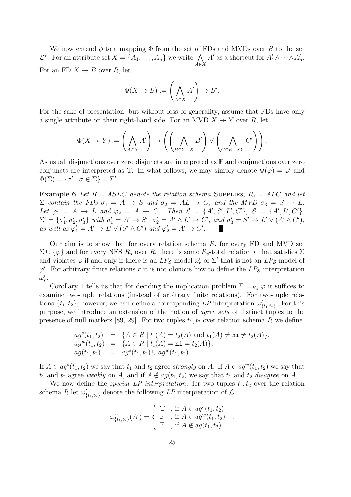We now extend  $\phi$  to a mapping  $\Phi$  from the set of FDs and MVDs over R to the set  $\mathcal{L}^*$ . For an attribute set  $X = \{A_1, \ldots, A_n\}$  we write  $\bigwedge$ *A∈X A*<sup>*′*</sup> as a shortcut for  $A'_1 \wedge \cdots \wedge A'_n$ . For an FD  $X \to B$  over  $R$ , let

$$
\Phi(X \to B) := \left(\bigwedge_{A \in X} A'\right) \to B'.
$$

For the sake of presentation, but without loss of generality, assume that FDs have only a single attribute on their right-hand side. For an MVD  $X \rightarrow Y$  over R, let

$$
\Phi(X \twoheadrightarrow Y) := \left(\bigwedge_{A \in X} A'\right) \rightarrow \left(\left(\bigwedge_{B \in Y-X} B'\right) \vee \left(\bigwedge_{C \in R-XY} C'\right)\right).
$$

As usual, disjunctions over zero disjuncts are interpreted as  $\mathbb F$  and conjunctions over zero conjuncts are interpreted as  $\mathbb{T}$ . In what follows, we may simply denote  $\Phi(\varphi) = \varphi'$  and  $\Phi(\Sigma) = \{\sigma' \mid \sigma \in \Sigma\} = \Sigma'.$ 

**Example 6** Let  $R = ASLC$  denote the relation schema SUPPLIES,  $R_s = ALC$  and let  $\Sigma$  *contain the FDs*  $\sigma_1 = A \rightarrow S$  *and*  $\sigma_2 = AL \rightarrow C$ *, and the MVD*  $\sigma_3 = S \rightarrow L$ . Let  $\varphi_1 = A \rightarrow L$  and  $\varphi_2 = A \rightarrow C$ . Then  $\mathcal{L} = \{A', S', L', C'\}, \mathcal{S} = \{A', L', C'\},\$  $\Sigma' = \{\sigma'_1, \sigma'_2, \sigma'_3\}$  with  $\sigma'_1 = A' \rightarrow S'$ ,  $\sigma'_2 = A' \wedge L' \rightarrow C'$ , and  $\sigma'_3 = S' \rightarrow L' \vee (A' \wedge C')$ , as well as  $\varphi'_1 = A' \to L' \vee (S' \wedge C')$  and  $\varphi'_2 = A' \to C'$ .

Our aim is to show that for every relation schema *R*, for every FD and MVD set  $\Sigma \cup {\varphi}$  and for every NFS  $R_s$  over  $R$ , there is some  $R_s$ -total relation  $r$  that satisfies  $\Sigma$ and violates  $\varphi$  if and only if there is an  $LP_{\mathcal{S}}$  model  $\omega'_r$  of  $\Sigma'$  that is not an  $LP_{\mathcal{S}}$  model of  $\varphi'$ . For arbitrary finite relations *r* it is not obvious how to define the  $LP_{\mathcal{S}}$  interpretation *ω ′ r* .

Corollary 1 tells us that for deciding the implication problem  $\Sigma \models_{R_s} \varphi$  it suffices to examine two-tuple relations (instead of arbitrary finite relations). For two-tuple relations  $\{t_1, t_2\}$ , however, we can define a corresponding *LP* interpretation  $\omega'_{\{t_1, t_2\}}$ . For this purpose, we introduce an extension of the notion of *agree sets* of distinct tuples to the presence of null markers [89, 29]. For two tuples  $t_1, t_2$  over relation schema R we define

$$
ag^{s}(t_1, t_2) = \{A \in R \mid t_1(A) = t_2(A) \text{ and } t_1(A) \neq \text{ni} \neq t_2(A)\},
$$
  
\n
$$
ag^{w}(t_1, t_2) = \{A \in R \mid t_1(A) = \text{ni} = t_2(A)\},
$$
  
\n
$$
ag(t_1, t_2) = ag^{s}(t_1, t_2) \cup ag^{w}(t_1, t_2).
$$

If  $A \in ag^s(t_1, t_2)$  we say that  $t_1$  and  $t_2$  agree *strongly* on  $A$ . If  $A \in ag^w(t_1, t_2)$  we say that  $t_1$  and  $t_2$  agree *weakly* on *A*, and if  $A \notin ag(t_1, t_2)$  we say that  $t_1$  and  $t_2$  *disagree* on *A*.

We now define the *special LP interpretation*: for two tuples  $t_1, t_2$  over the relation schema *R* let  $\omega'_{\{t_1, t_2\}}$  denote the following *LP* interpretation of  $\mathcal{L}$ :

$$
\omega'_{\{t_1, t_2\}}(A') = \begin{cases} \mathbb{T}^+, \text{ if } A \in ag^s(t_1, t_2) \\ \mathbb{P}^-, \text{ if } A \in ag^w(t_1, t_2) \\ \mathbb{F}^-, \text{ if } A \notin ag(t_1, t_2) \end{cases}
$$

*.*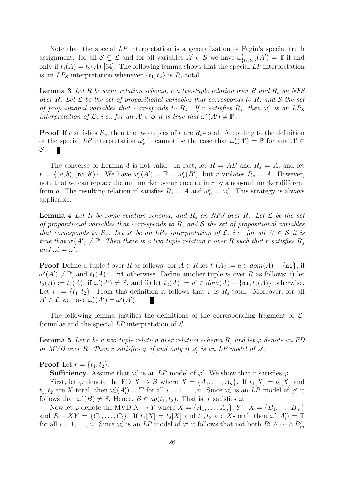Note that the special *LP* interpretation is a generalization of Fagin's special truth assignment: for all  $S \subseteq \mathcal{L}$  and for all variables  $A' \in \mathcal{S}$  we have  $\omega'_{\{t_1,t_2\}}(A') = \mathbb{T}$  if and only if  $t_1(A) = t_2(A)$  [64]. The following lemma shows that the special LP interpretation is an  $LP_{\mathcal{S}}$  interpretation whenever  $\{t_1, t_2\}$  is  $R_{\mathcal{S}}$ -total.

**Lemma 3** *Let R be some relation schema, r a two-tuple relation over R and R<sup>s</sup> an NFS over R. Let L be the set of propositional variables that corresponds to R, and S the set of propositional variables that corresponds to*  $R_s$ *. If <i>r satisfies*  $R_s$ *, then*  $\omega'_r$  *is an LP<sub>S</sub> interpretation of*  $\mathcal{L}$ *, i.e., for all*  $A' \in \mathcal{S}$  *it is true that*  $\omega'_r(A') \neq \mathbb{P}$ *.* 

**Proof** If *r* satisfies  $R_s$ , then the two tuples of *r* are  $R_s$ -total. According to the definition of the special *LP* interpretation  $\omega'_r$  it cannot be the case that  $\omega'_r(A') = \mathbb{P}$  for any  $A' \in$ *S*. 

The converse of Lemma 3 is not valid. In fact, let  $R = AB$  and  $R_s = A$ , and let  $r = \{(a, b), (\text{ni}, b')\}$ . We have  $\omega'_r(A') = \mathbb{F} = \omega'_r(B')$ , but r violates  $R_s = A$ . However, note that we can replace the null marker occurrence **ni** in r by a non-null marker different from *a*. The resulting relation *r'* satisfies  $R_s = A$  and  $\omega'_{r'} = \omega'_{r}$ . This strategy is always applicable.

**Lemma 4** Let R be some relation schema, and  $R_s$  an NFS over R. Let  $\mathcal{L}$  be the set *of propositional variables that corresponds to R, and S the set of propositional variables that corresponds to*  $R_s$ *. Let*  $\omega'$  *be an LP<sub>S</sub> interpretation of*  $\mathcal{L}$ *, i.e. for all*  $A' \in \mathcal{S}$  *it is true that*  $\omega'(A') \neq \mathbb{P}$ *. Then there is a two-tuple relation r over R such that r satisfies*  $R_s$ *and*  $\omega'_r = \omega'.$ 

**Proof** Define a tuple *t* over *R* as follows: for  $A \in R$  let  $t_1(A) := a \in dom(A) - \{ni\}$ , if  $\omega'(A') \neq \mathbb{P}$ , and  $t_1(A) :=$  ni otherwise. Define another tuple  $t_2$  over *R* as follows: i) let  $t_2(A) := t_1(A)$ , if  $\omega'(A') \neq \mathbb{F}$ , and ii) let  $t_2(A) := a' \in dom(A) - \{ni, t_1(A)\}$  otherwise. Let  $r := \{t_1, t_2\}$ . From this definition it follows that r is  $R_s$ -total. Moreover, for all  $A' \in \mathcal{L}$  we have  $\omega'_r(A') = \omega'(A')$ .

The following lemma justifies the definitions of the corresponding fragment of *L*formulae and the special *LP* interpretation of *L*.

**Lemma 5** Let *r* be a two-tuple relation over relation schema R, and let  $\varphi$  denote an FD *or MVD* over *R*. Then *r* satisfies  $\varphi$  *if and only if*  $\omega'_r$  *is an LP* model of  $\varphi'$ .

**Proof** Let  $r = \{t_1, t_2\}.$ 

**Sufficiency.** Assume that  $\omega'_r$  is an *LP* model of  $\varphi'$ . We show that *r* satisfies  $\varphi$ .

First, let  $\varphi$  denote the FD  $X \to B$  where  $X = \{A_1, \ldots, A_n\}$ . If  $t_1[X] = t_2[X]$  and  $t_1, t_2$  are *X*-total, then  $\omega'_r(A'_i) = \mathbb{T}$  for all  $i = 1, \ldots, n$ . Since  $\omega'_r$  is an *LP* model of  $\varphi'$  it follows that  $\omega'_r(B) \neq \mathbb{F}$ . Hence,  $B \in ag(t_1, t_2)$ . That is, *r* satisfies  $\varphi$ .

Now let  $\varphi$  denote the MVD  $X \to Y$  where  $X = \{A_1, \ldots, A_n\}, Y - X = \{B_1, \ldots, B_m\}$ and  $R - XY = \{C_1, \ldots, C_l\}$ . If  $t_1[X] = t_2[X]$  and  $t_1, t_2$  are X-total, then  $\omega'_r(A'_i) = \mathbb{T}$ for all  $i = 1, \ldots, n$ . Since  $\omega'_r$  is an *LP* model of  $\varphi'$  it follows that not both  $B'_1 \wedge \cdots \wedge B'_m$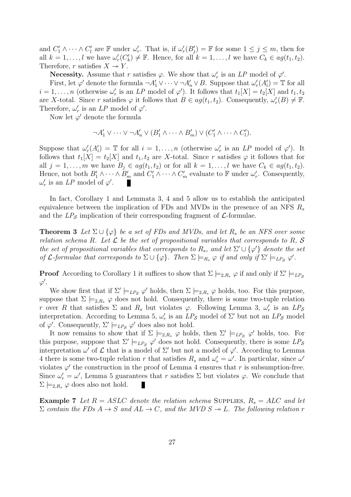and  $C'_1 \wedge \cdots \wedge C'_l$  are  $\mathbb F$  under  $\omega'_r$ . That is, if  $\omega'_r(B'_j) = \mathbb F$  for some  $1 \leq j \leq m$ , then for all  $k = 1, ..., l$  we have  $\omega'_r(C'_k) \neq \mathbb{F}$ . Hence, for all  $k = 1, ..., l$  we have  $C_k \in ag(t_1, t_2)$ . Therefore, *r* satisfies  $X \rightarrow Y$ .

**Necessity.** Assume that *r* satisfies  $\varphi$ . We show that  $\omega'_r$  is an *LP* model of  $\varphi'$ .

First, let  $\varphi'$  denote the formula  $\neg A'_1 \vee \cdots \vee \neg A'_n \vee B$ . Suppose that  $\omega'_r(A'_i) = \mathbb{T}$  for all  $i = 1, \ldots, n$  (otherwise  $\omega'_r$  is an *LP* model of  $\varphi'$ ). It follows that  $t_1[X] = t_2[X]$  and  $t_1, t_2$ are *X*-total. Since *r* satisfies  $\varphi$  it follows that  $B \in ag(t_1, t_2)$ . Consequently,  $\omega'_r(B) \neq \mathbb{F}$ . Therefore,  $\omega'_r$  is an *LP* model of  $\varphi'$ .

Now let  $\varphi'$  denote the formula

$$
\neg A'_1 \vee \cdots \vee \neg A'_n \vee (B'_1 \wedge \cdots \wedge B'_m) \vee (C'_1 \wedge \cdots \wedge C'_l).
$$

Suppose that  $\omega'_r(A'_i) = \mathbb{T}$  for all  $i = 1, \ldots, n$  (otherwise  $\omega'_r$  is an *LP* model of  $\varphi'$ ). It follows that  $t_1[X] = t_2[X]$  and  $t_1, t_2$  are X-total. Since r satisfies  $\varphi$  it follows that for all  $j = 1, \ldots, m$  we have  $B_j \in ag(t_1, t_2)$  or for all  $k = 1, \ldots, l$  we have  $C_k \in ag(t_1, t_2)$ . Hence, not both  $B'_1 \wedge \cdots \wedge B'_m$  and  $C'_1 \wedge \cdots \wedge C'_m$  evaluate to  $\mathbb F$  under  $\omega'_r$ . Consequently,  $\omega'_r$  is an *LP* model of  $\varphi'$ . п

In fact, Corollary 1 and Lemmata 3, 4 and 5 allow us to establish the anticipated equivalence between the implication of FDs and MVDs in the presence of an NFS *R<sup>s</sup>* and the  $LP_{\mathcal{S}}$  implication of their corresponding fragment of  $\mathcal{L}$ -formulae.

**Theorem 3** *Let*  $\Sigma \cup \{\varphi\}$  *be a set of FDs and MVDs, and let*  $R_s$  *be an NFS over some relation schema R.* Let  $\mathcal{L}$  be the set of propositional variables that corresponds to R<sub>*i*</sub>,  $\mathcal{S}$ *the set of propositional variables that corresponds to*  $R_s$ *, and let*  $\Sigma' \cup {\varphi'}$  *denote the set of*  $\mathcal{L}$ -formulae that corresponds to  $\Sigma \cup \{\varphi\}$ . Then  $\Sigma \models_{R_s} \varphi$  if and only if  $\Sigma' \models_{LP_{\mathcal{S}}} \varphi'$ .

**Proof** According to Corollary 1 it suffices to show that  $\Sigma \models_{2,R_s} \varphi$  if and only if  $\Sigma' \models_{LP_{\mathcal{S}}}$ *φ ′* .

We show first that if  $\Sigma' \models_{LP_{\mathcal{S}}} \varphi'$  holds, then  $\Sigma \models_{2,R_{\mathcal{S}}} \varphi$  holds, too. For this purpose, suppose that  $\Sigma \models_{2,R_s} \varphi$  does not hold. Consequently, there is some two-tuple relation *r* over *R* that satisfies  $\Sigma$  and  $R_s$  but violates  $\varphi$ . Following Lemma 3,  $\omega'_r$  is an  $LP_s$ interpretation. According to Lemma 5,  $\omega'_r$  is an  $LP_{\mathcal{S}}$  model of  $\Sigma'$  but not an  $LP_{\mathcal{S}}$  model of  $\varphi'$ . Consequently,  $\Sigma' \models_{LP_S} \varphi'$  does also not hold.

It now remains to show that if  $\Sigma \models_{2,R_s} \varphi$  holds, then  $\Sigma' \models_{LP_{\mathcal{S}}} \varphi'$  holds, too. For this purpose, suppose that  $\Sigma' \models_{LP_{\mathcal{S}}} \varphi'$  does not hold. Consequently, there is some  $LP_{\mathcal{S}}$ interpretation  $\omega'$  of  $\mathcal L$  that is a model of  $\Sigma'$  but not a model of  $\varphi'$ . According to Lemma 4 there is some two-tuple relation *r* that satisfies  $R_s$  and  $\omega'_r = \omega'$ . In particular, since  $\omega'$ violates  $\varphi'$  the construction in the proof of Lemma 4 ensures that *r* is subsumption-free. Since  $\omega'_{r} = \omega'$ , Lemma 5 guarantees that *r* satisfies  $\Sigma$  but violates  $\varphi$ . We conclude that  $\Sigma \models_{2,R_s} \varphi$  does also not hold.

**Example 7** Let  $R = ASLC$  denote the relation schema SUPPLIES,  $R_s = ALC$  and let  $\Sigma$  *contain the FDs*  $A \rightarrow S$  *and*  $AL \rightarrow C$ *, and the MVD*  $S \rightarrow L$ *. The following relation r*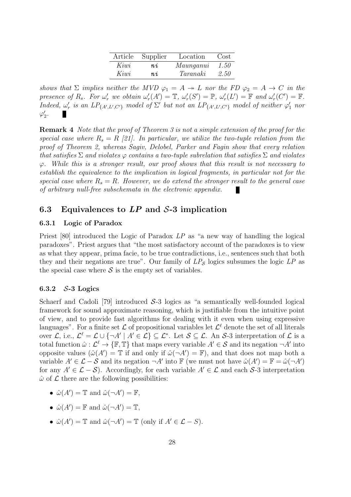| Article | Supplier | Location  | Cost |
|---------|----------|-----------|------|
| Kiwi    | пi       | Maunganui | 1.50 |
| Kiwi    | ni       | Taranaki  | 2.50 |

*shows that*  $\Sigma$  *implies neither the MVD*  $\varphi_1 = A \rightarrow L$  *nor the FD*  $\varphi_2 = A \rightarrow C$  *in the* presence of  $R_s$ . For  $\omega'_r$  we obtain  $\omega'_r(A') = \mathbb{T}$ ,  $\omega'_r(S') = \mathbb{P}$ ,  $\omega'_r(L') = \mathbb{F}$  and  $\omega'_r(C') = \mathbb{F}$ . Indeed,  $\omega'_r$  is an  $LP_{\{A',L',C'\}}$  model of  $\Sigma'$  but not an  $LP_{\{A',L',C'\}}$  model of neither  $\varphi'_1$  nor  $\varphi'_2$ .

**Remark 4** *Note that the proof of Theorem 3 is not a simple extension of the proof for the special case where*  $R_s = R$  [21]. In particular, we utilize the two-tuple relation from the *proof of Theorem 2, whereas Sagiv, Delobel, Parker and Fagin show that every relation that satisfies* Σ *and violates φ contains a two-tuple subrelation that satisfies* Σ *and violates φ. While this is a stronger result, our proof shows that this result is not necessary to establish the equivalence to the implication in logical fragments, in particular not for the special case where*  $R_s = R$ *. However, we do extend the stronger result to the general case of arbitrary null-free subschemata in the electronic appendix.*

#### **6.3 Equivalences to** *LP* **and** *S***-3 implication**

#### **6.3.1 Logic of Paradox**

Priest [80] introduced the Logic of Paradox *LP* as "a new way of handling the logical paradoxes". Priest argues that "the most satisfactory account of the paradoxes is to view as what they appear, prima facie, to be true contradictions, i.e., sentences such that both they and their negations are true". Our family of  $LP<sub>S</sub>$  logics subsumes the logic  $LP$  as the special case where  $S$  is the empty set of variables.

#### **6.3.2** *S***-3 Logics**

Schaerf and Cadoli [79] introduced S-3 logics as "a semantically well-founded logical framework for sound approximate reasoning, which is justifiable from the intuitive point of view, and to provide fast algorithms for dealing with it even when using expressive languages". For a finite set  $\mathcal L$  of propositional variables let  $\mathcal L^\ell$  denote the set of all literals over *L*, i.e.,  $\mathcal{L}^{\ell} = \mathcal{L} \cup \{\neg A' \mid A' \in \mathcal{L}\} \subseteq \mathcal{L}^*$ . Let  $\mathcal{S} \subseteq \mathcal{L}$ . An *S*-3 interpretation of  $\mathcal{L}$  is a total function  $\hat{\omega}: \mathcal{L}^{\ell} \to \{\mathbb{F}, \mathbb{T}\}\$  that maps every variable  $A' \in \mathcal{S}$  and its negation  $\neg A'$  into opposite values  $(\hat{\omega}(A') = \mathbb{T}$  if and only if  $\hat{\omega}(\neg A') = \mathbb{F}$ , and that does not map both a variable  $A' \in \mathcal{L} - \mathcal{S}$  and its negation  $\neg A'$  into  $\mathbb{F}$  (we must not have  $\hat{\omega}(A') = \mathbb{F} = \hat{\omega}(\neg A')$ for any  $A' \in \mathcal{L} - \mathcal{S}$ ). Accordingly, for each variable  $A' \in \mathcal{L}$  and each  $\mathcal{S}$ -3 interpretation  $\hat{\omega}$  of  $\mathcal L$  there are the following possibilities:

- $\hat{\omega}(A') = \mathbb{T}$  and  $\hat{\omega}(\neg A') = \mathbb{F}$ ,
- $\hat{\omega}(A') = \mathbb{F}$  and  $\hat{\omega}(\neg A') = \mathbb{T}$ ,
- $\hat{\omega}(A') = \mathbb{T}$  and  $\hat{\omega}(\neg A') = \mathbb{T}$  (only if  $A' \in \mathcal{L} S$ ).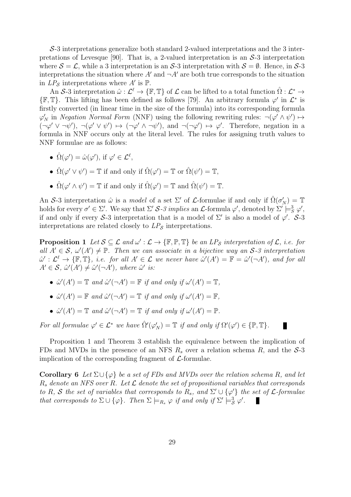*S*-3 interpretations generalize both standard 2-valued interpretations and the 3 interpretations of Levesque [90]. That is, a 2-valued interpretation is an *S*-3 interpretation where  $S = \mathcal{L}$ , while a 3 interpretation is an  $\mathcal{S}-3$  interpretation with  $\mathcal{S} = \emptyset$ . Hence, in  $\mathcal{S}-3$ interpretations the situation where  $A'$  and  $\neg A'$  are both true corresponds to the situation in  $LP_{\mathcal{S}}$  interpretations where  $A'$  is  $\mathbb{P}$ .

An *S*-3 interpretation  $\hat{\omega}: \mathcal{L}^{\ell} \to {\mathbb{F}, \mathbb{T}}$  of  $\mathcal{L}$  can be lifted to a total function  $\hat{\Omega}: \mathcal{L}^* \to$  $\{\mathbb{F}, \mathbb{T}\}$ . This lifting has been defined as follows [79]. An arbitrary formula *φ*<sup>'</sup> in  $\mathcal{L}^*$  is firstly converted (in linear time in the size of the formula) into its corresponding formula  $\varphi'_{N}$  in *Negation Normal Form* (NNF) using the following rewriting rules:  $\neg(\varphi' \land \psi') \mapsto$  $(\neg \varphi' \lor \neg \psi'), \neg (\varphi' \lor \psi') \mapsto (\neg \varphi' \land \neg \psi'),$  and  $\neg (\neg \varphi') \mapsto \varphi'.$  Therefore, negation in a formula in NNF occurs only at the literal level. The rules for assigning truth values to NNF formulae are as follows:

- $\hat{\Omega}(\varphi') = \hat{\omega}(\varphi'), \text{ if } \varphi' \in \mathcal{L}^{\ell},$
- $\hat{\Omega}(\varphi' \vee \psi') = \mathbb{T}$  if and only if  $\hat{\Omega}(\varphi') = \mathbb{T}$  or  $\hat{\Omega}(\psi') = \mathbb{T}$ ,
- $\hat{\Omega}(\varphi' \wedge \psi') = \mathbb{T}$  if and only if  $\hat{\Omega}(\varphi') = \mathbb{T}$  and  $\hat{\Omega}(\psi') = \mathbb{T}$ .

An *S*-3 interpretation  $\hat{\omega}$  is a *model* of a set  $\Sigma'$  of *L*-formulae if and only if  $\hat{\Omega}(\sigma'_{N}) = \mathbb{T}$ holds for every  $\sigma' \in \Sigma'$ . We say that  $\Sigma' S$ -3 *implies* an *L*-formula  $\varphi'$ , denoted by  $\Sigma' \models_S^3 \varphi'$ , if and only if every  $S$ -3 interpretation that is a model of  $\Sigma'$  is also a model of  $\varphi'$ .  $S$ -3 interpretations are related closely to *LP<sup>S</sup>* interpretations.

**Proposition 1** Let  $S \subseteq \mathcal{L}$  and  $\omega' : \mathcal{L} \to \{\mathbb{F}, \mathbb{P}, \mathbb{T}\}$  be an  $LP_{\mathcal{S}}$  interpretation of  $\mathcal{L}$ *, i.e. for all*  $A' \in S$ ,  $\omega'(A') \neq \mathbb{P}$ . Then we can associate in a bijective way an S-3 interpretation  $\hat{\omega}' : \mathcal{L}^{\ell} \to \{ \mathbb{F}, \mathbb{T} \},$  i.e. for all  $A' \in \mathcal{L}$  we never have  $\hat{\omega}'(A') = \mathbb{F} = \hat{\omega}'(\neg A')$ , and for all  $A' \in \mathcal{S}$ ,  $\hat{\omega}'(A') \neq \hat{\omega}'(\neg A')$ , where  $\hat{\omega}'$  is:

- $\hat{\omega}'(A') = \mathbb{T}$  and  $\hat{\omega}'(\neg A') = \mathbb{F}$  if and only if  $\omega'(A') = \mathbb{T}$ ,
- $\hat{\omega}'(A') = \mathbb{F}$  and  $\hat{\omega}'(\neg A') = \mathbb{T}$  if and only if  $\omega'(A') = \mathbb{F}$ ,
- $\hat{\omega}'(A') = \mathbb{T}$  and  $\hat{\omega}'(\neg A') = \mathbb{T}$  if and only if  $\omega'(A') = \mathbb{P}$ .

*For all formulae*  $\varphi' \in \mathcal{L}^*$  *we have*  $\hat{\Omega}'(\varphi_N') = \mathbb{T}$  *if and only if*  $\Omega'(\varphi') \in {\mathbb{P}, \mathbb{T}}$ .

Proposition 1 and Theorem 3 establish the equivalence between the implication of FDs and MVDs in the presence of an NFS *R<sup>s</sup>* over a relation schema *R*, and the *S*-3 implication of the corresponding fragment of *L*-formulae.

Г

**Corollary 6** *Let*  $\Sigma \cup \{\varphi\}$  *be a set of FDs and MVDs over the relation schema R, and let R<sup>s</sup> denote an NFS over R. Let L denote the set of propositional variables that corresponds to R*, *S* the set of variables that corresponds to  $R_s$ , and  $\Sigma' \cup {\varphi'}$  the set of L-formulae *that corresponds to*  $\Sigma \cup \{\varphi\}$ *. Then*  $\Sigma \models_{R_s} \varphi$  *if and only if*  $\Sigma' \models_{\mathcal{S}}^3 \varphi'$ *.*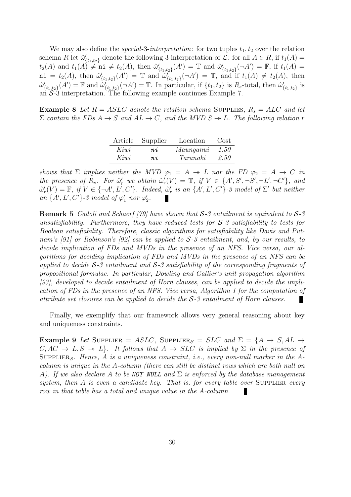We may also define the *special*-3-*interpretation*: for two tuples  $t_1, t_2$  over the relation schema *R* let  $\hat{\omega}'_{\{t_1,t_2\}}$  denote the following 3-interpretation of  $\mathcal{L}$ : for all  $A \in R$ , if  $t_1(A) =$  $t_2(A)$  and  $t_1(A) \neq n$  i  $\neq t_2(A)$ , then  $\hat{\omega}'_{\{t_1,t_2\}}(A') = \mathbb{T}$  and  $\hat{\omega}'_{\{t_1,t_2\}}(\neg A') = \mathbb{F}$ , if  $t_1(A) =$  $\mathtt{ni} = t_2(A), \text{ then } \hat{\omega}'_{\{t_1,t_2\}}(A') = \mathbb{T} \text{ and } \hat{\omega}'_{\{t_1,t_2\}}(\neg A') = \mathbb{T}, \text{ and if } t_1(A) \neq t_2(A), \text{ then}$  $\hat{\omega}'_{\{t_1,t_2\}}(A') = \mathbb{F}$  and  $\hat{\omega}'_{\{t_1,t_2\}}(\neg A') = \mathbb{T}$ . In particular, if  $\{t_1,t_2\}$  is  $R_s$ -total, then  $\hat{\omega}'_{\{t_1,t_2\}}$  is an  $S-3$  interpretation. The following example continues Example 7.

**Example 8** Let  $R = ASLC$  denote the relation schema SUPPLIES,  $R_s = ALC$  and let  $\Sigma$  *contain the FDs*  $A \rightarrow S$  *and*  $AL \rightarrow C$ *, and the MVD*  $S \rightarrow L$ *. The following relation r* 

| Article | Supplier | Location  | $\cos t$ |
|---------|----------|-----------|----------|
| Kiwi    | $n\,i$   | Maunganui | 1.50     |
| Kiwi    | ni       | Taranaki  | 2.50     |

*shows that*  $\Sigma$  *implies neither the MVD*  $\varphi_1 = A \rightarrow L$  *nor the FD*  $\varphi_2 = A \rightarrow C$  *in* the presence of  $R_s$ . For  $\hat{\omega}'_r$  we obtain  $\hat{\omega}'_r(V) = \mathbb{T}$ , if  $V \in \{A', S', \neg S', \neg L', \neg C'\}$ , and  $\hat{\omega}'_r(V) = \mathbb{F}$ , if  $V \in \{\neg A', L', C'\}$ . Indeed,  $\hat{\omega}'_r$  is an  $\{A', L', C'\}$ -3 model of  $\Sigma'$  but neither *an*  $\{A', L', C'\}$ -3 model of  $\varphi'_1$  *nor*  $\varphi'_2$ .

**Remark 5** *Cadoli and Schaerf [79] have shown that S-3 entailment is equivalent to S-3 unsatisfiability. Furthermore, they have reduced tests for S-3 satisfiability to tests for Boolean satisfiability. Therefore, classic algorithms for satisfiability like Davis and Putnam's [91] or Robinson's [92] can be applied to S-3 entailment, and, by our results, to decide implication of FDs and MVDs in the presence of an NFS. Vice versa, our algorithms for deciding implication of FDs and MVDs in the presence of an NFS can be applied to decide S-3 entailment and S-3 satisfiability of the corresponding fragments of propositional formulae. In particular, Dowling and Gallier's unit propagation algorithm [93], developed to decide entailment of Horn clauses, can be applied to decide the implication of FDs in the presence of an NFS. Vice versa, Algorithm 1 for the computation of attribute set closures can be applied to decide the S-3 entailment of Horn clauses.*

Finally, we exemplify that our framework allows very general reasoning about key and uniqueness constraints.

**Example 9** Let SUPPLIER =  $ASLC$ , SUPPLIER<sub>S</sub> =  $SLC$  and  $\Sigma = \{A \rightarrow S, AL \rightarrow S\}$  $C, AC \rightarrow L, S \rightarrow L$ . It follows that  $A \rightarrow SLC$  is implied by  $\Sigma$  in the presence of SUPPLIER<sub>S</sub>. Hence, A is a uniqueness constraint, i.e., every non-null marker in the  $A$ *column is unique in the A-column (there can still be distinct rows which are both null on A). If we also declare A to be NOT NULL and* Σ *is enforced by the database management system, then A is even a candidate key. That is, for every table over* SUPPLIER *every row in that table has a total and unique value in the A-column.* п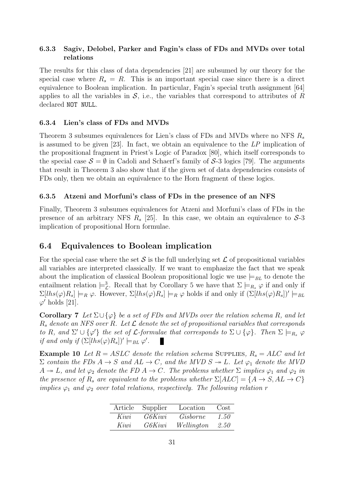#### **6.3.3 Sagiv, Delobel, Parker and Fagin's class of FDs and MVDs over total relations**

The results for this class of data dependencies [21] are subsumed by our theory for the special case where  $R_s = R$ . This is an important special case since there is a direct equivalence to Boolean implication. In particular, Fagin's special truth assignment [64] applies to all the variables in  $S$ , i.e., the variables that correspond to attributes of  $R$ declared NOT NULL.

#### **6.3.4 Lien's class of FDs and MVDs**

Theorem 3 subsumes equivalences for Lien's class of FDs and MVDs where no NFS *R<sup>s</sup>* is assumed to be given [23]. In fact, we obtain an equivalence to the *LP* implication of the propositional fragment in Priest's Logic of Paradox [80], which itself corresponds to the special case  $S = \emptyset$  in Cadoli and Schaerf's family of S-3 logics [79]. The arguments that result in Theorem 3 also show that if the given set of data dependencies consists of FDs only, then we obtain an equivalence to the Horn fragment of these logics.

#### **6.3.5 Atzeni and Morfuni's class of FDs in the presence of an NFS**

Finally, Theorem 3 subsumes equivalences for Atzeni and Morfuni's class of FDs in the presence of an arbitrary NFS  $R_s$  [25]. In this case, we obtain an equivalence to  $S$ -3 implication of propositional Horn formulae.

#### **6.4 Equivalences to Boolean implication**

For the special case where the set  $\mathcal S$  is the full underlying set  $\mathcal L$  of propositional variables all variables are interpreted classically. If we want to emphasize the fact that we speak about the implication of classical Boolean propositional logic we use  $\models$ <sub>*BL*</sub> to denote the entailment relation  $\models^3_{\mathcal{L}}$ . Recall that by Corollary 5 we have that  $\Sigma \models_{R_s} \varphi$  if and only if  $\Sigma[lns(\varphi)R_s] \models_R \varphi$ . However,  $\Sigma[lns(\varphi)R_s] \models_R \varphi$  holds if and only if  $(\Sigma[lns(\varphi)R_s])' \models_{BL}$  $\varphi'$  holds [21].

**Corollary 7** *Let*  $\Sigma \cup {\varphi}$  *be a set of FDs and MVDs over the relation schema R, and let*  $R_s$  *denote an NFS over*  $R$ *. Let*  $\mathcal L$  *denote the set of propositional variables that corresponds to R*, and  $\Sigma' \cup {\varphi'}$  *the set of L-formulae that corresponds to*  $\Sigma \cup {\varphi}$ *. Then*  $\Sigma \models_{R_s} \varphi$ *if and only if*  $(\Sigma[lns(\varphi)R_s])' \models_{BL} \varphi'$ . H.

**Example 10** Let  $R = ASLC$  denote the relation schema SUPPLIES,  $R_s = ALC$  and let  $\Sigma$  *contain the FDs*  $A \rightarrow S$  *and*  $AL \rightarrow C$ *, and the MVD*  $S \rightarrow L$ *. Let*  $\varphi_1$  *denote the MVD*  $A \rightarrow L$ *, and let*  $\varphi_2$  *denote the FD*  $A \rightarrow C$ *. The problems whether*  $\Sigma$  *implies*  $\varphi_1$  *and*  $\varphi_2$  *in the presence of*  $R_s$  *are equivalent to the problems whether*  $\Sigma[ALC] = \{A \rightarrow S, AL \rightarrow C\}$ *implies*  $\varphi_1$  *and*  $\varphi_2$  *over total relations, respectively. The following relation r* 

| Article | Supplier | Location   | Cost |
|---------|----------|------------|------|
| Kiwi    | G6Kiwi   | Gisborne   | 1.50 |
| Kiwi    | G6Kiwi   | Wellington | 2.50 |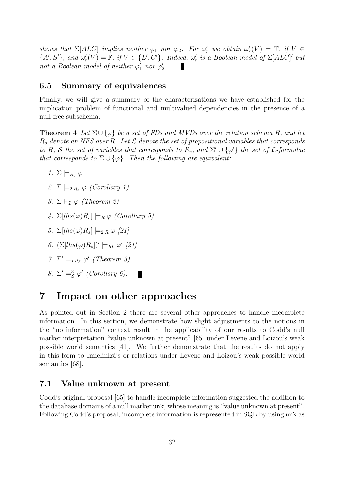*shows that*  $\Sigma[ALC]$  *implies neither*  $\varphi_1$  *nor*  $\varphi_2$ *. For*  $\omega'_r$  *we obtain*  $\omega'_r(V) = \mathbb{T}$ *, if*  $V \in$  $\{A',S'\}$ , and  $\omega'_r(V) = \mathbb{F}$ , if  $V \in \{L',C'\}$ . Indeed,  $\omega'_r$  is a Boolean model of  $\Sigma[ALC]'$  but *not a Boolean model of neither*  $\varphi'_1$  *nor*  $\varphi'_2$ *.* ш

#### **6.5 Summary of equivalences**

Finally, we will give a summary of the characterizations we have established for the implication problem of functional and multivalued dependencies in the presence of a null-free subschema.

**Theorem 4** *Let*  $\Sigma \cup {\varphi}$  *be a set of FDs and MVDs over the relation schema R, and let*  $R_s$  *denote an NFS over*  $R$ *. Let*  $\mathcal L$  *denote the set of propositional variables that corresponds to R*, *S* the set of variables that corresponds to  $R_s$ , and  $\Sigma' \cup {\varphi'}$  the set of L-formulae *that corresponds to*  $\Sigma \cup {\varphi}$ *. Then the following are equivalent:* 

- *1.*  $\Sigma \models_{R_s} \varphi$
- 2.  $\Sigma \models_{2R} \varphi$  *(Corollary 1)*
- *3.* Σ  $\vdash$ <sub>Δ</sub>  $\varphi$  *(Theorem 2)*
- $4. \Sigma[lhs(\varphi)R_s] \models_R \varphi$  *(Corollary 5)*
- *5.*  $\Sigma[lns(\varphi)R_s] \models_{2,R} \varphi$  [21]
- *6.*  $(\Sigma[ln s(\varphi)R_s])' \models_{BL} \varphi'$  [21]
- *7.*  $\Sigma' \models_{LP_{\mathcal{S}}} \varphi'$  *(Theorem 3)*
- *8.*  $\Sigma' \models_S^3 \varphi'$  *(Corollary 6).* П

## **7 Impact on other approaches**

As pointed out in Section 2 there are several other approaches to handle incomplete information. In this section, we demonstrate how slight adjustments to the notions in the "no information" context result in the applicability of our results to Codd's null marker interpretation "value unknown at present" [65] under Levene and Loizou's weak possible world semantics [41]. We further demonstrate that the results do not apply in this form to Imielinksi's or-relations under Levene and Loizou's weak possible world semantics [68].

#### **7.1 Value unknown at present**

Codd's original proposal [65] to handle incomplete information suggested the addition to the database domains of a null marker unk, whose meaning is "value unknown at present". Following Codd's proposal, incomplete information is represented in SQL by using unk as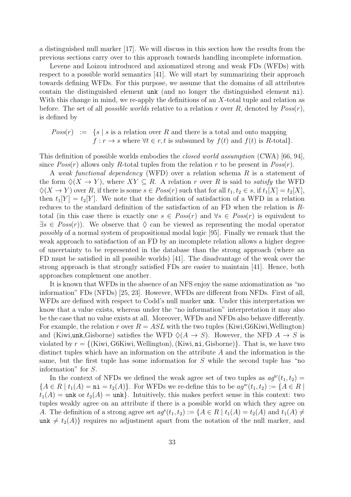a distinguished null marker [17]. We will discuss in this section how the results from the previous sections carry over to this approach towards handling incomplete information.

Levene and Loizou introduced and axiomatized strong and weak FDs (WFDs) with respect to a possible world semantics [41]. We will start by summarizing their approach towards defining WFDs. For this purpose, we assume that the domains of all attributes contain the distinguished element unk (and no longer the distinguished element ni). With this change in mind, we re-apply the definitions of an *X*-total tuple and relation as before. The set of all *possible worlds* relative to a relation *r* over *R*, denoted by *Poss*(*r*), is defined by

 $Poss(r) := \{ s \mid s \text{ is a relation over } R \text{ and there is a total and onto mapping }$  $f: r \to s$  where  $\forall t \in r, t$  is subsumed by  $f(t)$  and  $f(t)$  is *R*-total}*.* 

This definition of possible worlds embodies the *closed world assumption* (CWA) [66, 94], since  $Poss(r)$  allows only *R*-total tuples from the relation *r* to be present in  $Poss(r)$ .

A *weak functional dependency* (WFD) over a relation schema *R* is a statement of the form  $\Diamond$ (*X*  $\rightarrow$  *Y*), where *XY*  $\subseteq$  *R*. A relation *r* over *R* is said to *satisfy* the WFD  $\Diamond$ (*X*  $\rightarrow$  *Y*) over *R*, if there is some  $s \in Poss(r)$  such that for all  $t_1, t_2 \in s$ , if  $t_1[X] = t_2[X]$ , then  $t_1[Y] = t_2[Y]$ . We note that the definition of satisfaction of a WFD in a relation reduces to the standard definition of the satisfaction of an FD when the relation is *R*total (in this case there is exactly one  $s \in Poss(r)$  and  $\forall s \in Poss(r)$  is equivalent to *∃s ∈ Poss*(*r*)). We observe that ♢ can be viewed as representing the modal operator *possibly* of a normal system of propositional modal logic [95]. Finally we remark that the weak approach to satisfaction of an FD by an incomplete relation allows a higher degree of uncertainty to be represented in the database than the strong approach (where an FD must be satisfied in all possible worlds) [41]. The disadvantage of the weak over the strong approach is that strongly satisfied FDs are easier to maintain [41]. Hence, both approaches complement one another.

It is known that WFDs in the absence of an NFS enjoy the same axiomatization as "no information" FDs (NFDs) [25, 23]. However, WFDs are different from NFDs. First of all, WFDs are defined with respect to Codd's null marker unk. Under this interpretation we know that a value exists, whereas under the "no information" interpretation it may also be the case that no value exists at all. Moreover, WFDs and NFDs also behave differently. For example, the relation *r* over  $R = ASL$  with the two tuples (Kiwi,G6Kiwi,Wellington) and (Kiwi,unk,Gisborne) satisfies the WFD  $\Diamond(A \rightarrow S)$ . However, the NFD  $A \rightarrow S$  is violated by  $r = \{(\text{Kiwi}, \text{G6Kiwi}, \text{Wellington}), (\text{Kiwi}, \text{ni}, \text{Gisborne})\}$ . That is, we have two distinct tuples which have an information on the attribute *A* and the information is the same, but the first tuple has some information for *S* while the second tuple has "no information" for *S*.

In the context of NFDs we defined the weak agree set of two tuples as  $ag^w(t_1, t_2)$  =  ${A \in R \mid t_1(A) = n \mathbf{i} = t_2(A)}$ . For WFDs we re-define this to be  $ag^w(t_1, t_2) := {A \in R \mid t_1(A) = n \mathbf{i} = t_2(A)}$ .  $t_1(A) = \text{unk}$  or  $t_2(A) = \text{unk}$ . Intuitively, this makes perfect sense in this context: two tuples weakly agree on an attribute if there is a possible world on which they agree on *A*. The definition of a strong agree set  $ag^s(t_1, t_2) := \{A \in R \mid t_1(A) = t_2(A) \text{ and } t_1(A) \neq 0\}$ unk  $\neq t_2(A)$ } requires no adjustment apart from the notation of the null marker, and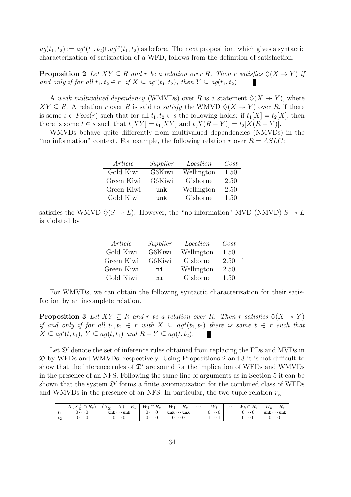$ag(t_1, t_2) := ag^s(t_1, t_2) \cup ag^w(t_1, t_2)$  as before. The next proposition, which gives a syntactic characterization of satisfaction of a WFD, follows from the definition of satisfaction.

**Proposition 2** *Let*  $XY \subseteq R$  *and*  $r$  *be a relation over*  $R$ *. Then*  $r$  *satisfies*  $\Diamond(X \to Y)$  *if and only if for all*  $t_1, t_2 \in r$ *, if*  $X \subseteq ag^s(t_1, t_2)$ *, then*  $Y \subseteq ag(t_1, t_2)$ *.* 

A *weak multivalued dependency* (WMVDs) over *R* is a statement  $\Diamond$  (*X*  $\rightarrow$  *Y*), where *XY*  $\subset$  *R*. A relation *r* over *R* is said to *satisfy* the WMVD  $\Diamond$ (*X* → *Y*) over *R*, if there is some  $s \in Poss(r)$  such that for all  $t_1, t_2 \in s$  the following holds: if  $t_1[X] = t_2[X]$ , then there is some  $t \in s$  such that  $t[XY] = t_1[XY]$  and  $t[X(R - Y)] = t_2[X(R - Y)]$ .

WMVDs behave quite differently from multivalued dependencies (NMVDs) in the "no information" context. For example, the following relation  $r$  over  $R = ASLC$ :

| Article    | Supplier | Location   | Cost |
|------------|----------|------------|------|
| Gold Kiwi  | G6Kiwi   | Wellington | 1.50 |
| Green Kiwi | G6Kiwi   | Gisborne   | 2.50 |
| Green Kiwi | unk      | Wellington | 2.50 |
| Gold Kiwi  | unk      | Gisborne   | 1.50 |

satisfies the WMVD  $\Diamond (S \rightarrow L)$ . However, the "no information" MVD (NMVD)  $S \rightarrow L$ is violated by

| Article    | Supplier | Location   | Cost |
|------------|----------|------------|------|
| Gold Kiwi  | G6Kiwi   | Wellington | 1.50 |
| Green Kiwi | G6Kiwi   | Gisborne   | 2.50 |
| Green Kiwi | ni       | Wellington | 2.50 |
| Gold Kiwi  | ni       | Gisborne   | 1.50 |

.

For WMVDs, we can obtain the following syntactic characterization for their satisfaction by an incomplete relation.

**Proposition 3** Let  $XY \subseteq R$  and *r* be a relation over R. Then *r* satisfies  $\Diamond(X \rightarrow Y)$ *if and only if for all*  $t_1, t_2 \in r$  *with*  $X \subseteq ag^s(t_1, t_2)$  *there is some*  $t \in r$  *such that*  $X \subseteq ag^s(t, t_1), Y \subseteq ag(t, t_1)$  *and*  $R - Y \subseteq ag(t, t_2)$ *.* 

Let  $\mathfrak{D}'$  denote the set of inference rules obtained from replacing the FDs and MVDs in D by WFDs and WMVDs, respectively. Using Propositions 2 and 3 it is not difficult to show that the inference rules of  $\mathcal{D}'$  are sound for the implication of WFDs and WMVDs in the presence of an NFS. Following the same line of arguments as in Section 5 it can be shown that the system  $\mathfrak{D}'$  forms a finite axiomatization for the combined class of WFDs and WMVDs in the presence of an NFS. In particular, the two-tuple relation  $r_\varphi$ 

|       | $X(X_{\nabla}^+\cap R_s)$ | $(X_{\Sigma}^{+})$<br>$\zeta - X$ ) – $R_s$ | $W_1 \cap R_s$ | $W_1 - R_s$                        | $\cdots$ | $W_i$        | $\cdots$ | $W_k \cap R_s$ | $W_k - R_s$      |
|-------|---------------------------|---------------------------------------------|----------------|------------------------------------|----------|--------------|----------|----------------|------------------|
| $t_1$ | $0 \cdots 0$              | $unk \cdots$ unk                            | $0 \cdots 0$   | $\mathtt{unk} \cdots \mathtt{unk}$ |          | $0 \cdots 0$ |          | $0 \cdots 0$   | $unk \cdots unk$ |
| $t_2$ | $0 \cdots 0$              | $0 \cdots 0$                                | $0 \cdots 0$   | $0 \cdots 0$                       |          | .            |          | $0 \cdots 0$   | $0 \cdots 0$     |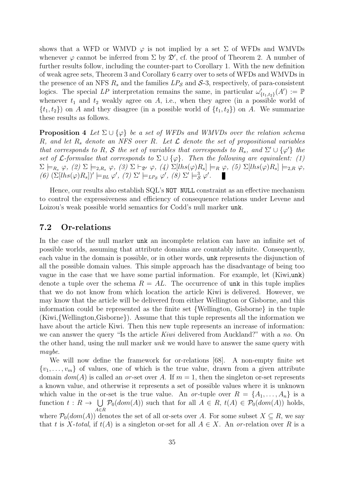shows that a WFD or WMVD  $\varphi$  is not implied by a set  $\Sigma$  of WFDs and WMVDs whenever  $\varphi$  cannot be inferred from  $\Sigma$  by  $\mathfrak{D}'$ , cf. the proof of Theorem 2. A number of further results follow, including the counter-part to Corollary 1. With the new definition of weak agree sets, Theorem 3 and Corollary 6 carry over to sets of WFDs and WMVDs in the presence of an NFS  $R_s$  and the families  $LP_s$  and  $S$ -3, respectively, of para-consistent logics. The special LP interpretation remains the same, in particular  $\omega'_{\{t_1,t_2\}}(A') := \mathbb{P}$ whenever  $t_1$  and  $t_2$  weakly agree on  $A$ , i.e., when they agree (in a possible world of  ${t_1, t_2}$  on *A* and they disagree (in a possible world of  ${t_1, t_2}$ ) on *A*. We summarize these results as follows.

**Proposition 4** *Let*  $\Sigma \cup {\varphi}$  *be a set of WFDs and WMVDs over the relation schema R, and let R<sup>s</sup> denote an NFS over R. Let L denote the set of propositional variables that corresponds to R*, *S the set of variables that corresponds to*  $R_s$ *, and*  $\Sigma' \cup \{\varphi'\}$  *the set of*  $\mathcal{L}$ *-formulae that corresponds to*  $\Sigma \cup {\varphi}$ *. Then the following are equivalent: (1)*  $\Sigma\models_{R_s}\varphi, \; (2)\; \Sigma\models_{2,R_s}\varphi, \; (3)\; \Sigma\models_{\mathfrak{D}'}\varphi, \; (4)\; \Sigma[lhs(\varphi)R_s]\models_R \varphi, \; (5)\; \Sigma[lhs(\varphi)R_s]\models_{2,R}\varphi,$ (6)  $(\Sigma[lhs(\varphi)R_s])' \models_{BL} \varphi', (7) \Sigma' \models_{LPs} \varphi', (8) \Sigma' \models_{\mathcal{S}}^3 \varphi'.$ 

Hence, our results also establish SQL's NOT NULL constraint as an effective mechanism to control the expressiveness and efficiency of consequence relations under Levene and Loizou's weak possible world semantics for Codd's null marker unk.

#### **7.2 Or-relations**

In the case of the null marker unk an incomplete relation can have an infinite set of possible worlds, assuming that attribute domains are countably infinite. Consequently, each value in the domain is possible, or in other words, unk represents the disjunction of all the possible domain values. This simple approach has the disadvantage of being too vague in the case that we have some partial information. For example, let (Kiwi,unk) denote a tuple over the schema  $R = AL$ . The occurrence of unk in this tuple implies that we do not know from which location the article Kiwi is delivered. However, we may know that the article will be delivered from either Wellington or Gisborne, and this information could be represented as the finite set *{*Wellington, Gisborne*}* in the tuple (Kiwi,*{*Wellington,Gisborne*}*). Assume that this tuple represents all the information we have about the article Kiwi. Then this new tuple represents an increase of information: we can answer the query "Is the article *Kiwi* delivered from Auckland?" with a *no*. On the other hand, using the null marker *unk* we would have to answer the same query with *maybe*.

We will now define the framework for or-relations [68]. A non-empty finite set  $\{v_1, \ldots, v_m\}$  of values, one of which is the true value, drawn from a given attribute domain  $dom(A)$  is called an *or*-set over *A*. If  $m = 1$ , then the singleton or-set represents a known value, and otherwise it represents a set of possible values where it is unknown which value in the or-set is the true value. An *or*-tuple over  $R = \{A_1, \ldots, A_n\}$  is a function  $t: R \to \bigcup \mathcal{P}_0(dom(A))$  such that for all  $A \in R$ ,  $t(A) \in \mathcal{P}_0(dom(A))$  holds, *A∈R* where  $\mathcal{P}_0(\text{dom}(A))$  denotes the set of all or-sets over *A*. For some subset  $X \subseteq R$ , we say that *t* is *X*-*total*, if  $t(A)$  is a singleton or-set for all  $A \in X$ . An *or*-relation over R is a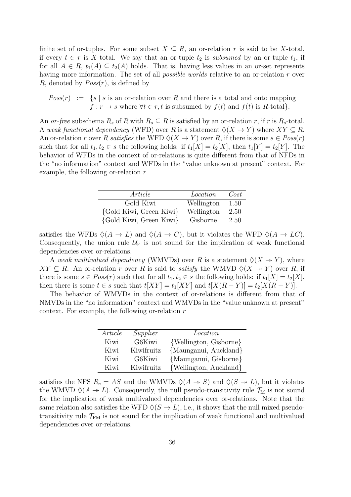finite set of or-tuples. For some subset  $X \subseteq R$ , an or-relation r is said to be X-total, if every *t* ∈ *r* is *X*-total. We say that an or-tuple  $t_2$  is *subsumed* by an or-tuple  $t_1$ , if for all  $A \in R$ ,  $t_1(A) \subseteq t_2(A)$  holds. That is, having less values in an or-set represents having more information. The set of all *possible worlds* relative to an or-relation *r* over *R*, denoted by *Poss*(*r*), is defined by

*Poss*(*r*) := {*s* | *s* is an or-relation over *R* and there is a total and onto mapping 
$$
f: r \to s
$$
 where  $\forall t \in r, t$  is subsumed by  $f(t)$  and  $f(t)$  is *R*-total}.

An *or-free* subschema  $R_s$  of  $R$  with  $R_s \subseteq R$  is satisfied by an or-relation  $r$ , if  $r$  is  $R_s$ -total. A weak functional dependency (WFD) over R is a statement  $\Diamond(X \to Y)$  where  $XY \subseteq R$ . An or-relation *r* over *R satisfies* the WFD  $\Diamond$ (*X*  $\rightarrow$  *Y*) over *R*, if there is some  $s \in Poss(r)$ such that for all  $t_1, t_2 \in s$  the following holds: if  $t_1[X] = t_2[X]$ , then  $t_1[Y] = t_2[Y]$ . The behavior of WFDs in the context of or-relations is quite different from that of NFDs in the "no information" context and WFDs in the "value unknown at present" context. For example, the following or-relation *r*

| Article                 | Location   | Cost |
|-------------------------|------------|------|
| Gold Kiwi               | Wellington | 1.50 |
| {Gold Kiwi, Green Kiwi} | Wellington | 2.50 |
| {Gold Kiwi, Green Kiwi} | Gisborne   | 2.50 |

satisfies the WFDs  $\Diamond(A \to L)$  and  $\Diamond(A \to C)$ , but it violates the WFD  $\Diamond(A \to LC)$ . Consequently, the union rule  $\mathcal{U}_F$  is not sound for the implication of weak functional dependencies over or-relations.

A *weak multivalued dependency* (WMVDs) over *R* is a statement  $\Diamond$ (*X*  $\rightarrow$  *Y*), where *XY*  $\subset$  *R*. An or-relation *r* over *R* is said to *satisfy* the WMVD  $\Diamond$ (*X* → *Y*) over *R*, if there is some  $s \in Poss(r)$  such that for all  $t_1, t_2 \in s$  the following holds: if  $t_1[X] = t_2[X]$ , then there is some  $t \in s$  such that  $t[XY] = t_1[XY]$  and  $t[X(R - Y)] = t_2[X(R - Y)]$ .

The behavior of WMVDs in the context of or-relations is different from that of NMVDs in the "no information" context and WMVDs in the "value unknown at present" context. For example, the following or-relation *r*

| Article | Supplier   | Location               |
|---------|------------|------------------------|
| Kiwi    | G6Kiwi     | {Wellington, Gisborne} |
| Kiwi    | Kiwifruitz | {Maunganui, Auckland}  |
| Kiwi    | G6Kiwi     | {Maunganui, Gisborne}  |
| Kiwi    | Kiwifruitz | {Wellington, Auckland} |

satisfies the NFS  $R_s = AS$  and the WMVDs  $\Diamond(A \rightarrow S)$  and  $\Diamond(S \rightarrow L)$ , but it violates the WMVD  $\Diamond(A \rightarrow L)$ . Consequently, the null pseudo-transitivity rule  $\mathcal{T}_{M}$  is not sound for the implication of weak multivalued dependencies over or-relations. Note that the same relation also satisfies the WFD  $\Diamond (S \to L)$ , i.e., it shows that the null mixed pseudotransitivity rule  $\mathcal{T}_{FM}$  is not sound for the implication of weak functional and multivalued dependencies over or-relations.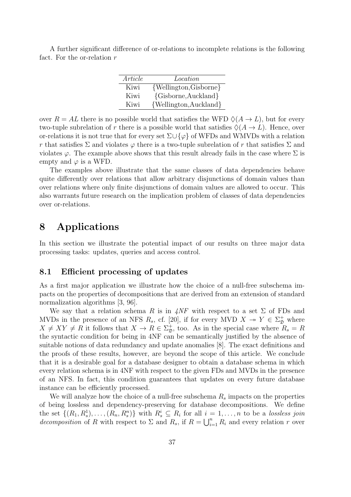A further significant difference of or-relations to incomplete relations is the following fact. For the or-relation *r*

| Article | Location               |
|---------|------------------------|
| Kiwi    | {Wellington, Gisborne} |
| Kiwi    | ${Gisborne, Auckland}$ |
| Kiwi    | {Wellington, Auckland} |

over  $R = AL$  there is no possible world that satisfies the WFD  $\Diamond(A \to L)$ , but for every two-tuple subrelation of *r* there is a possible world that satisfies  $\Diamond(A \to L)$ . Hence, over or-relations it is not true that for every set Σ*∪{φ}* of WFDs and WMVDs with a relation *r* that satisfies  $\Sigma$  and violates  $\varphi$  there is a two-tuple subrelation of *r* that satisfies  $\Sigma$  and violates  $\varphi$ . The example above shows that this result already fails in the case where  $\Sigma$  is empty and  $\varphi$  is a WFD.

The examples above illustrate that the same classes of data dependencies behave quite differently over relations that allow arbitrary disjunctions of domain values than over relations where only finite disjunctions of domain values are allowed to occur. This also warrants future research on the implication problem of classes of data dependencies over or-relations.

## **8 Applications**

In this section we illustrate the potential impact of our results on three major data processing tasks: updates, queries and access control.

#### **8.1 Efficient processing of updates**

As a first major application we illustrate how the choice of a null-free subschema impacts on the properties of decompositions that are derived from an extension of standard normalization algorithms [3, 96].

We say that a relation schema R is in  $4NF$  with respect to a set  $\Sigma$  of FDs and MVDs in the presence of an NFS  $R_s$ , cf. [20], if for every MVD  $X \rightarrow Y \in \Sigma_{\mathfrak{D}}^+$  where  $X \neq XY \neq R$  it follows that  $X \to R \in \Sigma_{\mathfrak{D}}^{+}$ , too. As in the special case where  $R_s = R$ the syntactic condition for being in 4NF can be semantically justified by the absence of suitable notions of data redundancy and update anomalies [8]. The exact definitions and the proofs of these results, however, are beyond the scope of this article. We conclude that it is a desirable goal for a database designer to obtain a database schema in which every relation schema is in 4NF with respect to the given FDs and MVDs in the presence of an NFS. In fact, this condition guarantees that updates on every future database instance can be efficiently processed.

We will analyze how the choice of a null-free subschema *R<sup>s</sup>* impacts on the properties of being lossless and dependency-preserving for database decompositions. We define the set  $\{(R_1, R_s^1), \ldots, (R_n, R_s^n)\}\$  with  $R_s^i \subseteq R_i$  for all  $i = 1, \ldots, n$  to be a lossless join *decomposition* of *R* with respect to  $\Sigma$  and  $R_s$ , if  $R = \bigcup_{i=1}^n R_i$  and every relation *r* over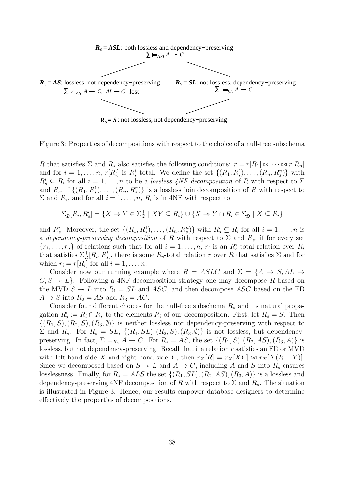

 $R_s = S$ : not lossless, not dependency–preserving

Figure 3: Properties of decompositions with respect to the choice of a null-free subschema

*R* that satisfies  $\Sigma$  and  $R_s$  also satisfies the following conditions:  $r = r[R_1] \bowtie \cdots \bowtie r[R_n]$ and for  $i = 1, \ldots, n$ ,  $r[R_i]$  is  $R_s^i$ -total. We define the set  $\{(R_1, R_s^1), \ldots, (R_n, R_s^n)\}\$  with  $R_s^i \subseteq R_i$  for all  $i = 1, \ldots, n$  to be a *lossless 4NF decomposition* of *R* with respect to  $\Sigma$ and  $R_s$ , if  $\{(R_1, R_s^1), \ldots, (R_n, R_s^n)\}\$ is a lossless join decomposition of  $R$  with respect to  $\Sigma$  and  $R_s$ , and for all  $i = 1, \ldots, n$ ,  $R_i$  is in 4NF with respect to

$$
\Sigma_{\mathfrak{D}}^{+}[R_i, R_s^i] = \{ X \to Y \in \Sigma_{\mathfrak{D}}^{+} \mid XY \subseteq R_i \} \cup \{ X \to Y \cap R_i \in \Sigma_{\mathfrak{D}}^{+} \mid X \subseteq R_i \}
$$

and  $R_s^i$ . Moreover, the set  $\{(R_1, R_s^1), \ldots, (R_n, R_s^n)\}\$  with  $R_s^i \subseteq R_i$  for all  $i = 1, \ldots, n$  is a *dependency-preserving decomposition* of *R* with respect to  $\Sigma$  and  $R_s$ , if for every set  $\{r_1, \ldots, r_n\}$  of relations such that for all  $i = 1, \ldots, n, r_i$  is an  $R_s^i$ -total relation over  $R_i$ that satisfies  $\Sigma^+_{\mathfrak{D}}[R_i, R_s^i]$ , there is some  $R_s$ -total relation *r* over *R* that satisfies  $\Sigma$  and for which  $r_i = r[R_i]$  for all  $i = 1, \ldots, n$ .

Consider now our running example where  $R = ASLC$  and  $\Sigma = \{A \rightarrow S, AL \rightarrow A\}$  $C, S \rightarrow L$ . Following a 4NF-decomposition strategy one may decompose R based on the MVD  $S \rightarrow L$  into  $R_1 = SL$  and  $ASC$ , and then decompose ASC based on the FD  $A \rightarrow S$  into  $R_2 = AS$  and  $R_3 = AC$ .

Consider four different choices for the null-free subschema *R<sup>s</sup>* and its natural propagation  $R^i_s := R_i \cap R_s$  to the elements  $R_i$  of our decomposition. First, let  $R_s = S$ . Then  $\{(R_1, S), (R_2, S), (R_3, \emptyset)\}\$ is neither lossless nor dependency-preserving with respect to  $\Sigma$  and  $R_s$ . For  $R_s = SL$ ,  $\{(R_1, SL), (R_2, S), (R_3, \emptyset)\}$  is not lossless, but dependencypreserving. In fact,  $\Sigma \models_{R_s} A \rightarrow C$ . For  $R_s = AS$ , the set  $\{(R_1, S), (R_2, AS), (R_3, A)\}$  is lossless, but not dependency-preserving. Recall that if a relation *r* satisfies an FD or MVD with left-hand side *X* and right-hand side *Y*, then  $r_X[R] = r_X[XY] \bowtie r_X[X(R - Y)]$ . Since we decomposed based on  $S \rightarrow L$  and  $A \rightarrow C$ , including A and S into  $R_s$  ensures losslessness. Finally, for  $R_s = ALS$  the set  $\{(R_1, SL), (R_2, AS), (R_3, A)\}\$ is a lossless and dependency-preserving 4NF decomposition of *R* with respect to  $\Sigma$  and  $R_s$ . The situation is illustrated in Figure 3. Hence, our results empower database designers to determine effectively the properties of decompositions.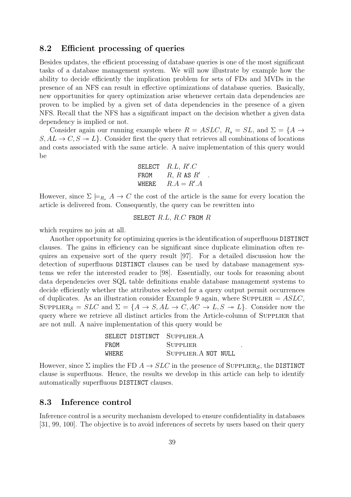#### **8.2 Efficient processing of queries**

Besides updates, the efficient processing of database queries is one of the most significant tasks of a database management system. We will now illustrate by example how the ability to decide efficiently the implication problem for sets of FDs and MVDs in the presence of an NFS can result in effective optimizations of database queries. Basically, new opportunities for query optimization arise whenever certain data dependencies are proven to be implied by a given set of data dependencies in the presence of a given NFS. Recall that the NFS has a significant impact on the decision whether a given data dependency is implied or not.

Consider again our running example where  $R = ASLC$ ,  $R_s = SL$ , and  $\Sigma = \{A \rightarrow$  $S, AL \rightarrow C, S \rightarrow L$ . Consider first the query that retrieves all combinations of locations and costs associated with the same article. A naive implementation of this query would be

**SELECT** 
$$
R.L, R'.C
$$
  
FROM  $R, R \text{ AS } R'$   
WHERE  $R.A = R'.A$ 

.

.

However, since  $\Sigma \models_{R_s} A \to C$  the cost of the article is the same for every location the article is delivered from. Consequently, the query can be rewritten into

#### SELECT *R.L*, *R.C* FROM *R*

which requires no join at all.

Another opportunity for optimizing queries is the identification of superfluous DISTINCT clauses. The gains in efficiency can be significant since duplicate elimination often requires an expensive sort of the query result [97]. For a detailed discussion how the detection of superfluous DISTINCT clauses can be used by database management systems we refer the interested reader to [98]. Essentially, our tools for reasoning about data dependencies over SQL table definitions enable database management systems to decide efficiently whether the attributes selected for a query output permit occurrences of duplicates. As an illustration consider Example 9 again, where  $\text{Supp}\text{LIER} = ASLC$ ,  $\text{Supp}\text{LIER}_{\mathcal{S}} = SLC \text{ and } \Sigma = \{A \rightarrow S, AL \rightarrow C, AC \rightarrow L, S \rightarrow L\}.$  Consider now the query where we retrieve all distinct articles from the Article-column of Supplier that are not null. A naive implementation of this query would be

|          | SELECT DISTINCT SUPPLIER.A |  |
|----------|----------------------------|--|
| FR.OM    | <b>SUPPLIER</b>            |  |
| WHF.R.F. | SUPPLIER.A NOT NULL        |  |

However, since  $\Sigma$  implies the FD  $A \to SLC$  in the presence of SUPPLIER<sub>S</sub>, the DISTINCT clause is superfluous. Hence, the results we develop in this article can help to identify automatically superfluous DISTINCT clauses.

#### **8.3 Inference control**

Inference control is a security mechanism developed to ensure confidentiality in databases [31, 99, 100]. The objective is to avoid inferences of secrets by users based on their query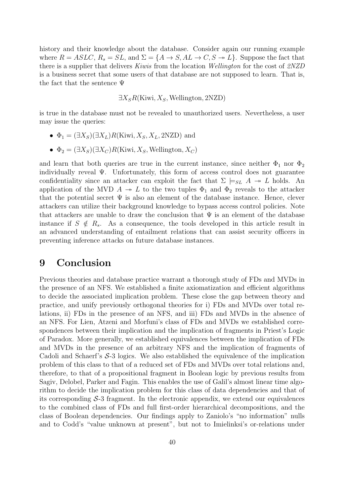history and their knowledge about the database. Consider again our running example where  $R = ASLC$ ,  $R_s = SL$ , and  $\Sigma = \{A \rightarrow S, AL \rightarrow C, S \rightarrow L\}$ . Suppose the fact that there is a supplier that delivers *Kiwis* from the location *Wellington* for the cost of *2NZD* is a business secret that some users of that database are not supposed to learn. That is, the fact that the sentence Ψ

$$
\exists X_{S} R(\text{Kiwi}, X_{S}, \text{Wellington}, 2\text{NZD})
$$

is true in the database must not be revealed to unauthorized users. Nevertheless, a user may issue the queries:

- $\Phi_1 = (\exists X_S)(\exists X_L)R(K$ iwi,  $X_S, X_L, 2NZD)$  and
- $\Phi_2 = (\exists X_S)(\exists X_C)R(\text{Kiwi}, X_S, \text{Wellington}, X_C)$

and learn that both queries are true in the current instance, since neither  $\Phi_1$  nor  $\Phi_2$ individually reveal  $\Psi$ . Unfortunately, this form of access control does not guarantee confidentiality since an attacker can exploit the fact that  $\Sigma \models_{SL} A \rightarrow L$  holds. An application of the MVD  $A \rightarrow L$  to the two tuples  $\Phi_1$  and  $\Phi_2$  reveals to the attacker that the potential secret  $\Psi$  is also an element of the database instance. Hence, clever attackers can utilize their background knowledge to bypass access control policies. Note that attackers are unable to draw the conclusion that  $\Psi$  is an element of the database instance if  $S \notin R_s$ . As a consequence, the tools developed in this article result in an advanced understanding of entailment relations that can assist security officers in preventing inference attacks on future database instances.

## **9 Conclusion**

Previous theories and database practice warrant a thorough study of FDs and MVDs in the presence of an NFS. We established a finite axiomatization and efficient algorithms to decide the associated implication problem. These close the gap between theory and practice, and unify previously orthogonal theories for i) FDs and MVDs over total relations, ii) FDs in the presence of an NFS, and iii) FDs and MVDs in the absence of an NFS. For Lien, Atzeni and Morfuni's class of FDs and MVDs we established correspondences between their implication and the implication of fragments in Priest's Logic of Paradox. More generally, we established equivalences between the implication of FDs and MVDs in the presence of an arbitrary NFS and the implication of fragments of Cadoli and Schaerf's *S*-3 logics. We also established the equivalence of the implication problem of this class to that of a reduced set of FDs and MVDs over total relations and, therefore, to that of a propositional fragment in Boolean logic by previous results from Sagiv, Delobel, Parker and Fagin. This enables the use of Galil's almost linear time algorithm to decide the implication problem for this class of data dependencies and that of its corresponding *S*-3 fragment. In the electronic appendix, we extend our equivalences to the combined class of FDs and full first-order hierarchical decompositions, and the class of Boolean dependencies. Our findings apply to Zaniolo's "no information" nulls and to Codd's "value unknown at present", but not to Imielinksi's or-relations under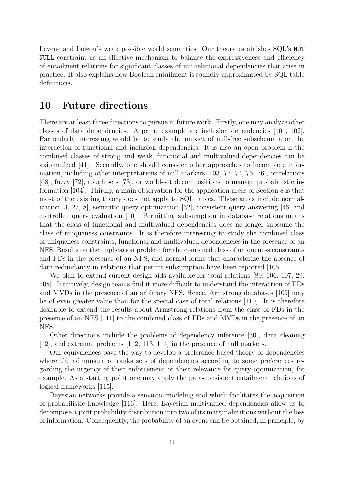Levene and Loizou's weak possible world semantics. Our theory establishes SQL's NOT NULL constraint as an effective mechanism to balance the expressiveness and efficiency of entailment relations for significant classes of uni-relational dependencies that arise in practice. It also explains how Boolean entailment is soundly approximated by SQL table definitions.

## **10 Future directions**

There are at least three directions to pursue in future work. Firstly, one may analyze other classes of data dependencies. A prime example are inclusion dependencies [101, 102]. Particularly interesting would be to study the impact of null-free subschemata on the interaction of functional and inclusion dependencies. It is also an open problem if the combined classes of strong and weak, functional and multivalued dependencies can be axiomatized [41]. Secondly, one should consider other approaches to incomplete information, including other interpretations of null markers [103, 77, 74, 75, 76], or-relations [68], fuzzy [72], rough sets [73], or world-set decompositions to manage probabilistic information [104]. Thirdly, a main observation for the application areas of Section 8 is that most of the existing theory does not apply to SQL tables. These areas include normalization [3, 27, 8], semantic query optimization [32], consistent query answering [46] and controlled query evaluation [10]. Permitting subsumption in database relations means that the class of functional and multivalued dependencies does no longer subsume the class of uniqueness constraints. It is therefore interesting to study the combined class of uniqueness constraints, functional and multivalued dependencies in the presence of an NFS. Results on the implication problem for the combined class of uniqueness constraints and FDs in the presence of an NFS, and normal forms that characterize the absence of data redundancy in relations that permit subsumption have been reported [105].

We plan to extend current design aids available for total relations [89, 106, 107, 29, 108]. Intuitively, design teams find it more difficult to understand the interaction of FDs and MVDs in the presence of an arbitrary NFS. Hence, Armstrong databases [109] may be of even greater value than for the special case of total relations [110]. It is therefore desirable to extend the results about Armstrong relations from the class of FDs in the presence of an NFS [111] to the combined class of FDs and MVDs in the presence of an NFS.

Other directions include the problems of dependency inference [30], data cleaning [12], and extremal problems [112, 113, 114] in the presence of null markers.

Our equivalences pave the way to develop a preference-based theory of dependencies where the administrator ranks sets of dependencies according to some preferences regarding the urgency of their enforcement or their relevance for query optimization, for example. As a starting point one may apply the para-consistent entailment relations of logical frameworks [115].

Bayesian networks provide a semantic modeling tool which facilitates the acquisition of probabilistic knowledge [116]. Here, Bayesian multivalued dependencies allow us to decompose a joint probability distribution into two of its marginalizations without the loss of information. Consequently, the probability of an event can be obtained, in principle, by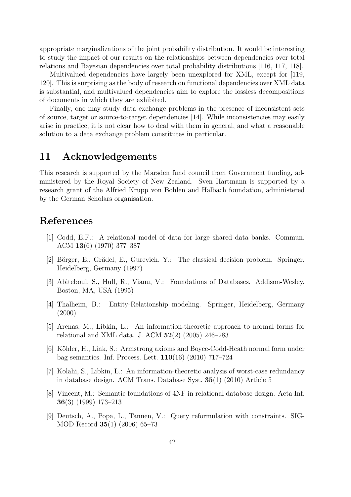appropriate marginalizations of the joint probability distribution. It would be interesting to study the impact of our results on the relationships between dependencies over total relations and Bayesian dependencies over total probability distributions [116, 117, 118].

Multivalued dependencies have largely been unexplored for XML, except for [119, 120]. This is surprising as the body of research on functional dependencies over XML data is substantial, and multivalued dependencies aim to explore the lossless decompositions of documents in which they are exhibited.

Finally, one may study data exchange problems in the presence of inconsistent sets of source, target or source-to-target dependencies [14]. While inconsistencies may easily arise in practice, it is not clear how to deal with them in general, and what a reasonable solution to a data exchange problem constitutes in particular.

## **11 Acknowledgements**

This research is supported by the Marsden fund council from Government funding, administered by the Royal Society of New Zealand. Sven Hartmann is supported by a research grant of the Alfried Krupp von Bohlen and Halbach foundation, administered by the German Scholars organisation.

## **References**

- [1] Codd, E.F.: A relational model of data for large shared data banks. Commun. ACM **13**(6) (1970) 377–387
- [2] Börger, E., Grädel, E., Gurevich, Y.: The classical decision problem. Springer, Heidelberg, Germany (1997)
- [3] Abiteboul, S., Hull, R., Vianu, V.: Foundations of Databases. Addison-Wesley, Boston, MA, USA (1995)
- [4] Thalheim, B.: Entity-Relationship modeling. Springer, Heidelberg, Germany (2000)
- [5] Arenas, M., Libkin, L.: An information-theoretic approach to normal forms for relational and XML data. J. ACM **52**(2) (2005) 246–283
- [6] K¨ohler, H., Link, S.: Armstrong axioms and Boyce-Codd-Heath normal form under bag semantics. Inf. Process. Lett. **110**(16) (2010) 717–724
- [7] Kolahi, S., Libkin, L.: An information-theoretic analysis of worst-case redundancy in database design. ACM Trans. Database Syst. **35**(1) (2010) Article 5
- [8] Vincent, M.: Semantic foundations of 4NF in relational database design. Acta Inf. **36**(3) (1999) 173–213
- [9] Deutsch, A., Popa, L., Tannen, V.: Query reformulation with constraints. SIG-MOD Record **35**(1) (2006) 65–73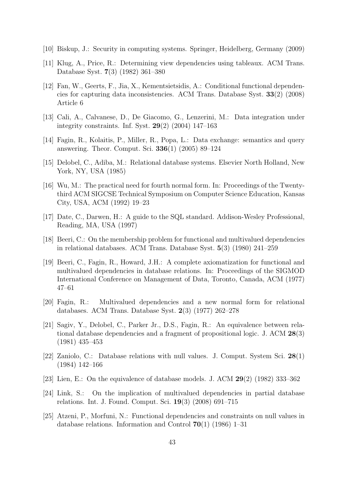- [10] Biskup, J.: Security in computing systems. Springer, Heidelberg, Germany (2009)
- [11] Klug, A., Price, R.: Determining view dependencies using tableaux. ACM Trans. Database Syst. **7**(3) (1982) 361–380
- [12] Fan, W., Geerts, F., Jia, X., Kementsietsidis, A.: Conditional functional dependencies for capturing data inconsistencies. ACM Trans. Database Syst. **33**(2) (2008) Article 6
- [13] Cali, A., Calvanese, D., De Giacomo, G., Lenzerini, M.: Data integration under integrity constraints. Inf. Syst. **29**(2) (2004) 147–163
- [14] Fagin, R., Kolaitis, P., Miller, R., Popa, L.: Data exchange: semantics and query answering. Theor. Comput. Sci. **336**(1) (2005) 89–124
- [15] Delobel, C., Adiba, M.: Relational database systems. Elsevier North Holland, New York, NY, USA (1985)
- [16] Wu, M.: The practical need for fourth normal form. In: Proceedings of the Twentythird ACM SIGCSE Technical Symposium on Computer Science Education, Kansas City, USA, ACM (1992) 19–23
- [17] Date, C., Darwen, H.: A guide to the SQL standard. Addison-Wesley Professional, Reading, MA, USA (1997)
- [18] Beeri, C.: On the membership problem for functional and multivalued dependencies in relational databases. ACM Trans. Database Syst. **5**(3) (1980) 241–259
- [19] Beeri, C., Fagin, R., Howard, J.H.: A complete axiomatization for functional and multivalued dependencies in database relations. In: Proceedings of the SIGMOD International Conference on Management of Data, Toronto, Canada, ACM (1977) 47–61
- [20] Fagin, R.: Multivalued dependencies and a new normal form for relational databases. ACM Trans. Database Syst. **2**(3) (1977) 262–278
- [21] Sagiv, Y., Delobel, C., Parker Jr., D.S., Fagin, R.: An equivalence between relational database dependencies and a fragment of propositional logic. J. ACM **28**(3) (1981) 435–453
- [22] Zaniolo, C.: Database relations with null values. J. Comput. System Sci. **28**(1) (1984) 142–166
- [23] Lien, E.: On the equivalence of database models. J. ACM **29**(2) (1982) 333–362
- [24] Link, S.: On the implication of multivalued dependencies in partial database relations. Int. J. Found. Comput. Sci. **19**(3) (2008) 691–715
- [25] Atzeni, P., Morfuni, N.: Functional dependencies and constraints on null values in database relations. Information and Control **70**(1) (1986) 1–31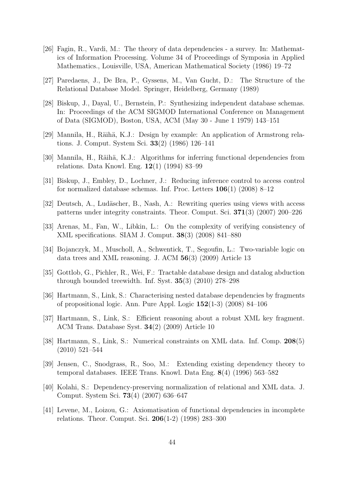- [26] Fagin, R., Vardi, M.: The theory of data dependencies a survey. In: Mathematics of Information Processing. Volume 34 of Proceedings of Symposia in Applied Mathematics., Louisville, USA, American Mathematical Society (1986) 19–72
- [27] Paredaens, J., De Bra, P., Gyssens, M., Van Gucht, D.: The Structure of the Relational Database Model. Springer, Heidelberg, Germany (1989)
- [28] Biskup, J., Dayal, U., Bernstein, P.: Synthesizing independent database schemas. In: Proceedings of the ACM SIGMOD International Conference on Management of Data (SIGMOD), Boston, USA, ACM (May 30 - June 1 1979) 143–151
- [29] Mannila, H., Räihä, K.J.: Design by example: An application of Armstrong relations. J. Comput. System Sci. **33**(2) (1986) 126–141
- [30] Mannila, H., Räihä, K.J.: Algorithms for inferring functional dependencies from relations. Data Knowl. Eng. **12**(1) (1994) 83–99
- [31] Biskup, J., Embley, D., Lochner, J.: Reducing inference control to access control for normalized database schemas. Inf. Proc. Letters **106**(1) (2008) 8–12
- [32] Deutsch, A., Ludäscher, B., Nash, A.: Rewriting queries using views with access patterns under integrity constraints. Theor. Comput. Sci. **371**(3) (2007) 200–226
- [33] Arenas, M., Fan, W., Libkin, L.: On the complexity of verifying consistency of XML specifications. SIAM J. Comput. **38**(3) (2008) 841–880
- [34] Bojanczyk, M., Muscholl, A., Schwentick, T., Segoufin, L.: Two-variable logic on data trees and XML reasoning. J. ACM **56**(3) (2009) Article 13
- [35] Gottlob, G., Pichler, R., Wei, F.: Tractable database design and datalog abduction through bounded treewidth. Inf. Syst. **35**(3) (2010) 278–298
- [36] Hartmann, S., Link, S.: Characterising nested database dependencies by fragments of propositional logic. Ann. Pure Appl. Logic **152**(1-3) (2008) 84–106
- [37] Hartmann, S., Link, S.: Efficient reasoning about a robust XML key fragment. ACM Trans. Database Syst. **34**(2) (2009) Article 10
- [38] Hartmann, S., Link, S.: Numerical constraints on XML data. Inf. Comp. **208**(5) (2010) 521–544
- [39] Jensen, C., Snodgrass, R., Soo, M.: Extending existing dependency theory to temporal databases. IEEE Trans. Knowl. Data Eng. **8**(4) (1996) 563–582
- [40] Kolahi, S.: Dependency-preserving normalization of relational and XML data. J. Comput. System Sci. **73**(4) (2007) 636–647
- [41] Levene, M., Loizou, G.: Axiomatisation of functional dependencies in incomplete relations. Theor. Comput. Sci. **206**(1-2) (1998) 283–300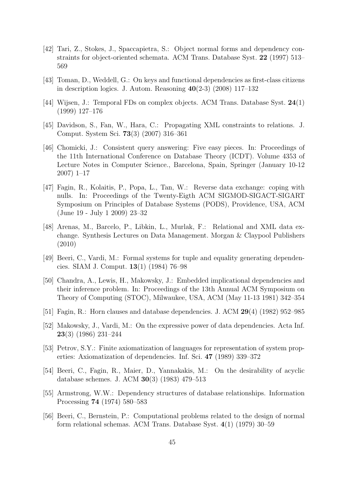- [42] Tari, Z., Stokes, J., Spaccapietra, S.: Object normal forms and dependency constraints for object-oriented schemata. ACM Trans. Database Syst. **22** (1997) 513– 569
- [43] Toman, D., Weddell, G.: On keys and functional dependencies as first-class citizens in description logics. J. Autom. Reasoning **40**(2-3) (2008) 117–132
- [44] Wijsen, J.: Temporal FDs on complex objects. ACM Trans. Database Syst. **24**(1) (1999) 127–176
- [45] Davidson, S., Fan, W., Hara, C.: Propagating XML constraints to relations. J. Comput. System Sci. **73**(3) (2007) 316–361
- [46] Chomicki, J.: Consistent query answering: Five easy pieces. In: Proceedings of the 11th International Conference on Database Theory (ICDT). Volume 4353 of Lecture Notes in Computer Science., Barcelona, Spain, Springer (January 10-12 2007) 1–17
- [47] Fagin, R., Kolaitis, P., Popa, L., Tan, W.: Reverse data exchange: coping with nulls. In: Proceedings of the Twenty-Eigth ACM SIGMOD-SIGACT-SIGART Symposium on Principles of Database Systems (PODS), Providence, USA, ACM (June 19 - July 1 2009) 23–32
- [48] Arenas, M., Barcelo, P., Libkin, L., Murlak, F.: Relational and XML data exchange. Synthesis Lectures on Data Management. Morgan & Claypool Publishers (2010)
- [49] Beeri, C., Vardi, M.: Formal systems for tuple and equality generating dependencies. SIAM J. Comput. **13**(1) (1984) 76–98
- [50] Chandra, A., Lewis, H., Makowsky, J.: Embedded implicational dependencies and their inference problem. In: Proceedings of the 13th Annual ACM Symposium on Theory of Computing (STOC), Milwaukee, USA, ACM (May 11-13 1981) 342–354
- [51] Fagin, R.: Horn clauses and database dependencies. J. ACM **29**(4) (1982) 952–985
- [52] Makowsky, J., Vardi, M.: On the expressive power of data dependencies. Acta Inf. **23**(3) (1986) 231–244
- [53] Petrov, S.Y.: Finite axiomatization of languages for representation of system properties: Axiomatization of dependencies. Inf. Sci. **47** (1989) 339–372
- [54] Beeri, C., Fagin, R., Maier, D., Yannakakis, M.: On the desirability of acyclic database schemes. J. ACM **30**(3) (1983) 479–513
- [55] Armstrong, W.W.: Dependency structures of database relationships. Information Processing **74** (1974) 580–583
- [56] Beeri, C., Bernstein, P.: Computational problems related to the design of normal form relational schemas. ACM Trans. Database Syst. **4**(1) (1979) 30–59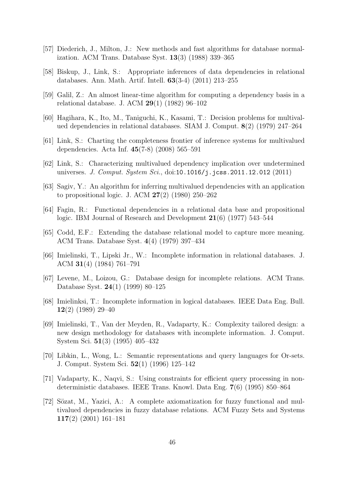- [57] Diederich, J., Milton, J.: New methods and fast algorithms for database normalization. ACM Trans. Database Syst. **13**(3) (1988) 339–365
- [58] Biskup, J., Link, S.: Appropriate inferences of data dependencies in relational databases. Ann. Math. Artif. Intell. **63**(3-4) (2011) 213–255
- [59] Galil, Z.: An almost linear-time algorithm for computing a dependency basis in a relational database. J. ACM **29**(1) (1982) 96–102
- [60] Hagihara, K., Ito, M., Taniguchi, K., Kasami, T.: Decision problems for multivalued dependencies in relational databases. SIAM J. Comput. **8**(2) (1979) 247–264
- [61] Link, S.: Charting the completeness frontier of inference systems for multivalued dependencies. Acta Inf. **45**(7-8) (2008) 565–591
- [62] Link, S.: Characterizing multivalued dependency implication over undetermined universes. *J. Comput. System Sci.*, doi:10.1016/j.jcss.2011.12.012 (2011)
- [63] Sagiv, Y.: An algorithm for inferring multivalued dependencies with an application to propositional logic. J. ACM **27**(2) (1980) 250–262
- [64] Fagin, R.: Functional dependencies in a relational data base and propositional logic. IBM Journal of Research and Development **21**(6) (1977) 543–544
- [65] Codd, E.F.: Extending the database relational model to capture more meaning. ACM Trans. Database Syst. **4**(4) (1979) 397–434
- [66] Imielinski, T., Lipski Jr., W.: Incomplete information in relational databases. J. ACM **31**(4) (1984) 761–791
- [67] Levene, M., Loizou, G.: Database design for incomplete relations. ACM Trans. Database Syst. **24**(1) (1999) 80–125
- [68] Imielinksi, T.: Incomplete information in logical databases. IEEE Data Eng. Bull. **12**(2) (1989) 29–40
- [69] Imielinski, T., Van der Meyden, R., Vadaparty, K.: Complexity tailored design: a new design methodology for databases with incomplete information. J. Comput. System Sci. **51**(3) (1995) 405–432
- [70] Libkin, L., Wong, L.: Semantic representations and query languages for Or-sets. J. Comput. System Sci. **52**(1) (1996) 125–142
- [71] Vadaparty, K., Naqvi, S.: Using constraints for efficient query processing in nondeterministic databases. IEEE Trans. Knowl. Data Eng. **7**(6) (1995) 850–864
- [72] Sözat, M., Yazici, A.: A complete axiomatization for fuzzy functional and multivalued dependencies in fuzzy database relations. ACM Fuzzy Sets and Systems **117**(2) (2001) 161–181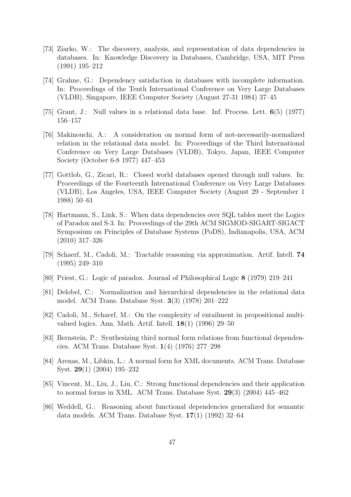- [73] Ziarko, W.: The discovery, analysis, and representation of data dependencies in databases. In: Knowledge Discovery in Databases, Cambridge, USA, MIT Press (1991) 195–212
- [74] Grahne, G.: Dependency satisfaction in databases with incomplete information. In: Proceedings of the Tenth International Conference on Very Large Databases (VLDB), Singapore, IEEE Computer Society (August 27-31 1984) 37–45
- [75] Grant, J.: Null values in a relational data base. Inf. Process. Lett. **6**(5) (1977) 156–157
- [76] Makinouchi, A.: A consideration on normal form of not-necessarily-normalized relation in the relational data model. In: Proceedings of the Third International Conference on Very Large Databases (VLDB), Tokyo, Japan, IEEE Computer Society (October 6-8 1977) 447–453
- [77] Gottlob, G., Zicari, R.: Closed world databases opened through null values. In: Proceedings of the Fourteenth International Conference on Very Large Databases (VLDB), Los Angeles, USA, IEEE Computer Society (August 29 - September 1 1988) 50–61
- [78] Hartmann, S., Link, S.: When data dependencies over SQL tables meet the Logics of Paradox and S-3. In: Proceedings of the 29th ACM SIGMOD-SIGART-SIGACT Symposium on Principles of Database Systems (PoDS), Indianapolis, USA, ACM (2010) 317–326
- [79] Schaerf, M., Cadoli, M.: Tractable reasoning via approximation. Artif. Intell. **74** (1995) 249–310
- [80] Priest, G.: Logic of paradox. Journal of Philosophical Logic **8** (1979) 219–241
- [81] Delobel, C.: Normalization and hierarchical dependencies in the relational data model. ACM Trans. Database Syst. **3**(3) (1978) 201–222
- [82] Cadoli, M., Schaerf, M.: On the complexity of entailment in propositional multivalued logics. Ann. Math. Artif. Intell. **18**(1) (1996) 29–50
- [83] Bernstein, P.: Synthesizing third normal form relations from functional dependencies. ACM Trans. Database Syst. **1**(4) (1976) 277–298
- [84] Arenas, M., Libkin, L.: A normal form for XML documents. ACM Trans. Database Syst. **29**(1) (2004) 195–232
- [85] Vincent, M., Liu, J., Liu, C.: Strong functional dependencies and their application to normal forms in XML. ACM Trans. Database Syst. **29**(3) (2004) 445–462
- [86] Weddell, G.: Reasoning about functional dependencies generalized for semantic data models. ACM Trans. Database Syst. **17**(1) (1992) 32–64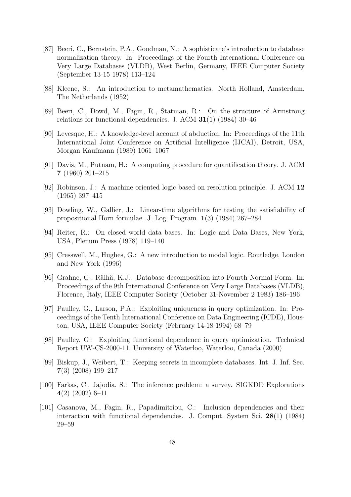- [87] Beeri, C., Bernstein, P.A., Goodman, N.: A sophisticate's introduction to database normalization theory. In: Proceedings of the Fourth International Conference on Very Large Databases (VLDB), West Berlin, Germany, IEEE Computer Society (September 13-15 1978) 113–124
- [88] Kleene, S.: An introduction to metamathematics. North Holland, Amsterdam, The Netherlands (1952)
- [89] Beeri, C., Dowd, M., Fagin, R., Statman, R.: On the structure of Armstrong relations for functional dependencies. J. ACM **31**(1) (1984) 30–46
- [90] Levesque, H.: A knowledge-level account of abduction. In: Proceedings of the 11th International Joint Conference on Artificial Intelligence (IJCAI), Detroit, USA, Morgan Kaufmann (1989) 1061–1067
- [91] Davis, M., Putnam, H.: A computing procedure for quantification theory. J. ACM **7** (1960) 201–215
- [92] Robinson, J.: A machine oriented logic based on resolution principle. J. ACM **12** (1965) 397–415
- [93] Dowling, W., Gallier, J.: Linear-time algorithms for testing the satisfiability of propositional Horn formulae. J. Log. Program. **1**(3) (1984) 267–284
- [94] Reiter, R.: On closed world data bases. In: Logic and Data Bases, New York, USA, Plenum Press (1978) 119–140
- [95] Cresswell, M., Hughes, G.: A new introduction to modal logic. Routledge, London and New York (1996)
- [96] Grahne, G., Räihä, K.J.: Database decomposition into Fourth Normal Form. In: Proceedings of the 9th International Conference on Very Large Databases (VLDB), Florence, Italy, IEEE Computer Society (October 31-November 2 1983) 186–196
- [97] Paulley, G., Larson, P.A.: Exploiting uniqueness in query optimization. In: Proceedings of the Tenth International Conference on Data Engineering (ICDE), Houston, USA, IEEE Computer Society (February 14-18 1994) 68–79
- [98] Paulley, G.: Exploiting functional dependence in query optimization. Technical Report UW-CS-2000-11, University of Waterloo, Waterloo, Canada (2000)
- [99] Biskup, J., Weibert, T.: Keeping secrets in incomplete databases. Int. J. Inf. Sec. **7**(3) (2008) 199–217
- [100] Farkas, C., Jajodia, S.: The inference problem: a survey. SIGKDD Explorations **4**(2) (2002) 6–11
- [101] Casanova, M., Fagin, R., Papadimitriou, C.: Inclusion dependencies and their interaction with functional dependencies. J. Comput. System Sci. **28**(1) (1984) 29–59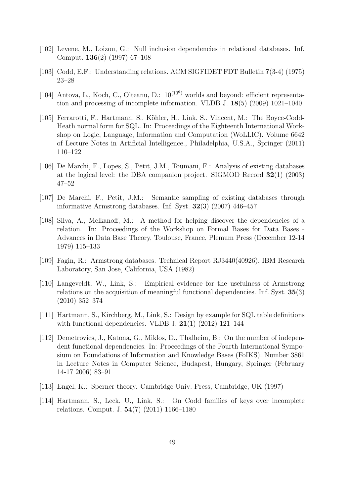- [102] Levene, M., Loizou, G.: Null inclusion dependencies in relational databases. Inf. Comput. **136**(2) (1997) 67–108
- [103] Codd, E.F.: Understanding relations. ACM SIGFIDET FDT Bulletin **7**(3-4) (1975) 23–28
- [104] Antova, L., Koch, C., Olteanu, D.:  $10^{(10^6)}$  worlds and beyond: efficient representation and processing of incomplete information. VLDB J. **18**(5) (2009) 1021–1040
- [105] Ferrarotti, F., Hartmann, S., Köhler, H., Link, S., Vincent, M.: The Boyce-Codd-Heath normal form for SQL. In: Proceedings of the Eighteenth International Workshop on Logic, Language, Information and Computation (WoLLIC). Volume 6642 of Lecture Notes in Artificial Intelligence., Philadelphia, U.S.A., Springer (2011) 110–122
- [106] De Marchi, F., Lopes, S., Petit, J.M., Toumani, F.: Analysis of existing databases at the logical level: the DBA companion project. SIGMOD Record **32**(1) (2003) 47–52
- [107] De Marchi, F., Petit, J.M.: Semantic sampling of existing databases through informative Armstrong databases. Inf. Syst. **32**(3) (2007) 446–457
- [108] Silva, A., Melkanoff, M.: A method for helping discover the dependencies of a relation. In: Proceedings of the Workshop on Formal Bases for Data Bases - Advances in Data Base Theory, Toulouse, France, Plemum Press (December 12-14 1979) 115–133
- [109] Fagin, R.: Armstrong databases. Technical Report RJ3440(40926), IBM Research Laboratory, San Jose, California, USA (1982)
- [110] Langeveldt, W., Link, S.: Empirical evidence for the usefulness of Armstrong relations on the acquisition of meaningful functional dependencies. Inf. Syst. **35**(3) (2010) 352–374
- [111] Hartmann, S., Kirchberg, M., Link, S.: Design by example for SQL table definitions with functional dependencies. VLDB J. **21**(1) (2012) 121–144
- [112] Demetrovics, J., Katona, G., Miklos, D., Thalheim, B.: On the number of independent functional dependencies. In: Proceedings of the Fourth International Symposium on Foundations of Information and Knowledge Bases (FoIKS). Number 3861 in Lecture Notes in Computer Science, Budapest, Hungary, Springer (February 14-17 2006) 83–91
- [113] Engel, K.: Sperner theory. Cambridge Univ. Press, Cambridge, UK (1997)
- [114] Hartmann, S., Leck, U., Link, S.: On Codd families of keys over incomplete relations. Comput. J. **54**(7) (2011) 1166–1180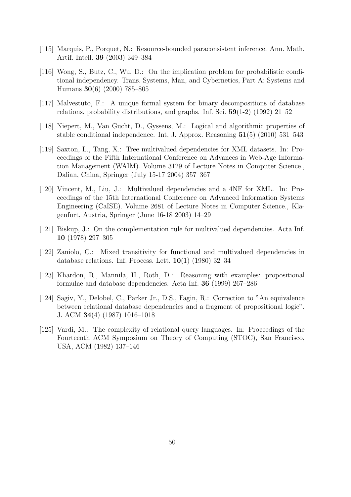- [115] Marquis, P., Porquet, N.: Resource-bounded paraconsistent inference. Ann. Math. Artif. Intell. **39** (2003) 349–384
- [116] Wong, S., Butz, C., Wu, D.: On the implication problem for probabilistic conditional independency. Trans. Systems, Man, and Cybernetics, Part A: Systems and Humans **30**(6) (2000) 785–805
- [117] Malvestuto, F.: A unique formal system for binary decompositions of database relations, probability distributions, and graphs. Inf. Sci. **59**(1-2) (1992) 21–52
- [118] Niepert, M., Van Gucht, D., Gyssens, M.: Logical and algorithmic properties of stable conditional independence. Int. J. Approx. Reasoning **51**(5) (2010) 531–543
- [119] Saxton, L., Tang, X.: Tree multivalued dependencies for XML datasets. In: Proceedings of the Fifth International Conference on Advances in Web-Age Information Management (WAIM). Volume 3129 of Lecture Notes in Computer Science., Dalian, China, Springer (July 15-17 2004) 357–367
- [120] Vincent, M., Liu, J.: Multivalued dependencies and a 4NF for XML. In: Proceedings of the 15th International Conference on Advanced Information Systems Engineering (CaISE). Volume 2681 of Lecture Notes in Computer Science., Klagenfurt, Austria, Springer (June 16-18 2003) 14–29
- [121] Biskup, J.: On the complementation rule for multivalued dependencies. Acta Inf. **10** (1978) 297–305
- [122] Zaniolo, C.: Mixed transitivity for functional and multivalued dependencies in database relations. Inf. Process. Lett. **10**(1) (1980) 32–34
- [123] Khardon, R., Mannila, H., Roth, D.: Reasoning with examples: propositional formulae and database dependencies. Acta Inf. **36** (1999) 267–286
- [124] Sagiv, Y., Delobel, C., Parker Jr., D.S., Fagin, R.: Correction to "An equivalence between relational database dependencies and a fragment of propositional logic". J. ACM **34**(4) (1987) 1016–1018
- [125] Vardi, M.: The complexity of relational query languages. In: Proceedings of the Fourteenth ACM Symposium on Theory of Computing (STOC), San Francisco, USA, ACM (1982) 137–146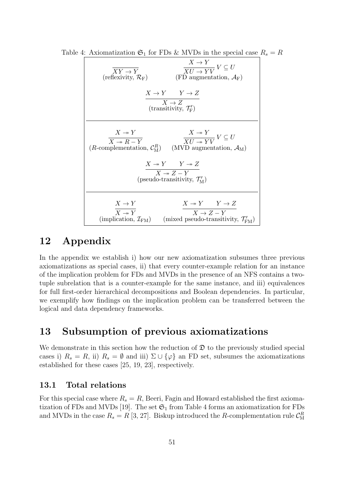$\overline{XY \rightarrow Y}$ <br>(reflexivity,  $\mathcal{R}_F$ )  $X \to Y$  $\overline{XU \to YV}$ <sup>*V*</sup>  $\subseteq U$ (reflexivity,  $\mathcal{R}_F$ ) (FD augmentation,  $\mathcal{A}_F$ )  $X \to Y \qquad Y \to Z$  $X \rightarrow Z$  $(transitivity, \mathcal{T}'_F)$  $X \rightarrow Y$ *X* → *R* − *Y*  $X \rightarrow Y$  $\frac{V}{XU \rightarrow YV}$ <sup>*V*</sup>  $\subseteq U$  $(R$ -complementation,  $\mathcal{C}_{\mathbf{M}}^R$  (MVD augmentation,  $\mathcal{A}_{\mathbf{M}}$ )  $X \rightarrow Y \qquad Y \rightarrow Z$ *X* → *Z* − *Y* (pseudo-transitivity,  $\mathcal{T}'_\mathrm{M})$  $X \to Y$  $X \rightarrow Y$  $X \rightarrow Y \qquad Y \rightarrow Z$ *X → Z − Y* (implication,  $\mathcal{I}_{\mathrm{FM}}$ ) (mixed pseudo-transitivity,  $\mathcal{T}'_{\mathrm{FM}}$ )

Table 4: Axiomatization  $\mathfrak{S}_1$  for FDs & MVDs in the special case  $R_s = R$ 

## **12 Appendix**

In the appendix we establish i) how our new axiomatization subsumes three previous axiomatizations as special cases, ii) that every counter-example relation for an instance of the implication problem for FDs and MVDs in the presence of an NFS contains a twotuple subrelation that is a counter-example for the same instance, and iii) equivalences for full first-order hierarchical decompositions and Boolean dependencies. In particular, we exemplify how findings on the implication problem can be transferred between the logical and data dependency frameworks.

## **13 Subsumption of previous axiomatizations**

We demonstrate in this section how the reduction of  $\mathfrak D$  to the previously studied special cases i)  $R_s = R$ , ii)  $R_s = \emptyset$  and iii)  $\Sigma \cup {\varphi}$  an FD set, subsumes the axiomatizations established for these cases [25, 19, 23], respectively.

#### **13.1 Total relations**

For this special case where  $R_s = R$ , Beeri, Fagin and Howard established the first axiomatization of FDs and MVDs [19]. The set  $\mathfrak{S}_1$  from Table 4 forms an axiomatization for FDs and MVDs in the case  $R_s = R$  [3, 27]. Biskup introduced the *R*-complementation rule  $C_{\text{M}}^R$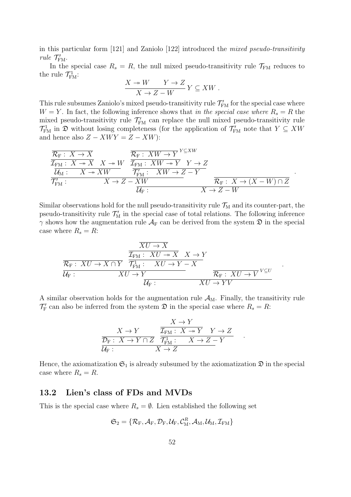in this particular form [121] and Zaniolo [122] introduced the *mixed pseudo-transitivity rule*  $\mathcal{T}'_{\text{FM}}$ *.* 

In the special case  $R_s = R$ , the null mixed pseudo-transitivity rule  $\mathcal{T}_{\text{FM}}$  reduces to the rule  $\mathcal{T}_{\text{FM}}^1$ :

$$
\frac{X \twoheadrightarrow W \qquad Y \to Z}{X \to Z - W} Y \subseteq XW.
$$

This rule subsumes Zaniolo's mixed pseudo-transitivity rule  $\mathcal{T}'_{\text{FM}}$  for the special case where  $W = Y$ . In fact, the following inference shows that *in the special case where*  $R_s = R$  the mixed pseudo-transitivity rule  $\mathcal{T}'_{\text{FM}}$  can replace the null mixed pseudo-transitivity rule  $\mathcal{T}_{\text{FM}}^1$  in  $\mathfrak{D}$  without losing completeness (for the application of  $\mathcal{T}_{\text{FM}}'$  note that  $Y \subseteq XW$ and hence also  $Z - XWY = Z - XW$ :

$$
\frac{\overline{\mathcal{R}_{F}} : X \to X}{\overline{\mathcal{I}_{FM}} : X \to X} \quad X \to W
$$
\n
$$
\frac{\overline{\mathcal{R}_{F}} : XW \to Y}{\overline{\mathcal{I}_{FM}} : XW \to Y} \quad Y \to Z
$$
\n
$$
\frac{\overline{\mathcal{I}_{FM}} : X \to XW}{\overline{\mathcal{I}_{FM}} : XW \to Z - Y}
$$
\n
$$
\frac{\overline{\mathcal{R}_{F}} : X \to Z}{\overline{\mathcal{I}_{F}} : X \to Z - XW}
$$
\n
$$
\frac{\overline{\mathcal{R}_{F}} : X \to (X - W) \cap Z}{X \to Z - W}
$$

Similar observations hold for the null pseudo-transitivity rule  $\mathcal{T}_{M}$  and its counter-part, the pseudo-transitivity rule  $\mathcal{T}'_{M}$  in the special case of total relations. The following inference *γ* shows how the augmentation rule  $A_F$  can be derived from the system  $\mathfrak D$  in the special case where  $R_s = R$ :

$$
\frac{\overline{XU \to X}}{\overline{\mathcal{R}}_F: \ XU \to X \cap Y} \xrightarrow[\overline{\mathcal{T}}_{{\rm FM}}^1:\ XU \to X \to Y]{\overline{\mathcal{T}}_{{\rm FM}}^1:\ XU \to X \ XU \to Y \to Y} \overline{\mathcal{R}}_F:\ XU \to Y \text{ for } \overline{\mathcal{R}}_F:\ XU \to Y \text{ for } \overline{\mathcal{R}}_F:\ XU \to Y \text{ for } \overline{\mathcal{R}}_F:\ XU \to Y \text{ for } \overline{\mathcal{R}}_F:\ XU \to Y \text{ for } \overline{\mathcal{R}}_F:\ XU \to Y \text{ for } \overline{\mathcal{R}}_F:\ XU \to Y \text{ for } \overline{\mathcal{R}}_F:\ XU \to Y \text{ for } \overline{\mathcal{R}}_F:\ XU \to Y \text{ for } \overline{\mathcal{R}}_F:\ XU \to Y \text{ for } \overline{\mathcal{R}}_F:\ XU \to Y \text{ for } \overline{\mathcal{R}}_F:\ XU \to Y \text{ for } \overline{\mathcal{R}}_F:\ XU \to Y \text{ for } \overline{\mathcal{R}}_F:\ XU \to Y \text{ for } \overline{\mathcal{R}}_F:\ XU \to Y \text{ for } \overline{\mathcal{R}}_F:\ XU \to Y \text{ for } \overline{\mathcal{R}}_F:\ XU \to Y \text{ for } \overline{\mathcal{R}}_F:\ XU \to Y \text{ for } \overline{\mathcal{R}}_F:\ XU \to Y \text{ for } \overline{\mathcal{R}}_F:\ XU \to Y \text{ for } \overline{\mathcal{R}}_F:\ XU \to Y \text{ for } \overline{\mathcal{R}}_F:\ XU \to Y \text{ for } \overline{\mathcal{R}}_F:\ XU \to Y \text{ for } \overline{\mathcal{R}}_F:\ XU \to Y \text{ for } \overline{\mathcal{R}}_F:\ XU \to Y \text{ for } \overline{\mathcal{R}}_F:\ XU \to Y \text{ for } \overline{\mathcal{R}}_F:\ XU \to Y \text{ for } \overline{\mathcal{R}}_F:\ XU \to Y \text{ for } \overline{\mathcal{R}}_F:\ XU \to Y \text{ for } \overline{\mathcal{R}}_F:\ XU \to Y \text{ for } \overline{\math
$$

*.*

*.*

A similar observation holds for the augmentation rule  $A_M$ . Finally, the transitivity rule  $\mathcal{T}'_F$  can also be inferred from the system  $\mathfrak{D}$  in the special case where  $R_s = R$ :

$$
X \to Y
$$
  
\n
$$
\frac{X \to Y}{\mathcal{D}_{F}: X \to Y \cap Z} \frac{\overline{\mathcal{I}_{FM}: X \to Y} \quad Y \to Z}{\mathcal{T}_{FM}^{1}: \quad X \to Z - Y}
$$
  
\n
$$
\overline{\mathcal{U}_{F}:} \frac{X \to Z}{X \to Z}
$$

Hence, the axiomatization  $\mathfrak{S}_1$  is already subsumed by the axiomatization  $\mathfrak{D}$  in the special case where  $R_s = R$ .

#### **13.2 Lien's class of FDs and MVDs**

This is the special case where  $R_s = \emptyset$ . Lien established the following set

$$
\mathfrak{S}_2=\{\mathcal{R}_{\text{F}},\mathcal{A}_{\text{F}},\mathcal{D}_{\text{F}},\mathcal{U}_{\text{F}},\mathcal{C}_{\text{M}}^R,\mathcal{A}_{\text{M}},\mathcal{U}_{\text{M}},\mathcal{I}_{\text{FM}}\}
$$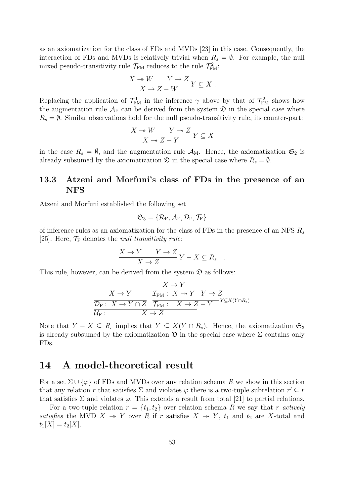as an axiomatization for the class of FDs and MVDs [23] in this case. Consequently, the interaction of FDs and MVDs is relatively trivial when  $R_s = \emptyset$ . For example, the null mixed pseudo-transitivity rule  $\mathcal{T}_{\text{FM}}$  reduces to the rule  $\mathcal{T}_{\text{FM}}^2$ .

$$
\frac{X \twoheadrightarrow W \qquad Y \to Z}{X \to Z - W} Y \subseteq X .
$$

Replacing the application of  $\mathcal{T}_{FM}^1$  in the inference  $\gamma$  above by that of  $\mathcal{T}_{FM}^2$  shows how the augmentation rule  $A_F$  can be derived from the system  $\mathfrak D$  in the special case where  $R_s = \emptyset$ . Similar observations hold for the null pseudo-transitivity rule, its counter-part:

$$
\frac{X \twoheadrightarrow W \qquad Y \twoheadrightarrow Z}{X \twoheadrightarrow Z - Y} Y \subseteq X
$$

in the case  $R_s = \emptyset$ , and the augmentation rule  $\mathcal{A}_M$ . Hence, the axiomatization  $\mathfrak{S}_2$  is already subsumed by the axiomatization  $\mathcal{D}$  in the special case where  $R_s = \emptyset$ .

### **13.3 Atzeni and Morfuni's class of FDs in the presence of an NFS**

Atzeni and Morfuni established the following set

$$
\mathfrak{S}_3=\{\mathcal{R}_{\mathrm{F}},\mathcal{A}_{\mathrm{F}},\mathcal{D}_{\mathrm{F}},\mathcal{T}_{\mathrm{F}}\}
$$

of inference rules as an axiomatization for the class of FDs in the presence of an NFS *R<sup>s</sup>* [25]. Here,  $\mathcal{T}_F$  denotes the *null transitivity rule*:

$$
\frac{X \to Y \quad Y \to Z}{X \to Z} Y - X \subseteq R_s \quad .
$$

This rule, however, can be derived from the system  $\mathfrak D$  as follows:

$$
X \to Y
$$
  
\n
$$
\frac{X \to Y}{\mathcal{T}_{\text{FM}} : X \to Y \quad Y \to Z}
$$
  
\n
$$
\frac{\mathcal{D}_{\text{F}} : X \to Y \cap Z}{\mathcal{T}_{\text{FM}} : X \to Z - Y} Y \subseteq X(Y \cap R_s)
$$
  
\n
$$
\frac{\mathcal{D}_{\text{F}} : X \to Y \cap Z}{X \to Z}
$$

Note that *Y* − *X*  $\subseteq$  *R*<sub>s</sub> implies that *Y*  $\subseteq$  *X*(*Y* ∩ *R*<sub>s</sub>). Hence, the axiomatization  $\mathfrak{S}_3$ is already subsumed by the axiomatization  $\mathfrak D$  in the special case where  $\Sigma$  contains only FDs.

## **14 A model-theoretical result**

For a set  $\Sigma \cup {\varphi}$  of FDs and MVDs over any relation schema R we show in this section that any relation *r* that satisfies  $\Sigma$  and violates  $\varphi$  there is a two-tuple subrelation  $r' \subseteq r$ that satisfies  $\Sigma$  and violates  $\varphi$ . This extends a result from total [21] to partial relations.

For a two-tuple relation  $r = \{t_1, t_2\}$  over relation schema R we say that r *actively* satisfies the MVD  $X \rightarrow Y$  over R if r satisfies  $X \rightarrow Y$ ,  $t_1$  and  $t_2$  are X-total and  $t_1[X] = t_2[X].$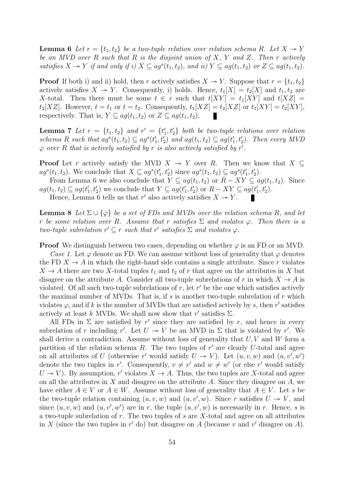**Lemma 6** Let  $r = \{t_1, t_2\}$  be a two-tuple relation over relation schema R. Let  $X \rightarrow Y$ *be an MVD over R such that R is the disjoint union of X, Y and Z. Then r actively* satisfies  $X \to Y$  if and only if i)  $X \subseteq ag^s(t_1, t_2)$ , and ii)  $Y \subseteq ag(t_1, t_2)$  or  $Z \subseteq ag(t_1, t_2)$ .

**Proof** If both i) and ii) hold, then *r* actively satisfies  $X \rightarrow Y$ . Suppose that  $r = \{t_1, t_2\}$ actively satisfies  $X \to Y$ . Consequently, i) holds. Hence,  $t_1[X] = t_2[X]$  and  $t_1, t_2$  are *X*-total. Then there must be some  $t \in r$  such that  $t[XY] = t_1[XY]$  and  $t[XZ] =$  $t_2[XZ]$ . However,  $t = t_1$  or  $t = t_2$ . Consequently,  $t_1[XZ] = t_2[XZ]$  or  $t_1[XY] = t_2[XY]$ , respectively. That is,  $Y \subseteq ag(t_1, t_2)$  or  $Z \subseteq ag(t_1, t_2)$ .

**Lemma 7** Let  $r = \{t_1, t_2\}$  and  $r' = \{t'_1, t'_2\}$  both be two-tuple relations over relation schema R such that  $ag^s(t_1, t_2) \subseteq ag^s(t'_1, t'_2)$  and  $ag(t_1, t_2) \subseteq ag(t'_1, t'_2)$ . Then every MVD *φ over R that is actively satisfied by r is also actively satisfied by r ′ .*

**Proof** Let *r* actively satisfy the MVD *X*  $\rightarrow$  *Y* over *R*. Then we know that *X*  $\subseteq$  $ag<sup>s</sup>(t<sub>1</sub>, t<sub>2</sub>)$ . We conclude that  $X \subseteq ag<sup>s</sup>(t'<sub>1</sub>, t'<sub>2</sub>)$  since  $ag<sup>s</sup>(t<sub>1</sub>, t<sub>2</sub>) \subseteq ag<sup>s</sup>(t'<sub>1</sub>, t'<sub>2</sub>)$ .

From Lemma 6 we also conclude that  $Y \subseteq ag(t_1, t_2)$  or  $R - XY \subseteq ag(t_1, t_2)$ . Since  $ag(t_1, t_2) \subseteq ag(t'_1, t'_2)$  we conclude that  $Y \subseteq ag(t'_1, t'_2)$  or  $R - XY \subseteq ag(t'_1, t'_2)$ .

Hence, Lemma 6 tells us that  $r'$  also actively satisfies  $X \rightarrow Y$ .

**Lemma 8** *Let*  $\Sigma \cup {\varphi}$  *be a set of FDs and MVDs over the relation schema R, and let r be some relation over R.* Assume that *r satisfies*  $\Sigma$  *and violates*  $\varphi$ *. Then there is a two-tuple subrelation*  $r' \subseteq r$  *such that*  $r'$  *satisfies*  $\Sigma$  *and violates*  $\varphi$ *.* 

**Proof** We distinguish between two cases, depending on whether  $\varphi$  is an FD or an MVD.

*Case 1.* Let  $\varphi$  denote an FD. We can assume without loss of generality that  $\varphi$  denotes the FD  $X \to A$  in which the right-hand side contains a single attribute. Since *r* violates  $X \to A$  there are two *X*-total tuples  $t_1$  and  $t_2$  of *r* that agree on the attributes in *X* but disagree on the attribute *A*. Consider all two-tuple subrelations of *r* in which  $X \to A$  is violated. Of all such two-tuple subrelations of  $r$ , let  $r'$  be the one which satisfies actively the maximal number of MVDs. That is, if *s* is another two-tuple subrelation of *r* which violates  $\varphi$ , and if *k* is the number of MVDs that are satisfied actively by *s*, then *r'* satisfies actively at least *k* MVDs. We shall now show that  $r'$  satisfies  $\Sigma$ .

All FDs in  $\Sigma$  are satisfied by  $r'$  since they are satisfied by  $r$ , and hence in every subrelation of *r* including *r'*. Let  $U \rightarrow V$  be an MVD in  $\Sigma$  that is violated by *r'*. We shall derive a contradiction. Assume without loss of generality that *U, V* and *W* form a partition of the relation schema  $R$ . The two tuples of  $r'$  are clearly  $U$ -total and agree on all attributes of *U* (otherwise *r'* would satisfy  $U \rightarrow V$ ). Let  $(u, v, w)$  and  $(u, v', w')$ denote the two tuples in r'. Consequently,  $v \neq v'$  and  $w \neq w'$  (or else r' would satisfy  $U \rightarrow V$ ). By assumption, *r'* violates  $X \rightarrow A$ . Thus, the two tuples are X-total and agree on all the attributes in *X* and disagree on the attribute *A*. Since they disagree on *A*, we have either  $A \in V$  or  $A \in W$ . Assume without loss of generality that  $A \in V$ . Let *s* be the two-tuple relation containing  $(u, v, w)$  and  $(u, v', w)$ . Since *r* satisfies  $U \rightarrow V$ , and since  $(u, v, w)$  and  $(u, v', w')$  are in *r*, the tuple  $(u, v', w)$  is necessarily in *r*. Hence, *s* is a two-tuple subrelation of *r*. The two tuples of *s* are *X*-total and agree on all attributes in *X* (since the two tuples in *r ′* do) but disagree on *A* (because *v* and *v ′* disagree on *A*).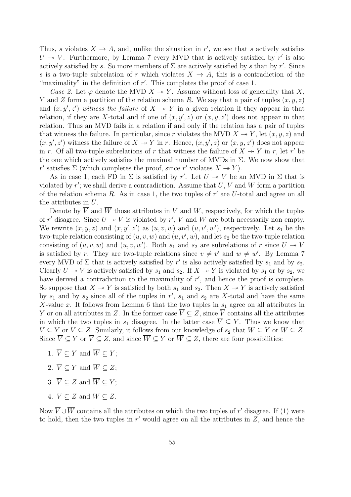Thus, *s* violates  $X \to A$ , and, unlike the situation in *r'*, we see that *s* actively satisfies  $U \rightarrow V$ . Furthermore, by Lemma 7 every MVD that is actively satisfied by  $r'$  is also actively satisfied by *s*. So more members of  $\Sigma$  are actively satisfied by *s* than by *r'*. Since *s* is a two-tuple subrelation of *r* which violates  $X \to A$ , this is a contradiction of the "maximality" in the definition of *r ′* . This completes the proof of case 1.

*Case 2.* Let  $\varphi$  denote the MVD  $X \rightarrow Y$ . Assume without loss of generality that X, *Y* and *Z* form a partition of the relation schema *R*. We say that a pair of tuples (*x, y, z*) and  $(x, y', z')$  *witness the failure* of  $X \rightarrow Y$  in a given relation if they appear in that relation, if they are X-total and if one of  $(x, y', z)$  or  $(x, y, z')$  does not appear in that relation. Thus an MVD fails in a relation if and only if the relation has a pair of tuples that witness the failure. In particular, since *r* violates the MVD  $X \rightarrow Y$ , let  $(x, y, z)$  and  $(x, y', z')$  witness the failure of  $X \rightarrow Y$  in *r*. Hence,  $(x, y', z)$  or  $(x, y, z')$  does not appear in *r*. Of all two-tuple subrelations of *r* that witness the failure of  $X \rightarrow Y$  in *r*, let *r'* be the one which actively satisfies the maximal number of MVDs in  $\Sigma$ . We now show that *r*<sup>*<i>r*</sup> satisfies  $\Sigma$  (which completes the proof, since *r*<sup>*'*</sup> violates  $X \to Y$ ).</sup>

As in case 1, each FD in  $\Sigma$  is satisfied by r'. Let  $U \rightarrow V$  be an MVD in  $\Sigma$  that is violated by *r ′* ; we shall derive a contradiction. Assume that *U*, *V* and *W* form a partition of the relation schema *R*. As in case 1, the two tuples of *r ′* are *U*-total and agree on all the attributes in *U*.

Denote by  $\overline{V}$  and  $\overline{W}$  those attributes in *V* and *W*, respectively, for which the tuples of *r'* disagree. Since  $U \twoheadrightarrow V$  is violated by  $r'$ ,  $\overline{V}$  and  $\overline{W}$  are both necessarily non-empty. We rewrite  $(x, y, z)$  and  $(x, y', z')$  as  $(u, v, w)$  and  $(u, v', w')$ , respectively. Let  $s_1$  be the two-tuple relation consisting of  $(u, v, w)$  and  $(u, v', w)$ , and let  $s_2$  be the two-tuple relation consisting of  $(u, v, w)$  and  $(u, v, w')$ . Both  $s_1$  and  $s_2$  are subrelations of  $r$  since  $U \rightarrow V$ is satisfied by *r*. They are two-tuple relations since  $v \neq v'$  and  $w \neq w'$ . By Lemma 7 every MVD of  $\Sigma$  that is actively satisfied by  $r'$  is also actively satisfied by  $s_1$  and by  $s_2$ . Clearly  $U \rightarrow V$  is actively satisfied by  $s_1$  and  $s_2$ . If  $X \rightarrow Y$  is violated by  $s_1$  or by  $s_2$ , we have derived a contradiction to the maximality of  $r'$ , and hence the proof is complete. So suppose that  $X \to Y$  is satisfied by both  $s_1$  and  $s_2$ . Then  $X \to Y$  is actively satisfied by  $s_1$  and by  $s_2$  since all of the tuples in  $r'$ ,  $s_1$  and  $s_2$  are X-total and have the same *X*-value *x*. It follows from Lemma 6 that the two tuples in *s*<sup>1</sup> agree on all attributes in *Y* or on all attributes in *Z*. In the former case  $\overline{V} \subseteq Z$ , since  $\overline{V}$  contains all the attributes in which the two tuples in  $s_1$  disagree. In the latter case  $\overline{V} \subseteq Y$ . Thus we know that  $\overline{V} \subseteq Y$  or  $\overline{V} \subseteq Z$ . Similarly, it follows from our knowledge of  $s_2$  that  $\overline{W} \subseteq Y$  or  $\overline{W} \subseteq Z$ . Since  $\overline{V} \subseteq Y$  or  $\overline{V} \subseteq Z$ , and since  $\overline{W} \subseteq Y$  or  $\overline{W} \subseteq Z$ , there are four possibilities:

- 1.  $\overline{V} \subset Y$  and  $\overline{W} \subset Y$ :
- 2.  $\overline{V} \subset Y$  and  $\overline{W} \subset Z$ ;
- 3.  $\overline{V} \subset Z$  and  $\overline{W} \subset Y$ ;
- 4.  $\overline{V} \subset Z$  and  $\overline{W} \subset Z$ .

Now  $\overline{V} \cup \overline{W}$  contains all the attributes on which the two tuples of  $r'$  disagree. If (1) were to hold, then the two tuples in *r ′* would agree on all the attributes in *Z*, and hence the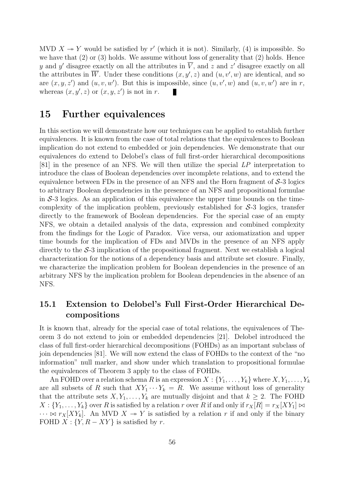MVD  $X \rightarrow Y$  would be satisfied by  $r'$  (which it is not). Similarly, (4) is impossible. So we have that  $(2)$  or  $(3)$  holds. We assume without loss of generality that  $(2)$  holds. Hence *y* and *y*' disagree exactly on all the attributes in  $\overline{V}$ , and *z* and *z*' disagree exactly on all the attributes in  $\overline{W}$ . Under these conditions  $(x, y', z)$  and  $(u, v', w)$  are identical, and so are  $(x, y, z')$  and  $(u, v, w')$ . But this is impossible, since  $(u, v', w)$  and  $(u, v, w')$  are in *r*, whereas  $(x, y', z)$  or  $(x, y, z')$  is not in *r*.

## **15 Further equivalences**

In this section we will demonstrate how our techniques can be applied to establish further equivalences. It is known from the case of total relations that the equivalences to Boolean implication do not extend to embedded or join dependencies. We demonstrate that our equivalences do extend to Delobel's class of full first-order hierarchical decompositions [81] in the presence of an NFS. We will then utilize the special *LP* interpretation to introduce the class of Boolean dependencies over incomplete relations, and to extend the equivalence between FDs in the presence of an NFS and the Horn fragment of *S*-3 logics to arbitrary Boolean dependencies in the presence of an NFS and propositional formulae in  $S$ -3 logics. As an application of this equivalence the upper time bounds on the timecomplexity of the implication problem, previously established for *S*-3 logics, transfer directly to the framework of Boolean dependencies. For the special case of an empty NFS, we obtain a detailed analysis of the data, expression and combined complexity from the findings for the Logic of Paradox. Vice versa, our axiomatization and upper time bounds for the implication of FDs and MVDs in the presence of an NFS apply directly to the S-3 implication of the propositional fragment. Next we establish a logical characterization for the notions of a dependency basis and attribute set closure. Finally, we characterize the implication problem for Boolean dependencies in the presence of an arbitrary NFS by the implication problem for Boolean dependencies in the absence of an NFS.

## **15.1 Extension to Delobel's Full First-Order Hierarchical Decompositions**

It is known that, already for the special case of total relations, the equivalences of Theorem 3 do not extend to join or embedded dependencies [21]. Delobel introduced the class of full first-order hierarchical decompositions (FOHDs) as an important subclass of join dependencies [81]. We will now extend the class of FOHDs to the context of the "no information" null marker, and show under which translation to propositional formulae the equivalences of Theorem 3 apply to the class of FOHDs.

An FOHD over a relation schema *R* is an expression  $X: \{Y_1, \ldots, Y_k\}$  where  $X, Y_1, \ldots, Y_k$ are all subsets of *R* such that  $XY_1 \cdots Y_k = R$ . We assume without loss of generality that the attribute sets  $X, Y_1, \ldots, Y_k$  are mutually disjoint and that  $k \geq 2$ . The FOHD  $X: \{Y_1, \ldots, Y_k\}$  over *R* is satisfied by a relation *r* over *R* if and only if  $r_X[R] = r_X[XY_1] \bowtie$  $\cdots \bowtie r_X[XY_k]$ . An MVD  $X \to Y$  is satisfied by a relation *r* if and only if the binary FOHD  $X$  :  $\{Y, R - XY\}$  is satisfied by *r*.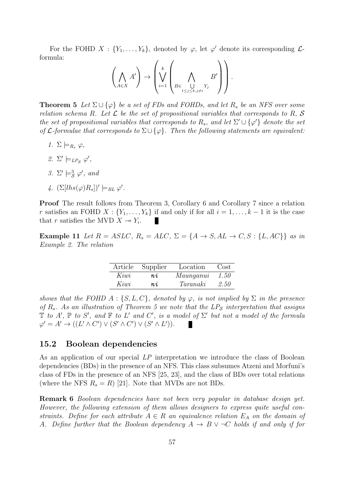For the FOHD  $X: \{Y_1, \ldots, Y_k\}$ , denoted by  $\varphi$ , let  $\varphi'$  denote its corresponding  $\mathcal{L}$ formula:

$$
\left(\bigwedge_{A\in X} A'\right) \to \left(\bigvee_{i=1}^k \left(\bigwedge_{B\in \bigcup_{1\leq j\leq k, j\neq i} Y_j} B'\right)\right).
$$

**Theorem 5** *Let*  $\Sigma \cup {\varphi}$  *be a set of FDs and FOHDs, and let*  $R_s$  *be an NFS over some relation schema R.* Let  $\mathcal{L}$  be the set of propositional variables that corresponds to R<sub>*i*</sub>,  $\mathcal{S}$ *the set of propositional variables that corresponds to*  $R_s$ *, and let*  $\Sigma' \cup {\varphi'}$  *denote the set of L-formulae that corresponds to* Σ*∪ {φ}. Then the following statements are equivalent:*

- *1.*  $\Sigma \models_{R_s} \varphi$ ,
- 2.  $\Sigma' \models_{LP_{\mathcal{S}}} \varphi'$ ,
- *3.*  $\Sigma' \models^3_{\mathcal{S}} \varphi'$ , and
- $\mathcal{A}$ *.*  $(\Sigma[ln s(\varphi)R_s])' \models_{BL} \varphi'.$

**Proof** The result follows from Theorem 3, Corollary 6 and Corollary 7 since a relation *r* satisfies an FOHD  $X : \{Y_1, \ldots, Y_k\}$  if and only if for all  $i = 1, \ldots, k-1$  it is the case that *r* satisfies the MVD  $X \rightarrow Y_i$ .

**Example 11** *Let*  $R = ASLC$ *,*  $R_s = ALC$ *,*  $\Sigma = \{A \rightarrow S, AL \rightarrow C, S : \{L, AC\} \}$  as in *Example 2. The relation*

| Article | Supplier | Location  | Cost |
|---------|----------|-----------|------|
| Kiwi    | n.i      | Maunganui | 1.50 |
| Kiwi    | n.i      | Taranaki  | 2.50 |

*shows that the FOHD*  $A: \{S, L, C\}$ *, denoted by*  $\varphi$ *, is not implied by*  $\Sigma$  *in the presence of Rs. As an illustration of Theorem 5 we note that the LP<sup>S</sup> interpretation that assigns*  $\mathbb{T}$  *to*  $A'$ ,  $\mathbb{P}$  *to*  $S'$ , and  $\mathbb{F}$  *to*  $L'$  and  $C'$ , *is a model of*  $\Sigma'$  *but not a model of the formula*  $\varphi' = A' \to ((L' \wedge C') \vee (S' \wedge C') \vee (S' \wedge L')).$ 

#### **15.2 Boolean dependencies**

As an application of our special *LP* interpretation we introduce the class of Boolean dependencies (BDs) in the presence of an NFS. This class subsumes Atzeni and Morfuni's class of FDs in the presence of an NFS [25, 23], and the class of BDs over total relations (where the NFS  $R_s = R$ ) [21]. Note that MVDs are not BDs.

**Remark 6** *Boolean dependencies have not been very popular in database design yet. However, the following extension of them allows designers to express quite useful constraints.* Define for each attribute  $A \in R$  an equivalence relation  $E_A$  on the domain of *A.* Define further that the Boolean dependency  $A \rightarrow B \vee \neg C$  holds if and only if for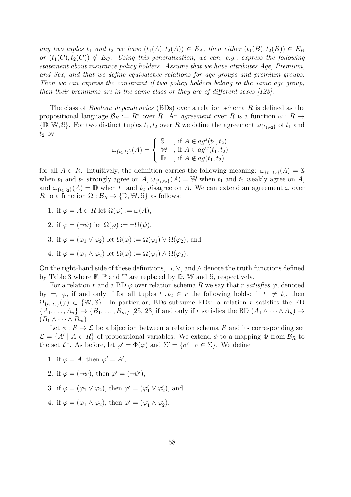any two tuples  $t_1$  and  $t_2$  we have  $(t_1(A), t_2(A)) \in E_A$ , then either  $(t_1(B), t_2(B)) \in E_B$ *or*  $(t_1(C), t_2(C))$  ∉  $E_C$ . Using this generalization, we can, e.g., express the following *statement about insurance policy holders. Assume that we have attributes Age, Premium, and Sex, and that we define equivalence relations for age groups and premium groups. Then we can express the constraint if two policy holders belong to the same age group, then their premiums are in the same class or they are of different sexes [123].*

The class of *Boolean dependencies* (BDs) over a relation schema *R* is defined as the propositional language  $\mathcal{B}_R := R^*$  over *R*. An *agreement* over *R* is a function  $\omega : R \to$  ${\mathbb{D}, \mathbb{W}, \mathbb{S}}$ . For two distinct tuples  $t_1, t_2$  over *R* we define the agreement  $\omega_{\{t_1, t_2\}}$  of  $t_1$  and  $t_2$  by

$$
\omega_{\{t_1, t_2\}}(A) = \begin{cases} \mathbb{S} & \text{if } A \in ag^s(t_1, t_2) \\ \mathbb{W} & \text{if } A \in ag^w(t_1, t_2) \\ \mathbb{D} & \text{if } A \notin ag(t_1, t_2) \end{cases}
$$

for all  $A \in R$ . Intuitively, the definition carries the following meaning:  $\omega_{\{t_1,t_2\}}(A) = \mathbb{S}$ when  $t_1$  and  $t_2$  *s*trongly agree on *A*,  $\omega_{\{t_1,t_2\}}(A) = W$  when  $t_1$  and  $t_2$  *weakly agree on A*, and  $\omega_{\{t_1,t_2\}}(A) = \mathbb{D}$  when  $t_1$  and  $t_2$  *d*isagree on *A*. We can extend an agreement  $\omega$  over *R* to a function  $\Omega : \mathcal{B}_R \to \{\mathbb{D}, \mathbb{W}, \mathbb{S}\}$  as follows:

- 1. if  $\varphi = A \in R$  let  $\Omega(\varphi) := \omega(A)$ ,
- 2. if  $\varphi = (\neg \psi)$  let  $\Omega(\varphi) := \neg \Omega(\psi)$ ,
- 3. if  $\varphi = (\varphi_1 \vee \varphi_2)$  let  $\Omega(\varphi) := \Omega(\varphi_1) \vee \Omega(\varphi_2)$ , and
- 4. if  $\varphi = (\varphi_1 \wedge \varphi_2)$  let  $\Omega(\varphi) := \Omega(\varphi_1) \wedge \Omega(\varphi_2)$ .

On the right-hand side of these definitions, *¬*, *∨*, and *∧* denote the truth functions defined by Table 3 where  $\mathbb{F}, \mathbb{P}$  and  $\mathbb{T}$  are replaced by  $\mathbb{D}, \mathbb{W}$  and  $\mathbb{S}$ , respectively.

For a relation *r* and a BD  $\varphi$  over relation schema *R* we say that *r satisfies*  $\varphi$ , denoted by  $\models r \varphi$ , if and only if for all tuples  $t_1, t_2 \in r$  the following holds: if  $t_1 \neq t_2$ , then  $\Omega_{\{t_1,t_2\}}(\varphi) \in \{\mathbb{W},\mathbb{S}\}.$  In particular, BDs subsume FDs: a relation *r* satisfies the FD  ${A_1, \ldots, A_n} \rightarrow {B_1, \ldots, B_m}$  [25, 23] if and only if *r* satisfies the BD  $(A_1 \wedge \cdots \wedge A_n) \rightarrow$  $(B_1 \wedge \cdots \wedge B_m).$ 

Let  $\phi: R \to \mathcal{L}$  be a bijection between a relation schema R and its corresponding set  $\mathcal{L} = \{A' \mid A \in R\}$  of propositional variables. We extend  $\phi$  to a mapping  $\Phi$  from  $\mathcal{B}_R$  to the set  $\mathcal{L}^*$ . As before, let  $\varphi' = \Phi(\varphi)$  and  $\Sigma' = {\sigma' | \sigma \in \Sigma}$ . We define

- 1. if  $\varphi = A$ , then  $\varphi' = A'$ ,
- 2. if  $\varphi = (\neg \psi)$ , then  $\varphi' = (\neg \psi')$ ,
- 3. if  $\varphi = (\varphi_1 \lor \varphi_2)$ , then  $\varphi' = (\varphi_1' \lor \varphi_2')$ , and
- 4. if  $\varphi = (\varphi_1 \wedge \varphi_2)$ , then  $\varphi' = (\varphi'_1 \wedge \varphi'_2)$ .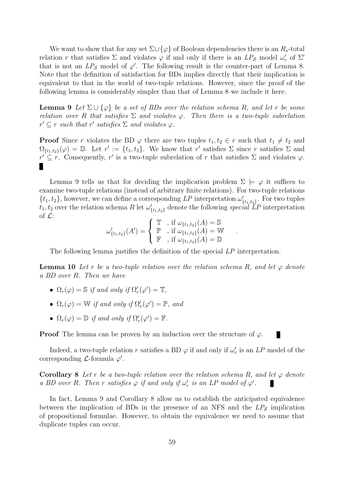We want to show that for any set  $\Sigma \cup {\varphi}$  of Boolean dependencies there is an  $R_s$ -total relation *r* that satisfies  $\Sigma$  and violates  $\varphi$  if and only if there is an  $LP_{\mathcal{S}}$  model  $\omega'_r$  of  $\Sigma'$ that is not an  $LP_{\mathcal{S}}$  model of  $\varphi'$ . The following result is the counter-part of Lemma 8. Note that the definition of satisfaction for BDs implies directly that their implication is equivalent to that in the world of two-tuple relations. However, since the proof of the following lemma is considerably simpler than that of Lemma 8 we include it here.

**Lemma 9** Let  $\Sigma \cup {\varphi}$  *be a set of BDs over the relation schema R, and let r be some relation over R that satisfies*  $\Sigma$  *and violates*  $\varphi$ *. Then there is a two-tuple subrelation*  $r' \subseteq r$  *such that*  $r'$  *satisfies*  $\Sigma$  *and violates*  $\varphi$ *.* 

**Proof** Since *r* violates the BD  $\varphi$  there are two tuples  $t_1, t_2 \in r$  such that  $t_1 \neq t_2$  and  $\Omega_{\{t_1,t_2\}}(\varphi) = \mathbb{D}$ . Let  $r' := \{t_1,t_2\}$ . We know that  $r'$  satisfies  $\Sigma$  since  $r$  satisfies  $\Sigma$  and  $r' \subseteq r$ . Consequently,  $r'$  is a two-tuple subrelation of *r* that satisfies  $\Sigma$  and violates  $\varphi$ . Ш

Lemma 9 tells us that for deciding the implication problem  $\Sigma \models \varphi$  it suffices to examine two-tuple relations (instead of arbitrary finite relations). For two-tuple relations  $\{t_1, t_2\}$ , however, we can define a corresponding *LP* interpretation  $\omega'_{\{t_1, t_2\}}$ . For two tuples  $t_1, t_2$  over the relation schema *R* let  $\omega'_{\{t_1, t_2\}}$  denote the following *special LP* interpretation of *L*:

$$
\omega'_{\{t_1, t_2\}}(A') = \begin{cases} \mathbb{T}^+, \text{ if } \omega_{\{t_1, t_2\}}(A) = \mathbb{S} \\ \mathbb{P}^-, \text{ if } \omega_{\{t_1, t_2\}}(A) = \mathbb{W} \\ \mathbb{F}^-, \text{ if } \omega_{\{t_1, t_2\}}(A) = \mathbb{D} \end{cases}
$$

*.*

The following lemma justifies the definition of the special *LP* interpretation.

**Lemma 10** Let r be a two-tuple relation over the relation schema R, and let  $\varphi$  denote *a BD over R. Then we have*

- $\Omega_r(\varphi) = \mathbb{S}$  *if and only if*  $\Omega'_r(\varphi') = \mathbb{T}$ *,*
- $\Omega_r(\varphi) = \mathbb{W}$  *if and only if*  $\Omega'_r(\varphi') = \mathbb{P}$ *, and*
- $\Omega_r(\varphi) = \mathbb{D}$  *if and only if*  $\Omega'_r(\varphi') = \mathbb{F}$ *.*

**Proof** The lemma can be proven by an induction over the structure of *φ*.

Indeed, a two-tuple relation *r* satisfies a BD  $\varphi$  if and only if  $\omega'_r$  is an *LP* model of the corresponding *L*-formula *φ ′* .

**Corollary 8** *Let r be a two-tuple relation over the relation schema R, and let*  $\varphi$  *denote a BD over R*. Then *r* satisfies  $\varphi$  *if and only if*  $\omega'_r$  *is an LP model of*  $\varphi'$ . ×

In fact, Lemma 9 and Corollary 8 allow us to establish the anticipated equivalence between the implication of BDs in the presence of an NFS and the *LP<sup>S</sup>* implication of propositional formulae. However, to obtain the equivalence we need to assume that duplicate tuples can occur.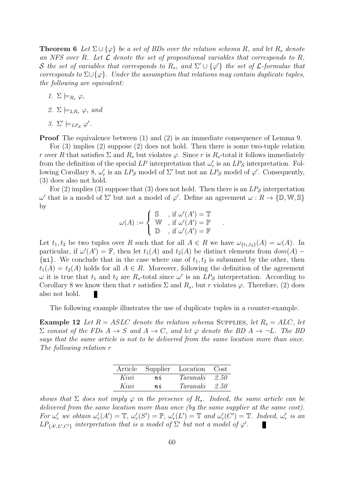**Theorem 6** *Let*  $\Sigma \cup \{\varphi\}$  *be a set of BDs over the relation schema R, and let*  $R_s$  *denote an NFS over R. Let L denote the set of propositional variables that corresponds to R, S* the set of variables that corresponds to  $R_s$ , and  $\Sigma' \cup {\varphi'}$  the set of L-formulae that *corresponds to* Σ*∪{φ}. Under the assumption that relations may contain duplicate tuples, the following are equivalent:*

- *1.*  $\Sigma \models_{R_s} \varphi$ ,
- *2.*  $\Sigma \models_{2,R_s} \varphi$ *, and*
- *3.*  $\Sigma' \models_{LP_{\mathcal{S}}} \varphi'$ .

**Proof** The equivalence between (1) and (2) is an immediate consequence of Lemma 9.

For (3) implies (2) suppose (2) does not hold. Then there is some two-tuple relation *r* over *R* that satisfies  $\Sigma$  and  $R_s$  but violates  $\varphi$ . Since *r* is  $R_s$ -total it follows immediately from the definition of the special  $LP$  interpretation that  $\omega'_r$  is an  $LP_{\mathcal{S}}$  interpretation. Following Corollary 8,  $\omega'_r$  is an  $LP_{\mathcal{S}}$  model of  $\Sigma'$  but not an  $LP_{\mathcal{S}}$  model of  $\varphi'$ . Consequently, (3) does also not hold.

For (2) implies (3) suppose that (3) does not hold. Then there is an  $LP_{\mathcal{S}}$  interpretation *ω*<sup>*′*</sup> that is a model of Σ<sup>*′*</sup> but not a model of *φ*<sup>*′*</sup>. Define an agreement *ω* : *R* → {<sup>D</sup>*,* W*,* \$} by

$$
\omega(A) := \begin{cases} \mathbb{S} & , \text{ if } \omega'(A') = \mathbb{T} \\ \mathbb{W} & , \text{ if } \omega'(A') = \mathbb{P} \\ \mathbb{D} & , \text{ if } \omega'(A') = \mathbb{F} \end{cases}
$$

*.*

Let  $t_1, t_2$  be two tuples over *R* such that for all  $A \in R$  we have  $\omega_{\{t_1, t_2\}}(A) = \omega(A)$ . In particular, if  $\omega'(A') = \mathbb{F}$ , then let  $t_1(A)$  and  $t_2(A)$  be distinct elements from  $dom(A)$  $\{n\}$ . We conclude that in the case where one of  $t_1, t_2$  is subsumed by the other, then  $t_1(A) = t_2(A)$  holds for all  $A \in R$ . Moreover, following the definition of the agreement  $\omega$  it is true that  $t_1$  and  $t_2$  are  $R_s$ -total since  $\omega'$  is an  $LP_s$  interpretation. According to Corollary 8 we know then that *r* satisfies  $\Sigma$  and  $R_s$ , but *r* violates  $\varphi$ . Therefore, (2) does also not hold.

The following example illustrates the use of duplicate tuples in a counter-example.

**Example 12** Let  $R = ASLC$  denote the relation schema SUPPLIES, let  $R_s = ALC$ , let  $\Sigma$  *consist of the FDs*  $A \rightarrow S$  *and*  $A \rightarrow C$ *, and let*  $\varphi$  *denote the BD*  $A \rightarrow \neg L$ *. The BD says that the same article is not to be delivered from the same location more than once. The following relation r*

|      | Article Supplier | Location | Cost |
|------|------------------|----------|------|
| Kiwi | n.i              | Taranaki | 2.50 |
| Kiwi | $n\,i$           | Taranaki | 2.50 |

*shows that*  $\Sigma$  *does not imply*  $\varphi$  *in the presence of*  $R_s$ *. Indeed, the same article can be delivered from the same location more than once (by the same supplier at the same cost).* For  $\omega'_r$  we obtain  $\omega'_r(A') = \mathbb{T}$ ,  $\omega'_r(S') = \mathbb{P}$ ,  $\omega'_r(L') = \mathbb{T}$  and  $\omega'_r(C') = \mathbb{T}$ . Indeed,  $\omega'_r$  is an  $LP_{\{A',L',C'\}}$  interpretation that is a model of  $\Sigma'$  but not a model of  $\varphi'$ .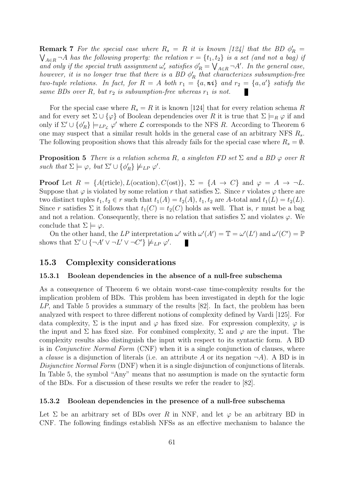**Remark 7** *For the special case where*  $R_s = R$  *it is known* [124] that the BD  $\phi'_R =$  $\bigvee_{A \in R} \neg A$  *has the following property: the relation*  $r = \{t_1, t_2\}$  *is a set (and not a bag) if and only if the special truth assignment*  $\omega'_r$  *satisfies*  $\phi'_R = \bigvee_{A \in R} \neg A'$ *. In the general case, however, it is no longer true that there is a BD*  $\phi'_R$  *that characterizes subsumption-free two-tuple relations. In fact, for*  $R = A$  *both*  $r_1 = \{a, n \, i\}$  *and*  $r_2 = \{a, a'\}$  *satisfy the same BDs over*  $R$ *, but*  $r_2$  *is subsumption-free whereas*  $r_1$  *is not.* 

For the special case where  $R_s = R$  it is known [124] that for every relation schema R and for every set  $\Sigma \cup {\varphi}$  of Boolean dependencies over *R* it is true that  $\Sigma \models_R \varphi$  if and only if  $\Sigma' \cup \{\phi'_R\} \models_{LP_\mathcal{L}} \varphi'$  where  $\mathcal{L}$  corresponds to the NFS *R*. According to Theorem 6 one may suspect that a similar result holds in the general case of an arbitrary NFS *Rs*. The following proposition shows that this already fails for the special case where  $R_s = \emptyset$ .

**Proposition 5** *There is a relation schema R, a singleton FD set*  $\Sigma$  *and a BD*  $\varphi$  *over R such that*  $\Sigma \models \varphi$ *, but*  $\Sigma' \cup \{\phi'_R\} \not\models_{LP} \varphi'$ *.* 

**Proof** Let  $R = \{A(\text{rticle}), L(\text{ocation}), C(\text{ost})\}, \Sigma = \{A \rightarrow C\}$  and  $\varphi = A \rightarrow \neg L$ . Suppose that  $\varphi$  is violated by some relation *r* that satisfies  $\Sigma$ . Since *r* violates  $\varphi$  there are two distinct tuples  $t_1, t_2 \in r$  such that  $t_1(A) = t_2(A), t_1, t_2$  are *A*-total and  $t_1(L) = t_2(L)$ . Since *r* satisfies  $\Sigma$  it follows that  $t_1(C) = t_2(C)$  holds as well. That is, *r* must be a bag and not a relation. Consequently, there is no relation that satisfies  $\Sigma$  and violates  $\varphi$ . We conclude that  $\Sigma \models \varphi$ .

On the other hand, the LP interpretation  $\omega'$  with  $\omega'(A') = \mathbb{T} = \omega'(L')$  and  $\omega'(C') = \mathbb{P}$ shows that  $\Sigma' \cup \{\neg A' \lor \neg L' \lor \neg C'\} \not\models_{LP} \varphi'.$ 

#### **15.3 Complexity considerations**

#### **15.3.1 Boolean dependencies in the absence of a null-free subschema**

As a consequence of Theorem 6 we obtain worst-case time-complexity results for the implication problem of BDs. This problem has been investigated in depth for the logic *LP*, and Table 5 provides a summary of the results [82]. In fact, the problem has been analyzed with respect to three different notions of complexity defined by Vardi [125]. For data complexity,  $\Sigma$  is the input and  $\varphi$  has fixed size. For expression complexity,  $\varphi$  is the input and  $\Sigma$  has fixed size. For combined complexity,  $\Sigma$  and  $\varphi$  are the input. The complexity results also distinguish the input with respect to its syntactic form. A BD is in *Conjunctive Normal Form* (CNF) when it is a single conjunction of clauses, where a *clause* is a disjunction of literals (i.e. an attribute A or its negation  $\neg A$ ). A BD is in *Disjunctive Normal Form* (DNF) when it is a single disjunction of conjunctions of literals. In Table 5, the symbol "Any" means that no assumption is made on the syntactic form of the BDs. For a discussion of these results we refer the reader to [82].

#### **15.3.2 Boolean dependencies in the presence of a null-free subschema**

Let  $\Sigma$  be an arbitrary set of BDs over *R* in NNF, and let  $\varphi$  be an arbitrary BD in CNF. The following findings establish NFSs as an effective mechanism to balance the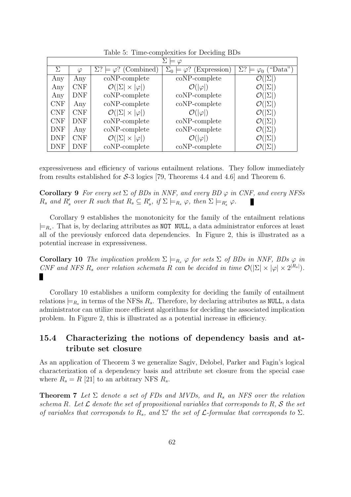| $\varphi$  |            |                                           |                                           |                                     |  |
|------------|------------|-------------------------------------------|-------------------------------------------|-------------------------------------|--|
| Σ          | $\varphi$  | $\Sigma$ ? $\models \varphi$ ? (Combined) | $\Sigma_0 \models \varphi$ ? (Expression) | $\Sigma$ ?<br>"Data"<br>$\varphi_0$ |  |
| Any        | Any        | coNP-complete                             | $coNP$ -complete                          | $\mathcal{O}( \Sigma )$             |  |
| Any        | <b>CNF</b> | $\mathcal{O}( \Sigma  \times  \varphi )$  | $\mathcal{O}( \varphi )$                  | $\mathcal{O}( \Sigma )$             |  |
| Any        | <b>DNF</b> | coNP-complete                             | coNP-complete                             | $\mathcal{O}( \Sigma )$             |  |
| <b>CNF</b> | Any        | coNP-complete                             | $coNP$ -complete                          | $\mathcal{O}( \Sigma )$             |  |
| <b>CNF</b> | <b>CNF</b> | $\mathcal{O}( \Sigma  \times  \varphi )$  | $\mathcal{O}( \varphi )$                  | $\mathcal{O}( \Sigma )$             |  |
| <b>CNF</b> | <b>DNF</b> | coNP-complete                             | coNP-complete                             | $\mathcal{O}( \Sigma )$             |  |
| <b>DNF</b> | Any        | coNP-complete                             | coNP-complete                             | $\mathcal{O}( \Sigma )$             |  |
| <b>DNF</b> | <b>CNF</b> | $\mathcal{O}( \Sigma  \times  \varphi )$  | $\mathcal{O}( \varphi )$                  | $\mathcal{O}( \Sigma )$             |  |
| <b>DNF</b> | <b>DNF</b> | coNP-complete                             | coNP-complete                             |                                     |  |

Table 5: Time-complexities for Deciding BDs

expressiveness and efficiency of various entailment relations. They follow immediately from results established for *S*-3 logics [79, Theorems 4.4 and 4.6] and Theorem 6.

**Corollary 9** *For every set*  $\Sigma$  *of BDs in NNF, and every BD*  $\varphi$  *in CNF, and every NFSs*  $R_s$  and  $R'_s$  over R such that  $R_s \subseteq R'_s$ , if  $\Sigma \models_{R_s} \varphi$ , then  $\Sigma \models_{R'_s} \varphi$ .

Corollary 9 establishes the monotonicity for the family of the entailment relations  $\models R_s$ . That is, by declaring attributes as NOT NULL, a data administrator enforces at least all of the previously enforced data dependencies. In Figure 2, this is illustrated as a potential increase in expressiveness.

**Corollary 10** *The implication problem*  $\Sigma \models_{R_s} \varphi$  *for sets*  $\Sigma$  *of BDs in NNF, BDs*  $\varphi$  *in CNF* and *NFS*  $R_s$  *over relation schemata*  $R$  *can be decided in time*  $\mathcal{O}(|\Sigma| \times |\varphi| \times 2^{|R_s|})$ *.* L

Corollary 10 establishes a uniform complexity for deciding the family of entailment relations  $\models_{R_s}$  in terms of the NFSs  $R_s$ . Therefore, by declaring attributes as NULL, a data administrator can utilize more efficient algorithms for deciding the associated implication problem. In Figure 2, this is illustrated as a potential increase in efficiency.

### **15.4 Characterizing the notions of dependency basis and attribute set closure**

As an application of Theorem 3 we generalize Sagiv, Delobel, Parker and Fagin's logical characterization of a dependency basis and attribute set closure from the special case where  $R_s = R$  [21] to an arbitrary NFS  $R_s$ .

**Theorem 7** *Let* Σ *denote a set of FDs and MVDs, and R<sup>s</sup> an NFS over the relation schema R. Let L denote the set of propositional variables that corresponds to R, S the set of variables that corresponds to*  $R_s$ *, and*  $\Sigma'$  *the set of*  $\mathcal{L}$ -formulae that corresponds to  $\Sigma$ .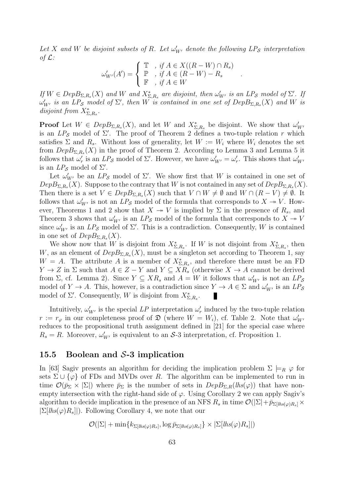Let *X* and *W* be disjoint subsets of *R.* Let  $\omega'_{W'}$  denote the following  $LP_{\mathcal{S}}$  interpretation *of L:*

$$
\omega'_{W'}(A') = \begin{cases} \mathbb{T} , & \text{if } A \in X((R-W) \cap R_s) \\ \mathbb{P} , & \text{if } A \in (R-W) - R_s \\ \mathbb{F} , & \text{if } A \in W \end{cases}
$$

*.*

If  $W \in DepB_{\Sigma,R_s}(X)$  and W and  $X_{\Sigma,R_s}^*$  are disjoint, then  $\omega'_{W'}$  is an  $LP_{\mathcal{S}}$  model of  $\Sigma'$ . If  $\omega'_{W'}$  *is an LP<sub>S</sub> model of*  $\Sigma'$ *, then W is contained in one set of DepB*<sub>Σ, $R_s(X)$  *and W is*</sub> *disjoint from*  $X_{\Sigma,R_s}^*$ .

**Proof** Let  $W \in DepB_{\Sigma,R_s}(X)$ , and let *W* and  $X^*_{\Sigma,R_s}$  be disjoint. We show that  $\omega'_{W'}$ is an  $LP_{\mathcal{S}}$  model of  $\Sigma'$ . The proof of Theorem 2 defines a two-tuple relation *r* which satisfies  $\Sigma$  and  $R_s$ . Without loss of generality, let  $W := W_i$  where  $W_i$  denotes the set from  $DepB_{\Sigma,R_s}(X)$  in the proof of Theorem 2. According to Lemma 3 and Lemma 5 it follows that  $\omega'_r$  is an  $LP_{\mathcal{S}}$  model of  $\Sigma'$ . However, we have  $\omega'_{W'} = \omega'_r$ . This shows that  $\omega'_{W'}$ is an  $LP_{\mathcal{S}}$  model of  $\Sigma'$ .

Let  $\omega'_{W'}$  be an  $LP_{\mathcal{S}}$  model of  $\Sigma'$ . We show first that *W* is contained in one set of  $DepB_{\Sigma,R_s}(X)$ . Suppose to the contrary that *W* is not contained in any set of  $DepB_{\Sigma,R_s}(X)$ . Then there is a set  $V \in DepB_{\Sigma,R_s}(X)$  such that  $V \cap W \neq \emptyset$  and  $W \cap (R - V) \neq \emptyset$ . It follows that  $\omega'_{W'}$  is not an  $LP_{\mathcal{S}}$  model of the formula that corresponds to  $X \to V$ . However, Theorems 1 and 2 show that  $X \to V$  is implied by  $\Sigma$  in the presence of  $R_s$ , and Theorem 3 shows that  $\omega'_{W'}$  is an  $LP_{\mathcal{S}}$  model of the formula that corresponds to  $X \to V$ since  $\omega'_{W'}$  is an  $LP_{\mathcal{S}}$  model of  $\Sigma'$ . This is a contradiction. Consequently, *W* is contained in one set of  $DepB_{\Sigma,R_s}(X)$ .

We show now that *W* is disjoint from  $X^*_{\Sigma,R_s}$ . If *W* is not disjoint from  $X^*_{\Sigma,R_s}$ , then *W*, as an element of  $DepB_{\Sigma,R_s}(X)$ , must be a singleton set according to Theorem 1, say  $W = A$ . The attribute *A* is a member of  $X^*_{\Sigma,R_s}$ , and therefore there must be an FD *Y* → *Z* in  $\Sigma$  such that  $A \in Z - Y$  and  $Y \subseteq XR_s$  (otherwise  $X \to A$  cannot be derived from  $\Sigma$ , cf. Lemma 2). Since  $Y \subseteq XR_s$  and  $A = W$  it follows that  $\omega'_{W'}$  is not an  $LP_s$ model of  $Y \to A$ . This, however, is a contradiction since  $Y \to A \in \Sigma$  and  $\omega'_{W'}$  is an  $LP_{\mathcal{S}}$ model of  $\Sigma'$ . Consequently, *W* is disjoint from  $X_{\Sigma,R_s}^*$ .

Intuitively,  $\omega'_{W'}$  is the special *LP* interpretation  $\omega'_{r}$  induced by the two-tuple relation *r* :=  $r_{\varphi}$  in our completeness proof of  $\mathfrak{D}$  (where  $W = W_i$ ), cf. Table 2. Note that  $\omega'_{W'}$ reduces to the propositional truth assignment defined in [21] for the special case where  $R_s = R$ . Moreover,  $\omega'_{W'}$  is equivalent to an *S*-3 interpretation, cf. Proposition 1.

#### **15.5 Boolean and** *S***-3 implication**

In [63] Sagiv presents an algorithm for deciding the implication problem  $\Sigma \models_R \varphi$  for sets  $\Sigma \cup {\varphi}$  of FDs and MVDs over *R*. The algorithm can be implemented to run in time  $\mathcal{O}(\bar{p}_{\Sigma} \times |\Sigma|)$  where  $\bar{p}_{\Sigma}$  is the number of sets in  $DepB_{\Sigma,R}(lks(\varphi))$  that have nonempty intersection with the right-hand side of  $\varphi$ . Using Corollary 2 we can apply Sagiv's algorithm to decide implication in the presence of an NFS  $R_s$  in time  $\mathcal{O}(|\Sigma| + \bar{p}_{\Sigma[k s(\varphi)R_s]} \times$  $|\Sigma[ks(\varphi)R_s]|$ . Following Corollary 4, we note that our

$$
\mathcal{O}(|\Sigma| + \min\{k_{\Sigma[llns(\varphi)R_s]}, \log \bar{p}_{\Sigma[llns(\varphi)R_s]}\} \times |\Sigma[llns(\varphi)R_s]|)
$$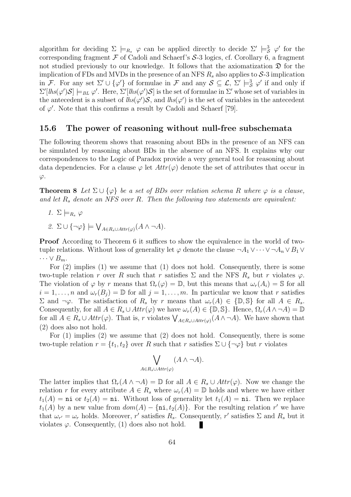algorithm for deciding  $\Sigma \models_{R_s} \varphi$  can be applied directly to decide  $\Sigma' \models_S^3 \varphi'$  for the corresponding fragment *F* of Cadoli and Schaerf's *S*-3 logics, cf. Corollary 6, a fragment not studied previously to our knowledge. It follows that the axiomatization  $\mathfrak D$  for the implication of FDs and MVDs in the presence of an NFS  $R_s$  also applies to  $S$ -3 implication in *F*. For any set  $\Sigma' \cup {\varphi'}$  of formulae in *F* and any  $S \subseteq \mathcal{L}$ ,  $\Sigma' \models_S^3 \varphi'$  if and only if  $\Sigma'[lhs(\varphi')\mathcal{S}] \models_{BL} \varphi'$ . Here,  $\Sigma'[lhs(\varphi')\mathcal{S}]$  is the set of formulae in  $\Sigma'$  whose set of variables in the antecedent is a subset of  $\text{lhs}(\varphi')\mathcal{S}$ , and  $\text{lhs}(\varphi')$  is the set of variables in the antecedent of  $\varphi'$ . Note that this confirms a result by Cadoli and Schaerf [79].

#### **15.6 The power of reasoning without null-free subschemata**

The following theorem shows that reasoning about BDs in the presence of an NFS can be simulated by reasoning about BDs in the absence of an NFS. It explains why our correspondences to the Logic of Paradox provide a very general tool for reasoning about data dependencies. For a clause  $\varphi$  let  $Attr(\varphi)$  denote the set of attributes that occur in *φ*.

**Theorem 8** *Let*  $\Sigma \cup {\varphi}$  *be a set of BDs over relation schema R where*  $\varphi$  *is a clause, and let R<sup>s</sup> denote an NFS over R. Then the following two statements are equivalent:*

- *1.*  $\Sigma \models_{R_{s}} \varphi$
- 2.  $\Sigma \cup \{\neg \varphi\} \models \bigvee_{A \in R_s \cup Attr(\varphi)} (A \land \neg A).$

**Proof** According to Theorem 6 it suffices to show the equivalence in the world of twotuple relations. Without loss of generality let  $\varphi$  denote the clause  $\neg A_1 \vee \cdots \vee \neg A_n \vee B_1 \vee$  $\cdots \vee B_m$ .

For (2) implies (1) we assume that (1) does not hold. Consequently, there is some two-tuple relation *r* over *R* such that *r* satisfies Σ and the NFS *R<sup>s</sup>* but *r* violates *φ*. The violation of  $\varphi$  by *r* means that  $\Omega_r(\varphi) = \mathbb{D}$ , but this means that  $\omega_r(A_i) = \mathbb{S}$  for all  $i = 1, \ldots, n$  and  $\omega_r(B_i) = \mathbb{D}$  for all  $j = 1, \ldots, m$ . In particular we know that *r* satisfies  $Σ$  and  $¬φ$ . The satisfaction of  $R_s$  by *r* means that  $ω_r(A) ∈ {ℤ, ℑ}$  for all  $A ∈ R_s$ . Consequently, for all  $A \in R_s \cup \text{Attr}(\varphi)$  we have  $\omega_r(A) \in \{\mathbb{D}, \mathbb{S}\}$ . Hence,  $\Omega_r(A \wedge \neg A) = \mathbb{D}$ for all  $A \in R_s \cup Attr(\varphi)$ . That is, *r* violates  $\bigvee_{A \in R_s \cup Attr(\varphi)} (A \wedge \neg A)$ . We have shown that (2) does also not hold.

For (1) implies (2) we assume that (2) does not hold. Consequently, there is some two-tuple relation  $r = \{t_1, t_2\}$  over *R* such that *r* satisfies  $\Sigma \cup \{\neg \varphi\}$  but *r* violates

$$
\bigvee_{A \in R_s \cup Attr(\varphi)} (A \land \neg A).
$$

The latter implies that  $\Omega_r(A \wedge \neg A) = \mathbb{D}$  for all  $A \in R_s \cup \text{Attr}(\varphi)$ . Now we change the relation *r* for every attribute  $A \in R_s$  where  $\omega_r(A) = \mathbb{D}$  holds and where we have either  $t_1(A) = \text{ni}$  or  $t_2(A) = \text{ni}$ . Without loss of generality let  $t_1(A) = \text{ni}$ . Then we replace  $t_1(A)$  by a new value from  $dom(A) - \{ni, t_2(A)\}$ . For the resulting relation *r*<sup>'</sup> we have that  $\omega_{r'} = \omega_r$  holds. Moreover, r' satisfies  $R_s$ . Consequently, r' satisfies  $\Sigma$  and  $R_s$  but it violates  $\varphi$ . Consequently, (1) does also not hold.